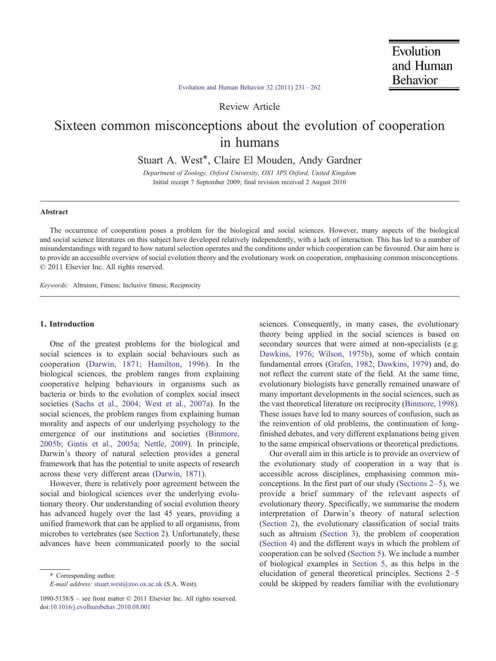# [Evolution and Human Behavior 32 \(2011\) 231](http://dx.doi.org/10.1016/j.evolhumbehav.2010.08.001)–262

Review Article

# Sixteen common misconceptions about the evolution of cooperation in humans

Stuart A. West<sup>\*</sup>, Claire El Mouden, Andy Gardner

Department of Zoology, Oxford University, OX1 3PS Oxford, United Kingdom Initial receipt 7 September 2009; final revision received 2 August 2010

## Abstract

The occurrence of cooperation poses a problem for the biological and social sciences. However, many aspects of the biological and social science literatures on this subject have developed relatively independently, with a lack of interaction. This has led to a number of misunderstandings with regard to how natural selection operates and the conditions under which cooperation can be favoured. Our aim here is to provide an accessible overview of social evolution theory and the evolutionary work on cooperation, emphasising common misconceptions. © 2011 Elsevier Inc. All rights reserved.

Keywords: Altruism; Fitness; Inclusive fitness; Reciprocity

#### 1. Introduction

One of the greatest problems for the biological and social sciences is to explain social behaviours such as cooperation [\(Darwin, 1871; Hamilton, 1996\)](#page-26-0). In the biological sciences, the problem ranges from explaining cooperative helping behaviours in organisms such as bacteria or birds to the evolution of complex social insect societies ([Sachs et al., 2004; West et al., 2007a](#page-30-0)). In the social sciences, the problem ranges from explaining human morality and aspects of our underlying psychology to the emergence of our institutions and societies ([Binmore,](#page-25-0) [2005b; Gintis et al., 2005a; Nettle, 2009\)](#page-25-0). In principle, Darwin's theory of natural selection provides a general framework that has the potential to unite aspects of research across these very different areas ([Darwin, 1871\)](#page-26-0).

However, there is relatively poor agreement between the social and biological sciences over the underlying evolutionary theory. Our understanding of social evolution theory has advanced hugely over the last 45 years, providing a unified framework that can be applied to all organisms, from microbes to vertebrates (see [Section 2\)](#page-1-0). Unfortunately, these advances have been communicated poorly to the social

sciences. Consequently, in many cases, the evolutionary theory being applied in the social sciences is based on secondary sources that were aimed at non-specialists (e.g. [Dawkins, 1976; Wilson, 1975b](#page-26-0)), some of which contain fundamental errors ([Grafen, 1982; Dawkins, 1979](#page-27-0)) and, do not reflect the current state of the field. At the same time, evolutionary biologists have generally remained unaware of many important developments in the social sciences, such as the vast theoretical literature on reciprocity ([Binmore, 1998](#page-25-0)). These issues have led to many sources of confusion, such as the reinvention of old problems, the continuation of longfinished debates, and very different explanations being given to the same empirical observations or theoretical predictions.

Our overall aim in this article is to provide an overview of the evolutionary study of cooperation in a way that is accessible across disciplines, emphasising common misconceptions. In the first part of our study (Sections  $2-5$ ), we provide a brief summary of the relevant aspects of evolutionary theory. Specifically, we summarise the modern interpretation of Darwin's theory of natural selection [\(Section 2](#page-1-0)), the evolutionary classification of social traits such as altruism ([Section 3\)](#page-3-0), the problem of cooperation [\(Section 4\)](#page-4-0) and the different ways in which the problem of cooperation can be solved ([Section 5\)](#page-4-0). We include a number of biological examples in [Section 5](#page-4-0), as this helps in the elucidation of general theoretical principles. Sections 2–5 could be skipped by readers familiar with the evolutionary

<sup>⁎</sup> Corresponding author.

E-mail address: [stuart.west@zoo.ox.ac.uk](mailto:stuart.west@zoo.ox.ac.uk) (S.A. West).

<sup>1090-5138/\$</sup> – see front matter © 2011 Elsevier Inc. All rights reserved. doi[:10.1016/j.evolhumbehav.2010.08.001](http://dx.doi.org/10.1016/j.evolhumbehav.2010.08.001)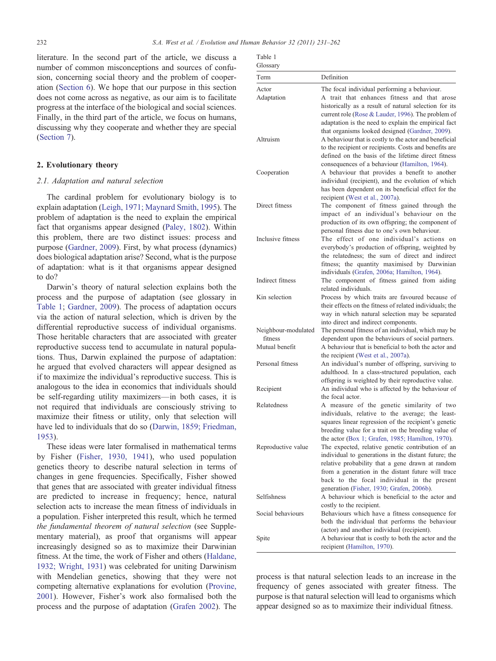<span id="page-1-0"></span>literature. In the second part of the article, we discuss a number of common misconceptions and sources of confusion, concerning social theory and the problem of cooperation [\(Section 6](#page-8-0)). We hope that our purpose in this section does not come across as negative, as our aim is to facilitate progress at the interface of the biological and social sciences. Finally, in the third part of the article, we focus on humans, discussing why they cooperate and whether they are special [\(Section 7\)](#page-22-0).

#### 2. Evolutionary theory

#### 2.1. Adaptation and natural selection

The cardinal problem for evolutionary biology is to explain adaptation ([Leigh, 1971; Maynard Smith, 1995\)](#page-28-0). The problem of adaptation is the need to explain the empirical fact that organisms appear designed ([Paley, 1802](#page-29-0)). Within this problem, there are two distinct issues: process and purpose ([Gardner, 2009](#page-26-0)). First, by what process (dynamics) does biological adaptation arise? Second, what is the purpose of adaptation: what is it that organisms appear designed to do?

Darwin's theory of natural selection explains both the process and the purpose of adaptation (see glossary in Table 1; [Gardner, 2009\)](#page-26-0). The process of adaptation occurs via the action of natural selection, which is driven by the differential reproductive success of individual organisms. Those heritable characters that are associated with greater reproductive success tend to accumulate in natural populations. Thus, Darwin explained the purpose of adaptation: he argued that evolved characters will appear designed as if to maximize the individual's reproductive success. This is analogous to the idea in economics that individuals should be self-regarding utility maximizers—in both cases, it is not required that individuals are consciously striving to maximize their fitness or utility, only that selection will have led to individuals that do so ([Darwin, 1859; Friedman,](#page-26-0) [1953](#page-26-0)).

These ideas were later formalised in mathematical terms by Fisher [\(Fisher, 1930, 1941](#page-26-0)), who used population genetics theory to describe natural selection in terms of changes in gene frequencies. Specifically, Fisher showed that genes that are associated with greater individual fitness are predicted to increase in frequency; hence, natural selection acts to increase the mean fitness of individuals in a population. Fisher interpreted this result, which he termed the fundamental theorem of natural selection (see Supplementary material), as proof that organisms will appear increasingly designed so as to maximize their Darwinian fitness. At the time, the work of Fisher and others ([Haldane,](#page-27-0) [1932; Wright, 1931\)](#page-27-0) was celebrated for uniting Darwinism with Mendelian genetics, showing that they were not competing alternative explanations for evolution ([Provine,](#page-29-0) [2001](#page-29-0)). However, Fisher's work also formalised both the process and the purpose of adaptation [\(Grafen 2002](#page-27-0)). The

| ۰.<br>$\sim$ |  |
|--------------|--|
|              |  |

| Glossary                                         |                                                                                                                                                                                                                                                                                                                 |
|--------------------------------------------------|-----------------------------------------------------------------------------------------------------------------------------------------------------------------------------------------------------------------------------------------------------------------------------------------------------------------|
| Term                                             | Definition                                                                                                                                                                                                                                                                                                      |
| Actor<br>Adaptation                              | The focal individual performing a behaviour.<br>A trait that enhances fitness and that arose<br>historically as a result of natural selection for its<br>current role (Rose & Lauder, 1996). The problem of                                                                                                     |
| Altruism                                         | adaptation is the need to explain the empirical fact<br>that organisms looked designed (Gardner, 2009).<br>A behaviour that is costly to the actor and beneficial<br>to the recipient or recipients. Costs and benefits are<br>defined on the basis of the lifetime direct fitness                              |
| Cooperation                                      | consequences of a behaviour (Hamilton, 1964).<br>A behaviour that provides a benefit to another<br>individual (recipient), and the evolution of which<br>has been dependent on its beneficial effect for the<br>recipient (West et al., 2007a).                                                                 |
| Direct fitness                                   | The component of fitness gained through the<br>impact of an individual's behaviour on the<br>production of its own offspring; the component of<br>personal fitness due to one's own behaviour.                                                                                                                  |
| Inclusive fitness                                | The effect of one individual's actions on<br>everybody's production of offspring, weighted by<br>the relatedness; the sum of direct and indirect<br>fitness; the quantity maximised by Darwinian<br>individuals (Grafen, 2006a; Hamilton, 1964).                                                                |
| Indirect fitness                                 | The component of fitness gained from aiding<br>related individuals.                                                                                                                                                                                                                                             |
| Kin selection                                    | Process by which traits are favoured because of<br>their effects on the fitness of related individuals; the<br>way in which natural selection may be separated<br>into direct and indirect components.                                                                                                          |
| Neighbour-modulated<br>fitness<br>Mutual benefit | The personal fitness of an individual, which may be<br>dependent upon the behaviours of social partners.<br>A behaviour that is beneficial to both the actor and                                                                                                                                                |
| Personal fitness                                 | the recipient (West et al., 2007a).<br>An individual's number of offspring, surviving to<br>adulthood. In a class-structured population, each<br>offspring is weighted by their reproductive value.                                                                                                             |
| Recipient                                        | An individual who is affected by the behaviour of<br>the focal actor.                                                                                                                                                                                                                                           |
| Relatedness                                      | A measure of the genetic similarity of two<br>individuals, relative to the average; the least-<br>squares linear regression of the recipient's genetic<br>breeding value for a trait on the breeding value of<br>the actor (Box 1; Grafen, 1985; Hamilton, 1970).                                               |
| Reproductive value                               | The expected, relative genetic contribution of an<br>individual to generations in the distant future; the<br>relative probability that a gene drawn at random<br>from a generation in the distant future will trace<br>back to the focal individual in the present<br>generation (Fisher, 1930; Grafen, 2006b). |
| <b>Selfishness</b>                               | A behaviour which is beneficial to the actor and<br>costly to the recipient.                                                                                                                                                                                                                                    |
| Social behaviours                                | Behaviours which have a fitness consequence for<br>both the individual that performs the behaviour<br>(actor) and another individual (recipient).                                                                                                                                                               |
| Spite                                            | A behaviour that is costly to both the actor and the<br>recipient (Hamilton, 1970).                                                                                                                                                                                                                             |

process is that natural selection leads to an increase in the frequency of genes associated with greater fitness. The purpose is that natural selection will lead to organisms which appear designed so as to maximize their individual fitness.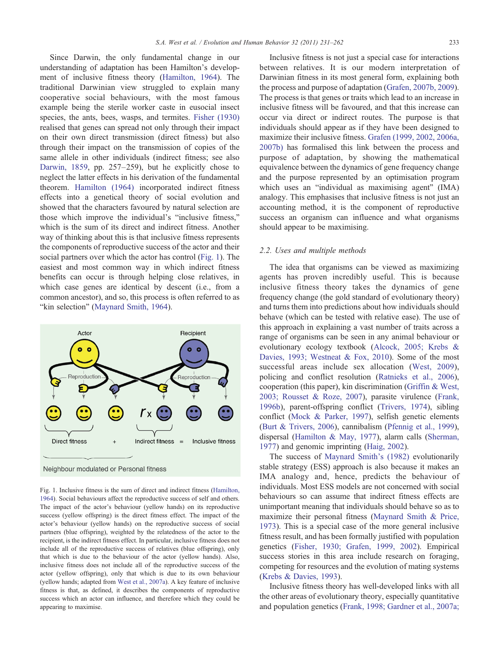<span id="page-2-0"></span>Since Darwin, the only fundamental change in our understanding of adaptation has been Hamilton's development of inclusive fitness theory [\(Hamilton, 1964](#page-27-0)). The traditional Darwinian view struggled to explain many cooperative social behaviours, with the most famous example being the sterile worker caste in eusocial insect species, the ants, bees, wasps, and termites. [Fisher \(1930\)](#page-26-0) realised that genes can spread not only through their impact on their own direct transmission (direct fitness) but also through their impact on the transmission of copies of the same allele in other individuals (indirect fitness; see also [Darwin, 1859](#page-26-0), pp. 257–259), but he explicitly chose to neglect the latter effects in his derivation of the fundamental theorem. [Hamilton \(1964\)](#page-27-0) incorporated indirect fitness effects into a genetical theory of social evolution and showed that the characters favoured by natural selection are those which improve the individual's "inclusive fitness," which is the sum of its direct and indirect fitness. Another way of thinking about this is that inclusive fitness represents the components of reproductive success of the actor and their social partners over which the actor has control (Fig. 1). The easiest and most common way in which indirect fitness benefits can occur is through helping close relatives, in which case genes are identical by descent (i.e., from a common ancestor), and so, this process is often referred to as "kin selection" [\(Maynard Smith, 1964\)](#page-28-0).



Fig. 1. Inclusive fitness is the sum of direct and indirect fitness [\(Hamilton,](#page-27-0) [1964\)](#page-27-0). Social behaviours affect the reproductive success of self and others. The impact of the actor's behaviour (yellow hands) on its reproductive success (yellow offspring) is the direct fitness effect. The impact of the actor's behaviour (yellow hands) on the reproductive success of social partners (blue offspring), weighted by the relatedness of the actor to the recipient, is the indirect fitness effect. In particular, inclusive fitness does not include all of the reproductive success of relatives (blue offspring), only that which is due to the behaviour of the actor (yellow hands). Also, inclusive fitness does not include all of the reproductive success of the actor (yellow offspring), only that which is due to its own behaviour (yellow hands; adapted from [West et al., 2007a\)](#page-30-0). A key feature of inclusive fitness is that, as defined, it describes the components of reproductive success which an actor can influence, and therefore which they could be appearing to maximise.

Inclusive fitness is not just a special case for interactions between relatives. It is our modern interpretation of Darwinian fitness in its most general form, explaining both the process and purpose of adaptation ([Grafen, 2007b, 2009](#page-27-0)). The process is that genes or traits which lead to an increase in inclusive fitness will be favoured, and that this increase can occur via direct or indirect routes. The purpose is that individuals should appear as if they have been designed to maximize their inclusive fitness. [Grafen \(1999, 2002, 2006a,](#page-27-0) [2007b\)](#page-27-0) has formalised this link between the process and purpose of adaptation, by showing the mathematical equivalence between the dynamics of gene frequency change and the purpose represented by an optimisation program which uses an "individual as maximising agent" (IMA) analogy. This emphasises that inclusive fitness is not just an accounting method, it is the component of reproductive success an organism can influence and what organisms should appear to be maximising.

#### 2.2. Uses and multiple methods

The idea that organisms can be viewed as maximizing agents has proven incredibly useful. This is because inclusive fitness theory takes the dynamics of gene frequency change (the gold standard of evolutionary theory) and turns them into predictions about how individuals should behave (which can be tested with relative ease). The use of this approach in explaining a vast number of traits across a range of organisms can be seen in any animal behaviour or evolutionary ecology textbook ([Alcock, 2005; Krebs &](#page-25-0) [Davies, 1993; Westneat & Fox, 2010](#page-25-0)). Some of the most successful areas include sex allocation ([West, 2009](#page-30-0)), policing and conflict resolution [\(Ratnieks et al., 2006](#page-29-0)), cooperation (this paper), kin discrimination [\(Griffin & West,](#page-27-0) [2003; Rousset & Roze, 2007](#page-27-0)), parasite virulence [\(Frank,](#page-26-0) [1996b\)](#page-26-0), parent-offspring conflict [\(Trivers, 1974\)](#page-30-0), sibling conflict ([Mock & Parker, 1997](#page-29-0)), selfish genetic elements [\(Burt & Trivers, 2006](#page-25-0)), cannibalism [\(Pfennig et al., 1999](#page-29-0)), dispersal [\(Hamilton & May, 1977\)](#page-27-0), alarm calls [\(Sherman,](#page-30-0) [1977\)](#page-30-0) and genomic imprinting [\(Haig, 2002](#page-27-0)).

The success of [Maynard Smith's \(1982\)](#page-29-0) evolutionarily stable strategy (ESS) approach is also because it makes an IMA analogy and, hence, predicts the behaviour of individuals. Most ESS models are not concerned with social behaviours so can assume that indirect fitness effects are unimportant meaning that individuals should behave so as to maximize their personal fitness [\(Maynard Smith & Price,](#page-29-0) [1973\)](#page-29-0). This is a special case of the more general inclusive fitness result, and has been formally justified with population genetics ([Fisher, 1930; Grafen, 1999, 2002](#page-26-0)). Empirical success stories in this area include research on foraging, competing for resources and the evolution of mating systems [\(Krebs & Davies, 1993](#page-28-0)).

Inclusive fitness theory has well-developed links with all the other areas of evolutionary theory, especially quantitative and population genetics ([Frank, 1998; Gardner et al., 2007a;](#page-26-0)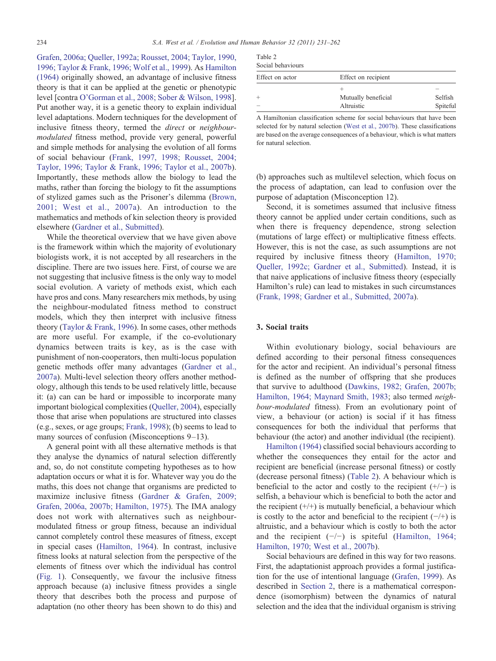<span id="page-3-0"></span>[Grafen, 2006a; Queller, 1992a; Rousset, 2004; Taylor, 1990,](#page-26-0) [1996; Taylor & Frank, 1996; Wolf et al., 1999\)](#page-26-0). As [Hamilton](#page-27-0) [\(1964\)](#page-27-0) originally showed, an advantage of inclusive fitness theory is that it can be applied at the genetic or phenotypic level [contra [O'Gorman et al., 2008; Sober & Wilson, 1998](#page-29-0)]. Put another way, it is a genetic theory to explain individual level adaptations. Modern techniques for the development of inclusive fitness theory, termed the direct or neighbourmodulated fitness method, provide very general, powerful and simple methods for analysing the evolution of all forms of social behaviour [\(Frank, 1997, 1998; Rousset, 2004;](#page-26-0) [Taylor, 1996; Taylor & Frank, 1996; Taylor et al., 2007b](#page-26-0)). Importantly, these methods allow the biology to lead the maths, rather than forcing the biology to fit the assumptions of stylized games such as the Prisoner's dilemma ([Brown,](#page-25-0) [2001; West et al., 2007a\)](#page-25-0). An introduction to the mathematics and methods of kin selection theory is provided elsewhere ([Gardner et al., Submitted\)](#page-27-0).

While the theoretical overview that we have given above is the framework within which the majority of evolutionary biologists work, it is not accepted by all researchers in the discipline. There are two issues here. First, of course we are not suggesting that inclusive fitness is the only way to model social evolution. A variety of methods exist, which each have pros and cons. Many researchers mix methods, by using the neighbour-modulated fitness method to construct models, which they then interpret with inclusive fitness theory ([Taylor & Frank, 1996\)](#page-30-0). In some cases, other methods are more useful. For example, if the co-evolutionary dynamics between traits is key, as is the case with punishment of non-cooperators, then multi-locus population genetic methods offer many advantages [\(Gardner et al.,](#page-27-0) [2007a](#page-27-0)). Multi-level selection theory offers another methodology, although this tends to be used relatively little, because it: (a) can can be hard or impossible to incorporate many important biological complexities ([Queller, 2004\)](#page-29-0), especially those that arise when populations are structured into classes (e.g., sexes, or age groups; [Frank, 1998\)](#page-26-0); (b) seems to lead to many sources of confusion (Misconceptions 9–13).

A general point with all these alternative methods is that they analyse the dynamics of natural selection differently and, so, do not constitute competing hypotheses as to how adaptation occurs or what it is for. Whatever way you do the maths, this does not change that organisms are predicted to maximize inclusive fitness [\(Gardner & Grafen, 2009;](#page-27-0) [Grafen, 2006a, 2007b; Hamilton, 1975](#page-27-0)). The IMA analogy does not work with alternatives such as neighbourmodulated fitness or group fitness, because an individual cannot completely control these measures of fitness, except in special cases ([Hamilton, 1964](#page-27-0)). In contrast, inclusive fitness looks at natural selection from the perspective of the elements of fitness over which the individual has control [\(Fig. 1\)](#page-2-0). Consequently, we favour the inclusive fitness approach because (a) inclusive fitness provides a single theory that describes both the process and purpose of adaptation (no other theory has been shown to do this) and

| Table 2 |                |
|---------|----------------|
|         | Social hebovic |

| Social behaviours |                     |          |
|-------------------|---------------------|----------|
| Effect on actor   | Effect on recipient |          |
|                   |                     |          |
| $^{+}$            | Mutually beneficial | Selfish  |
| -                 | Altruistic          | Spiteful |

A Hamiltonian classification scheme for social behaviours that have been selected for by natural selection [\(West et al., 2007b](#page-30-0)). These classifications are based on the average consequences of a behaviour, which is what matters for natural selection.

(b) approaches such as multilevel selection, which focus on the process of adaptation, can lead to confusion over the purpose of adaptation (Misconception 12).

Second, it is sometimes assumed that inclusive fitness theory cannot be applied under certain conditions, such as when there is frequency dependence, strong selection (mutations of large effect) or multiplicative fitness effects. However, this is not the case, as such assumptions are not required by inclusive fitness theory ([Hamilton, 1970;](#page-27-0) [Queller, 1992c; Gardner et al., Submitted\)](#page-27-0). Instead, it is that naive applications of inclusive fitness theory (especially Hamilton's rule) can lead to mistakes in such circumstances [\(Frank, 1998; Gardner et al., Submitted, 2007a](#page-26-0)).

# 3. Social traits

Within evolutionary biology, social behaviours are defined according to their personal fitness consequences for the actor and recipient. An individual's personal fitness is defined as the number of offspring that she produces that survive to adulthood ([Dawkins, 1982; Grafen, 2007b;](#page-26-0) [Hamilton, 1964; Maynard Smith, 1983;](#page-26-0) also termed neighbour-modulated fitness). From an evolutionary point of view, a behaviour (or action) is social if it has fitness consequences for both the individual that performs that behaviour (the actor) and another individual (the recipient).

[Hamilton \(1964\)](#page-27-0) classified social behaviours according to whether the consequences they entail for the actor and recipient are beneficial (increase personal fitness) or costly (decrease personal fitness) (Table 2). A behaviour which is beneficial to the actor and costly to the recipient  $(+/-)$  is selfish, a behaviour which is beneficial to both the actor and the recipient  $(+/+)$  is mutually beneficial, a behaviour which is costly to the actor and beneficial to the recipient  $(-/+)$  is altruistic, and a behaviour which is costly to both the actor and the recipient  $(-/-)$  is spiteful [\(Hamilton, 1964;](#page-27-0) [Hamilton, 1970; West et al., 2007b\)](#page-27-0).

Social behaviours are defined in this way for two reasons. First, the adaptationist approach provides a formal justification for the use of intentional language ([Grafen, 1999\)](#page-27-0). As described in [Section 2,](#page-1-0) there is a mathematical correspondence (isomorphism) between the dynamics of natural selection and the idea that the individual organism is striving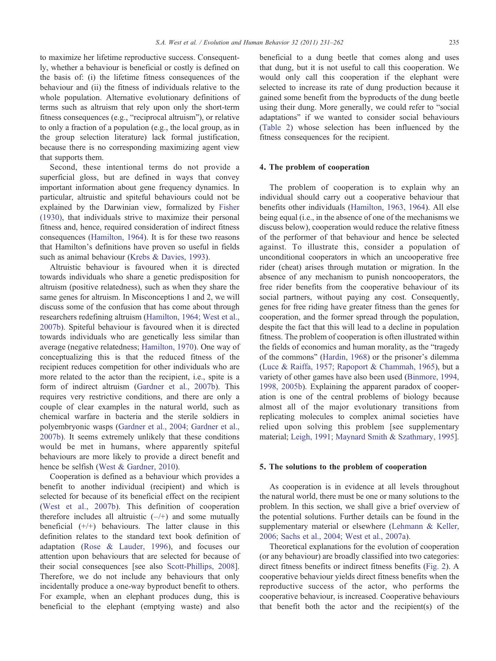<span id="page-4-0"></span>to maximize her lifetime reproductive success. Consequently, whether a behaviour is beneficial or costly is defined on the basis of: (i) the lifetime fitness consequences of the behaviour and (ii) the fitness of individuals relative to the whole population. Alternative evolutionary definitions of terms such as altruism that rely upon only the short-term fitness consequences (e.g., "reciprocal altruism"), or relative to only a fraction of a population (e.g., the local group, as in the group selection literature) lack formal justification, because there is no corresponding maximizing agent view that supports them.

Second, these intentional terms do not provide a superficial gloss, but are defined in ways that convey important information about gene frequency dynamics. In particular, altruistic and spiteful behaviours could not be explained by the Darwinian view, formalized by [Fisher](#page-26-0) [\(1930\)](#page-26-0), that individuals strive to maximize their personal fitness and, hence, required consideration of indirect fitness consequences ([Hamilton, 1964](#page-27-0)). It is for these two reasons that Hamilton's definitions have proven so useful in fields such as animal behaviour ([Krebs & Davies, 1993](#page-28-0)).

Altruistic behaviour is favoured when it is directed towards individuals who share a genetic predisposition for altruism (positive relatedness), such as when they share the same genes for altruism. In Misconceptions 1 and 2, we will discuss some of the confusion that has come about through researchers redefining altruism [\(Hamilton, 1964; West et al.,](#page-27-0) [2007b\)](#page-27-0). Spiteful behaviour is favoured when it is directed towards individuals who are genetically less similar than average (negative relatedness; [Hamilton, 1970\)](#page-27-0). One way of conceptualizing this is that the reduced fitness of the recipient reduces competition for other individuals who are more related to the actor than the recipient, i.e., spite is a form of indirect altruism ([Gardner et al., 2007b\)](#page-27-0). This requires very restrictive conditions, and there are only a couple of clear examples in the natural world, such as chemical warfare in bacteria and the sterile soldiers in polyembryonic wasps ([Gardner et al., 2004; Gardner et al.,](#page-27-0) [2007b\)](#page-27-0). It seems extremely unlikely that these conditions would be met in humans, where apparently spiteful behaviours are more likely to provide a direct benefit and hence be selfish [\(West & Gardner, 2010\)](#page-30-0).

Cooperation is defined as a behaviour which provides a benefit to another individual (recipient) and which is selected for because of its beneficial effect on the recipient [\(West et al., 2007b\)](#page-30-0). This definition of cooperation therefore includes all altruistic  $(-/+)$  and some mutually beneficial  $(+/+)$  behaviours. The latter clause in this definition relates to the standard text book definition of adaptation [\(Rose & Lauder, 1996](#page-30-0)), and focuses our attention upon behaviours that are selected for because of their social consequences [see also [Scott-Phillips, 2008](#page-30-0)]. Therefore, we do not include any behaviours that only incidentally produce a one-way byproduct benefit to others. For example, when an elephant produces dung, this is beneficial to the elephant (emptying waste) and also

beneficial to a dung beetle that comes along and uses that dung, but it is not useful to call this cooperation. We would only call this cooperation if the elephant were selected to increase its rate of dung production because it gained some benefit from the byproducts of the dung beetle using their dung. More generally, we could refer to "social adaptations" if we wanted to consider social behaviours [\(Table 2\)](#page-3-0) whose selection has been influenced by the fitness consequences for the recipient.

#### 4. The problem of cooperation

The problem of cooperation is to explain why an individual should carry out a cooperative behaviour that benefits other individuals [\(Hamilton, 1963, 1964](#page-27-0)). All else being equal (i.e., in the absence of one of the mechanisms we discuss below), cooperation would reduce the relative fitness of the performer of that behaviour and hence be selected against. To illustrate this, consider a population of unconditional cooperators in which an uncooperative free rider (cheat) arises through mutation or migration. In the absence of any mechanism to punish noncooperators, the free rider benefits from the cooperative behaviour of its social partners, without paying any cost. Consequently, genes for free riding have greater fitness than the genes for cooperation, and the former spread through the population, despite the fact that this will lead to a decline in population fitness. The problem of cooperation is often illustrated within the fields of economics and human morality, as the "tragedy of the commons" ([Hardin, 1968\)](#page-27-0) or the prisoner's dilemma [\(Luce & Raiffa, 1957; Rapoport & Chammah, 1965\)](#page-28-0), but a variety of other games have also been used ([Binmore, 1994,](#page-25-0) [1998, 2005b\)](#page-25-0). Explaining the apparent paradox of cooperation is one of the central problems of biology because almost all of the major evolutionary transitions from replicating molecules to complex animal societies have relied upon solving this problem [see supplementary material; [Leigh, 1991; Maynard Smith & Szathmary, 1995](#page-28-0)].

#### 5. The solutions to the problem of cooperation

As cooperation is in evidence at all levels throughout the natural world, there must be one or many solutions to the problem. In this section, we shall give a brief overview of the potential solutions. Further details can be found in the supplementary material or elsewhere [\(Lehmann & Keller,](#page-28-0) [2006; Sachs et al., 2004; West et al., 2007a](#page-28-0)).

Theoretical explanations for the evolution of cooperation (or any behaviour) are broadly classified into two categories: direct fitness benefits or indirect fitness benefits [\(Fig. 2\)](#page-5-0). A cooperative behaviour yields direct fitness benefits when the reproductive success of the actor, who performs the cooperative behaviour, is increased. Cooperative behaviours that benefit both the actor and the recipient(s) of the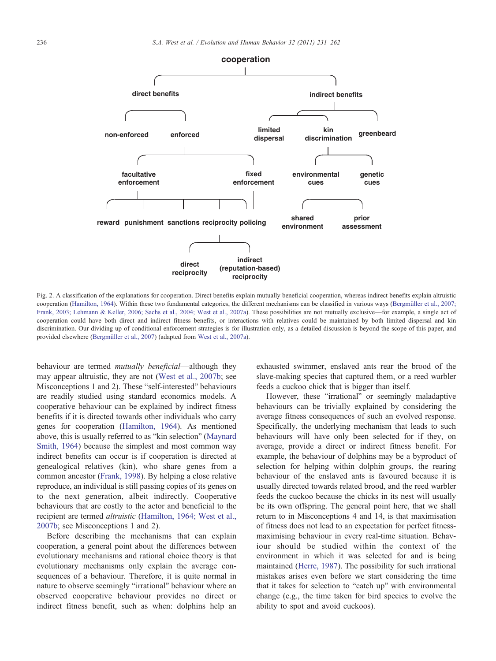<span id="page-5-0"></span>

Fig. 2. A classification of the explanations for cooperation. Direct benefits explain mutually beneficial cooperation, whereas indirect benefits explain altruistic cooperation [\(Hamilton, 1964](#page-27-0)). Within these two fundamental categories, the different mechanisms can be classified in various ways [\(Bergmüller et al., 2007;](#page-25-0) [Frank, 2003; Lehmann & Keller, 2006; Sachs et al., 2004; West et al., 2007a\)](#page-25-0). These possibilities are not mutually exclusive—for example, a single act of cooperation could have both direct and indirect fitness benefits, or interactions with relatives could be maintained by both limited dispersal and kin discrimination. Our dividing up of conditional enforcement strategies is for illustration only, as a detailed discussion is beyond the scope of this paper, and provided elsewhere ([Bergmüller et al., 2007\)](#page-25-0) (adapted from [West et al., 2007a\)](#page-30-0).

behaviour are termed *mutually beneficial*—although they may appear altruistic, they are not ([West et al., 2007b](#page-30-0); see Misconceptions 1 and 2). These "self-interested" behaviours are readily studied using standard economics models. A cooperative behaviour can be explained by indirect fitness benefits if it is directed towards other individuals who carry genes for cooperation [\(Hamilton, 1964](#page-27-0)). As mentioned above, this is usually referred to as "kin selection" [\(Maynard](#page-28-0) [Smith, 1964\)](#page-28-0) because the simplest and most common way indirect benefits can occur is if cooperation is directed at genealogical relatives (kin), who share genes from a common ancestor [\(Frank, 1998](#page-26-0)). By helping a close relative reproduce, an individual is still passing copies of its genes on to the next generation, albeit indirectly. Cooperative behaviours that are costly to the actor and beneficial to the recipient are termed *altruistic* ([Hamilton, 1964; West et al.,](#page-27-0) [2007b;](#page-27-0) see Misconceptions 1 and 2).

Before describing the mechanisms that can explain cooperation, a general point about the differences between evolutionary mechanisms and rational choice theory is that evolutionary mechanisms only explain the average consequences of a behaviour. Therefore, it is quite normal in nature to observe seemingly "irrational" behaviour where an observed cooperative behaviour provides no direct or indirect fitness benefit, such as when: dolphins help an

exhausted swimmer, enslaved ants rear the brood of the slave-making species that captured them, or a reed warbler feeds a cuckoo chick that is bigger than itself.

However, these "irrational" or seemingly maladaptive behaviours can be trivially explained by considering the average fitness consequences of such an evolved response. Specifically, the underlying mechanism that leads to such behaviours will have only been selected for if they, on average, provide a direct or indirect fitness benefit. For example, the behaviour of dolphins may be a byproduct of selection for helping within dolphin groups, the rearing behaviour of the enslaved ants is favoured because it is usually directed towards related brood, and the reed warbler feeds the cuckoo because the chicks in its nest will usually be its own offspring. The general point here, that we shall return to in Misconceptions 4 and 14, is that maximisation of fitness does not lead to an expectation for perfect fitnessmaximising behaviour in every real-time situation. Behaviour should be studied within the context of the environment in which it was selected for and is being maintained ([Herre, 1987\)](#page-28-0). The possibility for such irrational mistakes arises even before we start considering the time that it takes for selection to "catch up" with environmental change (e.g., the time taken for bird species to evolve the ability to spot and avoid cuckoos).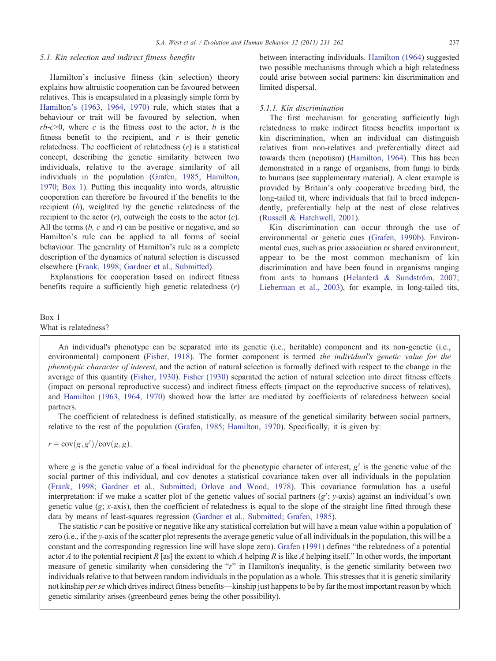#### <span id="page-6-0"></span>5.1. Kin selection and indirect fitness benefits

Hamilton's inclusive fitness (kin selection) theory explains how altruistic cooperation can be favoured between relatives. This is encapsulated in a pleasingly simple form by [Hamilton's \(1963, 1964, 1970\)](#page-27-0) rule, which states that a behaviour or trait will be favoured by selection, when  $rb-c>0$ , where c is the fitness cost to the actor, b is the fitness benefit to the recipient, and  $r$  is their genetic relatedness. The coefficient of relatedness  $(r)$  is a statistical concept, describing the genetic similarity between two individuals, relative to the average similarity of all individuals in the population [\(Grafen, 1985; Hamilton,](#page-27-0) [1970; Box 1\)](#page-27-0). Putting this inequality into words, altruistic cooperation can therefore be favoured if the benefits to the recipient (b), weighted by the genetic relatedness of the recipient to the actor  $(r)$ , outweigh the costs to the actor  $(c)$ . All the terms  $(b, c \text{ and } r)$  can be positive or negative, and so Hamilton's rule can be applied to all forms of social behaviour. The generality of Hamilton's rule as a complete description of the dynamics of natural selection is discussed elsewhere ([Frank, 1998; Gardner et al., Submitted\)](#page-26-0).

Explanations for cooperation based on indirect fitness benefits require a sufficiently high genetic relatedness  $(r)$  between interacting individuals. [Hamilton \(1964\)](#page-27-0) suggested two possible mechanisms through which a high relatedness could arise between social partners: kin discrimination and limited dispersal.

#### 5.1.1. Kin discrimination

The first mechanism for generating sufficiently high relatedness to make indirect fitness benefits important is kin discrimination, when an individual can distinguish relatives from non-relatives and preferentially direct aid towards them (nepotism) [\(Hamilton, 1964](#page-27-0)). This has been demonstrated in a range of organisms, from fungi to birds to humans (see supplementary material). A clear example is provided by Britain's only cooperative breeding bird, the long-tailed tit, where individuals that fail to breed independently, preferentially help at the nest of close relatives [\(Russell & Hatchwell, 2001](#page-30-0)).

Kin discrimination can occur through the use of environmental or genetic cues ([Grafen, 1990b](#page-27-0)). Environmental cues, such as prior association or shared environment, appear to be the most common mechanism of kin discrimination and have been found in organisms ranging from ants to humans ([Helanterä & Sundström, 2007;](#page-27-0) [Lieberman et al., 2003](#page-27-0)), for example, in long-tailed tits,

# Box 1 What is relatedness?

An individual's phenotype can be separated into its genetic (i.e., heritable) component and its non-genetic (i.e., environmental) component [\(Fisher, 1918\)](#page-26-0). The former component is termed the individual's genetic value for the phenotypic character of interest, and the action of natural selection is formally defined with respect to the change in the average of this quantity ([Fisher, 1930](#page-26-0)). [Fisher \(1930\)](#page-26-0) separated the action of natural selection into direct fitness effects (impact on personal reproductive success) and indirect fitness effects (impact on the reproductive success of relatives), and [Hamilton \(1963, 1964, 1970\)](#page-27-0) showed how the latter are mediated by coefficients of relatedness between social partners.

The coefficient of relatedness is defined statistically, as measure of the genetical similarity between social partners, relative to the rest of the population ([Grafen, 1985; Hamilton, 1970](#page-27-0)). Specifically, it is given by:

 $r = \text{cov}(g, g') / \text{cov}(g, g)$ ,

where g is the genetic value of a focal individual for the phenotypic character of interest,  $g'$  is the genetic value of the social partner of this individual, and cov denotes a statistical covariance taken over all individuals in the population ([Frank, 1998; Gardner et al., Submitted; Orlove and Wood, 1978](#page-26-0)). This covariance formulation has a useful interpretation: if we make a scatter plot of the genetic values of social partners  $(g'; y\text{-axis})$  against an individual's own genetic value  $(g; x\text{-axis})$ , then the coefficient of relatedness is equal to the slope of the straight line fitted through these data by means of least-squares regression [\(Gardner et al., Submitted; Grafen, 1985](#page-27-0)).

The statistic  $r$  can be positive or negative like any statistical correlation but will have a mean value within a population of zero (i.e., if the y-axis of the scatter plot represents the average genetic value of all individuals in the population, this will be a constant and the corresponding regression line will have slope zero). [Grafen \(1991\)](#page-27-0) defines "the relatedness of a potential actor A to the potential recipient R [as] the extent to which A helping R is like A helping itself." In other words, the important measure of genetic similarity when considering the "r" in Hamilton's inequality, is the genetic similarity between two individuals relative to that between random individuals in the population as a whole. This stresses that it is genetic similarity not kinship *per se* which drives indirect fitness benefits—kinship just happens to be by far the most important reason by which genetic similarity arises (greenbeard genes being the other possibility).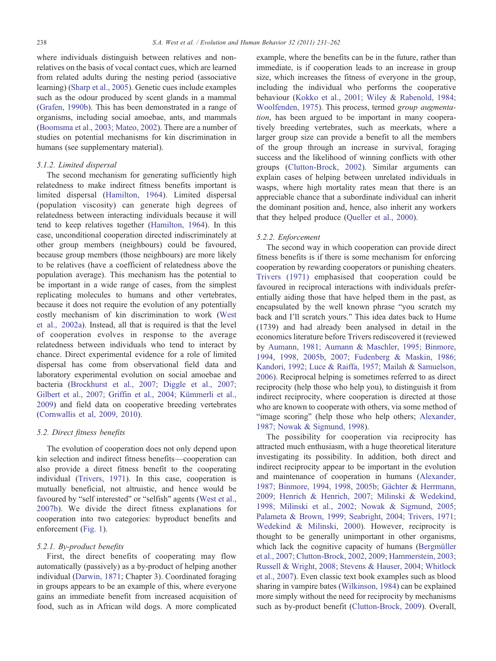<span id="page-7-0"></span>where individuals distinguish between relatives and nonrelatives on the basis of vocal contact cues, which are learned from related adults during the nesting period (associative learning) [\(Sharp et al., 2005\)](#page-30-0). Genetic cues include examples such as the odour produced by scent glands in a mammal [\(Grafen, 1990b](#page-27-0)). This has been demonstrated in a range of organisms, including social amoebae, ants, and mammals [\(Boomsma et al., 2003; Mateo, 2002](#page-25-0)). There are a number of studies on potential mechanisms for kin discrimination in humans (see supplementary material).

## 5.1.2. Limited dispersal

The second mechanism for generating sufficiently high relatedness to make indirect fitness benefits important is limited dispersal ([Hamilton, 1964\)](#page-27-0). Limited dispersal (population viscosity) can generate high degrees of relatedness between interacting individuals because it will tend to keep relatives together ([Hamilton, 1964](#page-27-0)). In this case, unconditional cooperation directed indiscriminately at other group members (neighbours) could be favoured, because group members (those neighbours) are more likely to be relatives (have a coefficient of relatedness above the population average). This mechanism has the potential to be important in a wide range of cases, from the simplest replicating molecules to humans and other vertebrates, because it does not require the evolution of any potentially costly mechanism of kin discrimination to work ([West](#page-30-0) [et al., 2002a](#page-30-0)). Instead, all that is required is that the level of cooperation evolves in response to the average relatedness between individuals who tend to interact by chance. Direct experimental evidence for a role of limited dispersal has come from observational field data and laboratory experimental evolution on social amoebae and bacteria ([Brockhurst et al., 2007; Diggle et al., 2007;](#page-25-0) [Gilbert et al., 2007; Griffin et al., 2004; Kümmerli et al.,](#page-25-0) [2009](#page-25-0)) and field data on cooperative breeding vertebrates [\(Cornwallis et al, 2009, 2010\)](#page-26-0).

## 5.2. Direct fitness benefits

The evolution of cooperation does not only depend upon kin selection and indirect fitness benefits—cooperation can also provide a direct fitness benefit to the cooperating individual ([Trivers, 1971\)](#page-30-0). In this case, cooperation is mutually beneficial, not altruistic, and hence would be favoured by "self interested" or "selfish" agents ([West et al.,](#page-30-0) [2007b](#page-30-0)). We divide the direct fitness explanations for cooperation into two categories: byproduct benefits and enforcement ([Fig. 1](#page-2-0)).

## 5.2.1. By-product benefits

First, the direct benefits of cooperating may flow automatically (passively) as a by-product of helping another individual [\(Darwin, 1871](#page-26-0); Chapter 3). Coordinated foraging in groups appears to be an example of this, where everyone gains an immediate benefit from increased acquisition of food, such as in African wild dogs. A more complicated

example, where the benefits can be in the future, rather than immediate, is if cooperation leads to an increase in group size, which increases the fitness of everyone in the group, including the individual who performs the cooperative behaviour ([Kokko et al., 2001; Wiley & Rabenold, 1984;](#page-28-0) [Woolfenden, 1975](#page-28-0)). This process, termed group augmentation, has been argued to be important in many cooperatively breeding vertebrates, such as meerkats, where a larger group size can provide a benefit to all the members of the group through an increase in survival, foraging success and the likelihood of winning conflicts with other groups ([Clutton-Brock, 2002](#page-26-0)). Similar arguments can explain cases of helping between unrelated individuals in wasps, where high mortality rates mean that there is an appreciable chance that a subordinate individual can inherit the dominant position and, hence, also inherit any workers that they helped produce [\(Queller et al., 2000\)](#page-29-0).

#### 5.2.2. Enforcement

The second way in which cooperation can provide direct fitness benefits is if there is some mechanism for enforcing cooperation by rewarding cooperators or punishing cheaters. [Trivers \(1971\)](#page-30-0) emphasised that cooperation could be favoured in reciprocal interactions with individuals preferentially aiding those that have helped them in the past, as encapsulated by the well known phrase "you scratch my back and I'll scratch yours." This idea dates back to Hume (1739) and had already been analysed in detail in the economics literature before Trivers rediscovered it (reviewed by [Aumann, 1981; Aumann & Maschler, 1995; Binmore,](#page-25-0) [1994, 1998, 2005b, 2007; Fudenberg & Maskin, 1986;](#page-25-0) [Kandori, 1992; Luce & Raiffa, 1957; Mailah & Samuelson,](#page-25-0) [2006](#page-25-0)). Reciprocal helping is sometimes referred to as direct reciprocity (help those who help you), to distinguish it from indirect reciprocity, where cooperation is directed at those who are known to cooperate with others, via some method of "image scoring" (help those who help others; [Alexander,](#page-25-0) [1987; Nowak & Sigmund, 1998](#page-25-0)).

The possibility for cooperation via reciprocity has attracted much enthusiasm, with a huge theoretical literature investigating its possibility. In addition, both direct and indirect reciprocity appear to be important in the evolution and maintenance of cooperation in humans ([Alexander,](#page-25-0) [1987; Binmore, 1994, 1998, 2005b; Gächter & Herrmann,](#page-25-0) [2009; Henrich & Henrich, 2007; Milinski & Wedekind,](#page-25-0) [1998; Milinski et al., 2002; Nowak & Sigmund, 2005;](#page-25-0) [Palameta & Brown, 1999; Seabright, 2004; Trivers, 1971;](#page-25-0) [Wedekind & Milinski, 2000](#page-25-0)). However, reciprocity is thought to be generally unimportant in other organisms, which lack the cognitive capacity of humans [\(Bergmüller](#page-25-0) [et al., 2007; Clutton-Brock, 2002, 2009](#page-25-0); [Hammerstein, 2003;](#page-27-0) [Russell & Wright, 2008; Stevens & Hauser, 2004; Whitlock](#page-27-0) [et al., 2007](#page-27-0)). Even classic text book examples such as blood sharing in vampire bates ([Wilkinson, 1984\)](#page-31-0) can be explained more simply without the need for reciprocity by mechanisms such as by-product benefit ([Clutton-Brock, 2009\)](#page-26-0). Overall,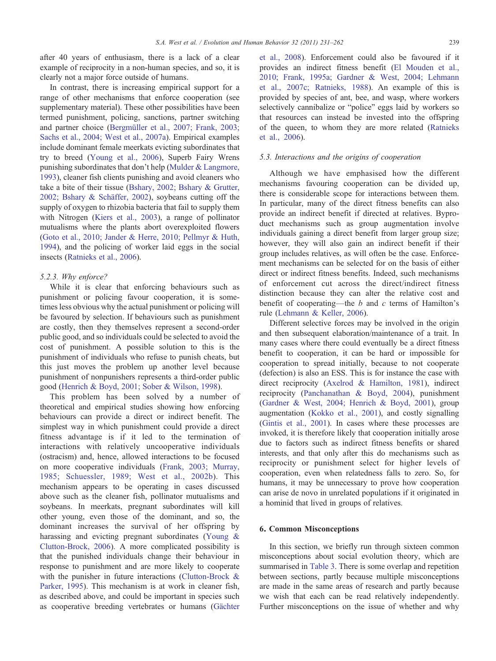<span id="page-8-0"></span>after 40 years of enthusiasm, there is a lack of a clear example of reciprocity in a non-human species, and so, it is clearly not a major force outside of humans.

In contrast, there is increasing empirical support for a range of other mechanisms that enforce cooperation (see supplementary material). These other possibilities have been termed punishment, policing, sanctions, partner switching and partner choice [\(Bergmüller et al., 2007; Frank, 2003;](#page-25-0) [Sachs et al., 2004; West et al., 2007a\)](#page-25-0). Empirical examples include dominant female meerkats evicting subordinates that try to breed ([Young et al., 2006](#page-31-0)), Superb Fairy Wrens punishing subordinates that don't help ([Mulder & Langmore,](#page-29-0) [1993\)](#page-29-0), cleaner fish clients punishing and avoid cleaners who take a bite of their tissue [\(Bshary, 2002; Bshary & Grutter,](#page-25-0) [2002; Bshary & Schäffer, 2002\)](#page-25-0), soybeans cutting off the supply of oxygen to rhizobia bacteria that fail to supply them with Nitrogen ([Kiers et al., 2003\)](#page-28-0), a range of pollinator mutualisms where the plants abort overexploited flowers [\(Goto et al., 2010; Jander & Herre, 2010; Pellmyr & Huth,](#page-27-0) [1994\)](#page-27-0), and the policing of worker laid eggs in the social insects ([Ratnieks et al., 2006\)](#page-29-0).

#### 5.2.3. Why enforce?

While it is clear that enforcing behaviours such as punishment or policing favour cooperation, it is sometimes less obvious why the actual punishment or policing will be favoured by selection. If behaviours such as punishment are costly, then they themselves represent a second-order public good, and so individuals could be selected to avoid the cost of punishment. A possible solution to this is the punishment of individuals who refuse to punish cheats, but this just moves the problem up another level because punishment of nonpunishers represents a third-order public good ([Henrich & Boyd, 2001; Sober & Wilson, 1998\)](#page-28-0).

This problem has been solved by a number of theoretical and empirical studies showing how enforcing behaviours can provide a direct or indirect benefit. The simplest way in which punishment could provide a direct fitness advantage is if it led to the termination of interactions with relatively uncooperative individuals (ostracism) and, hence, allowed interactions to be focused on more cooperative individuals ([Frank, 2003; Murray,](#page-26-0) [1985; Schuessler, 1989; West et al., 2002b](#page-26-0)). This mechanism appears to be operating in cases discussed above such as the cleaner fish, pollinator mutualisms and soybeans. In meerkats, pregnant subordinates will kill other young, even those of the dominant, and so, the dominant increases the survival of her offspring by harassing and evicting pregnant subordinates ([Young &](#page-31-0) [Clutton-Brock, 2006\)](#page-31-0). A more complicated possibility is that the punished individuals change their behaviour in response to punishment and are more likely to cooperate with the punisher in future interactions ([Clutton-Brock &](#page-26-0) [Parker, 1995\)](#page-26-0). This mechanism is at work in cleaner fish, as described above, and could be important in species such as cooperative breeding vertebrates or humans ([Gächter](#page-26-0)

[et al., 2008\)](#page-26-0). Enforcement could also be favoured if it provides an indirect fitness benefit ([El Mouden et al.,](#page-26-0) [2010; Frank, 1995a; Gardner & West, 2004; Lehmann](#page-26-0) [et al., 2007c; Ratnieks, 1988](#page-26-0)). An example of this is provided by species of ant, bee, and wasp, where workers selectively cannibalize or "police" eggs laid by workers so that resources can instead be invested into the offspring of the queen, to whom they are more related [\(Ratnieks](#page-29-0) [et al., 2006\)](#page-29-0).

## 5.3. Interactions and the origins of cooperation

Although we have emphasised how the different mechanisms favouring cooperation can be divided up, there is considerable scope for interactions between them. In particular, many of the direct fitness benefits can also provide an indirect benefit if directed at relatives. Byproduct mechanisms such as group augmentation involve individuals gaining a direct benefit from larger group size; however, they will also gain an indirect benefit if their group includes relatives, as will often be the case. Enforcement mechanisms can be selected for on the basis of either direct or indirect fitness benefits. Indeed, such mechanisms of enforcement cut across the direct/indirect fitness distinction because they can alter the relative cost and benefit of cooperating—the  $b$  and  $c$  terms of Hamilton's rule ([Lehmann & Keller, 2006](#page-28-0)).

Different selective forces may be involved in the origin and then subsequent elaboration/maintenance of a trait. In many cases where there could eventually be a direct fitness benefit to cooperation, it can be hard or impossible for cooperation to spread initially, because to not cooperate (defection) is also an ESS. This is for instance the case with direct reciprocity ([Axelrod & Hamilton, 1981](#page-25-0)), indirect reciprocity ([Panchanathan & Boyd, 2004\)](#page-29-0), punishment [\(Gardner & West, 2004; Henrich & Boyd, 2001](#page-26-0)), group augmentation ([Kokko et al., 2001](#page-28-0)), and costly signalling [\(Gintis et al., 2001\)](#page-27-0). In cases where these processes are invoked, it is therefore likely that cooperation initially arose due to factors such as indirect fitness benefits or shared interests, and that only after this do mechanisms such as reciprocity or punishment select for higher levels of cooperation, even when relatedness falls to zero. So, for humans, it may be unnecessary to prove how cooperation can arise de novo in unrelated populations if it originated in a hominid that lived in groups of relatives.

# 6. Common Misconceptions

In this section, we briefly run through sixteen common misconceptions about social evolution theory, which are summarised in [Table 3.](#page-9-0) There is some overlap and repetition between sections, partly because multiple misconceptions are made in the same areas of research and partly because we wish that each can be read relatively independently. Further misconceptions on the issue of whether and why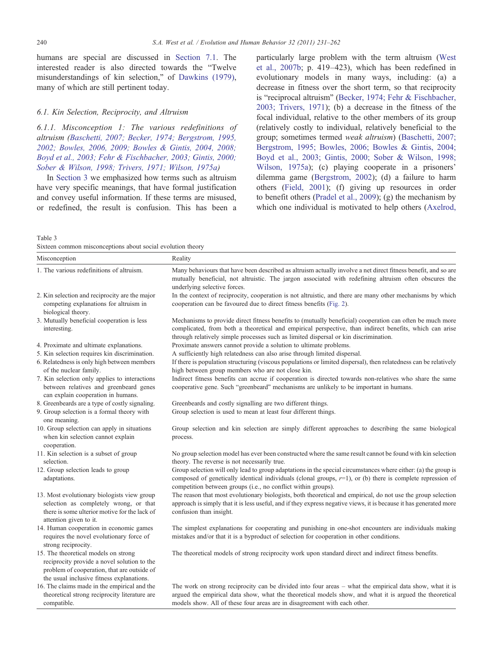<span id="page-9-0"></span>humans are special are discussed in [Section 7.1.](#page-23-0) The interested reader is also directed towards the "Twelve misunderstandings of kin selection," of [Dawkins \(1979\),](#page-26-0) many of which are still pertinent today.

#### 6.1. Kin Selection, Reciprocity, and Altruism

6.1.1. Misconception 1: The various redefinitions of altruism ([Baschetti, 2007; Becker, 1974; Bergstrom, 1995,](#page-25-0) [2002; Bowles, 2006, 2009; Bowles & Gintis, 2004, 2008;](#page-25-0) [Boyd et al., 2003; Fehr & Fischbacher, 2003; Gintis, 2000;](#page-25-0) [Sober & Wilson, 1998; Trivers, 1971; Wilson, 1975a](#page-25-0))

In [Section 3](#page-3-0) we emphasized how terms such as altruism have very specific meanings, that have formal justification and convey useful information. If these terms are misused, or redefined, the result is confusion. This has been a particularly large problem with the term altruism ([West](#page-30-0) [et al., 2007b;](#page-30-0) p. 419–423), which has been redefined in evolutionary models in many ways, including: (a) a decrease in fitness over the short term, so that reciprocity is "reciprocal altruism" [\(Becker, 1974; Fehr & Fischbacher,](#page-25-0) [2003; Trivers, 1971](#page-25-0)); (b) a decrease in the fitness of the focal individual, relative to the other members of its group (relatively costly to individual, relatively beneficial to the group; sometimes termed weak altruism) ([Baschetti, 2007;](#page-25-0) [Bergstrom, 1995; Bowles, 2006; Bowles & Gintis, 2004;](#page-25-0) [Boyd et al., 2003; Gintis, 2000; Sober & Wilson, 1998;](#page-25-0) [Wilson, 1975a](#page-25-0)); (c) playing cooperate in a prisoners' dilemma game [\(Bergstrom, 2002\)](#page-25-0); (d) a failure to harm others ([Field, 2001](#page-26-0)); (f) giving up resources in order to benefit others ([Pradel et al., 2009\)](#page-29-0); (g) the mechanism by which one individual is motivated to help others [\(Axelrod,](#page-25-0)

Table 3

| Sixteen common misconceptions about social evolution theory |  |  |  |  |
|-------------------------------------------------------------|--|--|--|--|
|-------------------------------------------------------------|--|--|--|--|

| Misconception                                                                                                                                                                   | Reality                                                                                                                                                                                                                                                                                                      |
|---------------------------------------------------------------------------------------------------------------------------------------------------------------------------------|--------------------------------------------------------------------------------------------------------------------------------------------------------------------------------------------------------------------------------------------------------------------------------------------------------------|
| 1. The various redefinitions of altruism.                                                                                                                                       | Many behaviours that have been described as altruism actually involve a net direct fitness benefit, and so are<br>mutually beneficial, not altruistic. The jargon associated with redefining altruism often obscures the<br>underlying selective forces.                                                     |
| 2. Kin selection and reciprocity are the major<br>competing explanations for altruism in<br>biological theory.                                                                  | In the context of reciprocity, cooperation is not altruistic, and there are many other mechanisms by which<br>cooperation can be favoured due to direct fitness benefits (Fig. 2).                                                                                                                           |
| 3. Mutually beneficial cooperation is less<br>interesting.                                                                                                                      | Mechanisms to provide direct fitness benefits to (mutually beneficial) cooperation can often be much more<br>complicated, from both a theoretical and empirical perspective, than indirect benefits, which can arise<br>through relatively simple processes such as limited dispersal or kin discrimination. |
| 4. Proximate and ultimate explanations.                                                                                                                                         | Proximate answers cannot provide a solution to ultimate problems.                                                                                                                                                                                                                                            |
| 5. Kin selection requires kin discrimination.                                                                                                                                   | A sufficiently high relatedness can also arise through limited dispersal.                                                                                                                                                                                                                                    |
| 6. Relatedness is only high between members<br>of the nuclear family.                                                                                                           | If there is population structuring (viscous populations or limited dispersal), then relatedness can be relatively<br>high between group members who are not close kin.                                                                                                                                       |
| 7. Kin selection only applies to interactions<br>between relatives and greenbeard genes<br>can explain cooperation in humans.                                                   | Indirect fitness benefits can accrue if cooperation is directed towards non-relatives who share the same<br>cooperative gene. Such "greenbeard" mechanisms are unlikely to be important in humans.                                                                                                           |
| 8. Greenbeards are a type of costly signaling.                                                                                                                                  | Greenbeards and costly signalling are two different things.                                                                                                                                                                                                                                                  |
| 9. Group selection is a formal theory with<br>one meaning.                                                                                                                      | Group selection is used to mean at least four different things.                                                                                                                                                                                                                                              |
| 10. Group selection can apply in situations<br>when kin selection cannot explain<br>cooperation.                                                                                | Group selection and kin selection are simply different approaches to describing the same biological<br>process.                                                                                                                                                                                              |
| 11. Kin selection is a subset of group<br>selection.                                                                                                                            | No group selection model has ever been constructed where the same result cannot be found with kin selection<br>theory. The reverse is not necessarily true.                                                                                                                                                  |
| 12. Group selection leads to group<br>adaptations.                                                                                                                              | Group selection will only lead to group adaptations in the special circumstances where either: (a) the group is<br>composed of genetically identical individuals (clonal groups, $r=1$ ), or (b) there is complete repression of<br>competition between groups (i.e., no conflict within groups).            |
| 13. Most evolutionary biologists view group<br>selection as completely wrong, or that<br>there is some ulterior motive for the lack of<br>attention given to it.                | The reason that most evolutionary biologists, both theoretical and empirical, do not use the group selection<br>approach is simply that it is less useful, and if they express negative views, it is because it has generated more<br>confusion than insight.                                                |
| 14. Human cooperation in economic games<br>requires the novel evolutionary force of<br>strong reciprocity.                                                                      | The simplest explanations for cooperating and punishing in one-shot encounters are individuals making<br>mistakes and/or that it is a byproduct of selection for cooperation in other conditions.                                                                                                            |
| 15. The theoretical models on strong<br>reciprocity provide a novel solution to the<br>problem of cooperation, that are outside of<br>the usual inclusive fitness explanations. | The theoretical models of strong reciprocity work upon standard direct and indirect fitness benefits.                                                                                                                                                                                                        |
| 16. The claims made in the empirical and the<br>theoretical strong reciprocity literature are<br>compatible.                                                                    | The work on strong reciprocity can be divided into four areas – what the empirical data show, what it is<br>argued the empirical data show, what the theoretical models show, and what it is argued the theoretical<br>models show. All of these four areas are in disagreement with each other.             |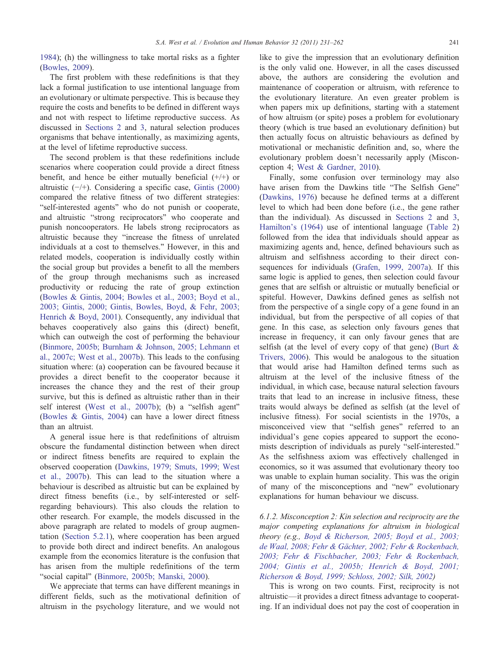[1984\)](#page-25-0); (h) the willingness to take mortal risks as a fighter [\(Bowles, 2009](#page-25-0)).

The first problem with these redefinitions is that they lack a formal justification to use intentional language from an evolutionary or ultimate perspective. This is because they require the costs and benefits to be defined in different ways and not with respect to lifetime reproductive success. As discussed in [Sections 2](#page-1-0) and [3](#page-3-0), natural selection produces organisms that behave intentionally, as maximizing agents, at the level of lifetime reproductive success.

The second problem is that these redefinitions include scenarios where cooperation could provide a direct fitness benefit, and hence be either mutually beneficial (+/+) or altruistic (−/+). Considering a specific case, [Gintis \(2000\)](#page-27-0) compared the relative fitness of two different strategies: "self-interested agents" who do not punish or cooperate, and altruistic "strong reciprocators" who cooperate and punish noncooperators. He labels strong reciprocators as altruistic because they "increase the fitness of unrelated individuals at a cost to themselves." However, in this and related models, cooperation is individually costly within the social group but provides a benefit to all the members of the group through mechanisms such as increased productivity or reducing the rate of group extinction [\(Bowles & Gintis, 2004; Bowles et al., 2003; Boyd et al.,](#page-25-0) [2003; Gintis, 2000; Gintis, Bowles, Boyd, & Fehr, 2003;](#page-25-0) [Henrich & Boyd, 2001](#page-25-0)). Consequently, any individual that behaves cooperatively also gains this (direct) benefit, which can outweigh the cost of performing the behaviour [\(Binmore, 2005b; Burnham & Johnson, 2005; Lehmann et](#page-25-0) [al., 2007c; West et al., 2007b\)](#page-25-0). This leads to the confusing situation where: (a) cooperation can be favoured because it provides a direct benefit to the cooperator because it increases the chance they and the rest of their group survive, but this is defined as altruistic rather than in their self interest [\(West et al., 2007b\)](#page-30-0); (b) a "selfish agent" [\(Bowles & Gintis, 2004\)](#page-25-0) can have a lower direct fitness than an altruist.

A general issue here is that redefinitions of altruism obscure the fundamental distinction between when direct or indirect fitness benefits are required to explain the observed cooperation [\(Dawkins, 1979; Smuts, 1999; West](#page-26-0) [et al., 2007b\)](#page-26-0). This can lead to the situation where a behaviour is described as altruistic but can be explained by direct fitness benefits (i.e., by self-interested or selfregarding behaviours). This also clouds the relation to other research. For example, the models discussed in the above paragraph are related to models of group augmentation ([Section 5.2.1](#page-7-0)), where cooperation has been argued to provide both direct and indirect benefits. An analogous example from the economics literature is the confusion that has arisen from the multiple redefinitions of the term "social capital" ([Binmore, 2005b; Manski, 2000\)](#page-25-0).

We appreciate that terms can have different meanings in different fields, such as the motivational definition of altruism in the psychology literature, and we would not like to give the impression that an evolutionary definition is the only valid one. However, in all the cases discussed above, the authors are considering the evolution and maintenance of cooperation or altruism, with reference to the evolutionary literature. An even greater problem is when papers mix up definitions, starting with a statement of how altruism (or spite) poses a problem for evolutionary theory (which is true based an evolutionary definition) but then actually focus on altruistic behaviours as defined by motivational or mechanistic definition and, so, where the evolutionary problem doesn't necessarily apply (Misconception 4; [West & Gardner, 2010](#page-30-0)).

Finally, some confusion over terminology may also have arisen from the Dawkins title "The Selfish Gene" [\(Dawkins, 1976](#page-26-0)) because he defined terms at a different level to which had been done before (i.e., the gene rather than the individual). As discussed in [Sections 2](#page-1-0) and [3](#page-3-0), [Hamilton's \(1964\)](#page-27-0) use of intentional language [\(Table 2\)](#page-3-0) followed from the idea that individuals should appear as maximizing agents and, hence, defined behaviours such as altruism and selfishness according to their direct consequences for individuals ([Grafen, 1999, 2007a\)](#page-27-0). If this same logic is applied to genes, then selection could favour genes that are selfish or altruistic or mutually beneficial or spiteful. However, Dawkins defined genes as selfish not from the perspective of a single copy of a gene found in an individual, but from the perspective of all copies of that gene. In this case, as selection only favours genes that increase in frequency, it can only favour genes that are selfish (at the level of every copy of that gene) [\(Burt &](#page-25-0) [Trivers, 2006](#page-25-0)). This would be analogous to the situation that would arise had Hamilton defined terms such as altruism at the level of the inclusive fitness of the individual, in which case, because natural selection favours traits that lead to an increase in inclusive fitness, these traits would always be defined as selfish (at the level of inclusive fitness). For social scientists in the 1970s, a misconceived view that "selfish genes" referred to an individual's gene copies appeared to support the economists description of individuals as purely "self-interested." As the selfishness axiom was effectively challenged in economics, so it was assumed that evolutionary theory too was unable to explain human sociality. This was the origin of many of the misconceptions and "new" evolutionary explanations for human behaviour we discuss.

6.1.2. Misconception 2: Kin selection and reciprocity are the major competing explanations for altruism in biological theory (e.g., [Boyd & Richerson, 2005; Boyd et al., 2003;](#page-25-0) [de Waal, 2008; Fehr & Gächter, 2002; Fehr & Rockenbach,](#page-25-0) [2003; Fehr & Fischbacher, 2003; Fehr & Rockenbach,](#page-25-0) [2004; Gintis et al., 2005b; Henrich & Boyd, 2001;](#page-25-0) [Richerson & Boyd, 1999; Schloss, 2002; Silk, 2002](#page-25-0))

This is wrong on two counts. First, reciprocity is not altruistic—it provides a direct fitness advantage to cooperating. If an individual does not pay the cost of cooperation in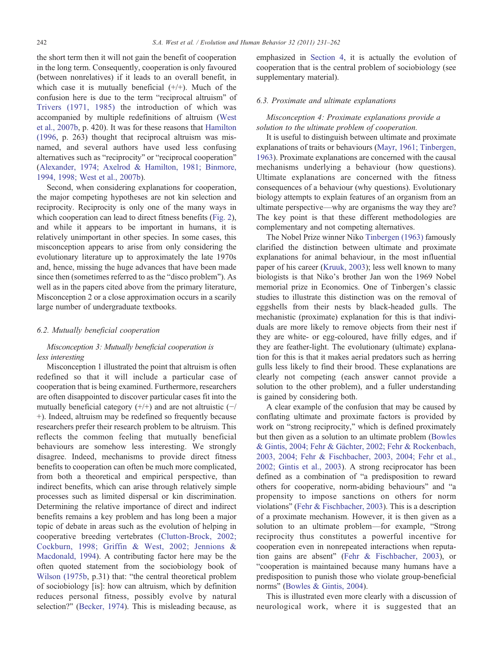the short term then it will not gain the benefit of cooperation in the long term. Consequently, cooperation is only favoured (between nonrelatives) if it leads to an overall benefit, in which case it is mutually beneficial  $(+/+)$ . Much of the confusion here is due to the term "reciprocal altruism" of [Trivers \(1971, 1985\)](#page-30-0) the introduction of which was accompanied by multiple redefinitions of altruism ([West](#page-30-0) [et al., 2007b,](#page-30-0) p. 420). It was for these reasons that [Hamilton](#page-27-0) [\(1996](#page-27-0), p. 263) thought that reciprocal altruism was misnamed, and several authors have used less confusing alternatives such as "reciprocity" or "reciprocal cooperation" [\(Alexander, 1974; Axelrod & Hamilton, 1981; Binmore,](#page-25-0) [1994, 1998; West et al., 2007b](#page-25-0)).

Second, when considering explanations for cooperation, the major competing hypotheses are not kin selection and reciprocity. Reciprocity is only one of the many ways in which cooperation can lead to direct fitness benefits [\(Fig. 2](#page-5-0)), and while it appears to be important in humans, it is relatively unimportant in other species. In some cases, this misconception appears to arise from only considering the evolutionary literature up to approximately the late 1970s and, hence, missing the huge advances that have been made since then (sometimes referred to as the "disco problem"). As well as in the papers cited above from the primary literature, Misconception 2 or a close approximation occurs in a scarily large number of undergraduate textbooks.

#### 6.2. Mutually beneficial cooperation

# Misconception 3: Mutually beneficial cooperation is less interesting

Misconception 1 illustrated the point that altruism is often redefined so that it will include a particular case of cooperation that is being examined. Furthermore, researchers are often disappointed to discover particular cases fit into the mutually beneficial category  $(+/+)$  and are not altruistic  $(-/$ +). Indeed, altruism may be redefined so frequently because researchers prefer their research problem to be altruism. This reflects the common feeling that mutually beneficial behaviours are somehow less interesting. We strongly disagree. Indeed, mechanisms to provide direct fitness benefits to cooperation can often be much more complicated, from both a theoretical and empirical perspective, than indirect benefits, which can arise through relatively simple processes such as limited dispersal or kin discrimination. Determining the relative importance of direct and indirect benefits remains a key problem and has long been a major topic of debate in areas such as the evolution of helping in cooperative breeding vertebrates ([Clutton-Brock, 2002;](#page-26-0) [Cockburn, 1998; Griffin & West, 2002; Jennions &](#page-26-0) [Macdonald, 1994](#page-26-0)). A contributing factor here may be the often quoted statement from the sociobiology book of [Wilson \(1975b](#page-31-0), p.31) that: "the central theoretical problem of sociobiology [is]: how can altruism, which by definition reduces personal fitness, possibly evolve by natural selection?" ([Becker, 1974\)](#page-25-0). This is misleading because, as emphasized in [Section 4,](#page-4-0) it is actually the evolution of cooperation that is the central problem of sociobiology (see supplementary material).

## 6.3. Proximate and ultimate explanations

# Misconception 4: Proximate explanations provide a solution to the ultimate problem of cooperation.

It is useful to distinguish between ultimate and proximate explanations of traits or behaviours ([Mayr, 1961; Tinbergen,](#page-29-0) [1963](#page-29-0)). Proximate explanations are concerned with the causal mechanisms underlying a behaviour (how questions). Ultimate explanations are concerned with the fitness consequences of a behaviour (why questions). Evolutionary biology attempts to explain features of an organism from an ultimate perspective—why are organisms the way they are? The key point is that these different methodologies are complementary and not competing alternatives.

The Nobel Prize winner Niko [Tinbergen \(1963\)](#page-30-0) famously clarified the distinction between ultimate and proximate explanations for animal behaviour, in the most influential paper of his career [\(Kruuk, 2003\)](#page-28-0); less well known to many biologists is that Niko's brother Jan won the 1969 Nobel memorial prize in Economics. One of Tinbergen's classic studies to illustrate this distinction was on the removal of eggshells from their nests by black-headed gulls. The mechanistic (proximate) explanation for this is that individuals are more likely to remove objects from their nest if they are white- or egg-coloured, have frilly edges, and if they are feather-light. The evolutionary (ultimate) explanation for this is that it makes aerial predators such as herring gulls less likely to find their brood. These explanations are clearly not competing (each answer cannot provide a solution to the other problem), and a fuller understanding is gained by considering both.

A clear example of the confusion that may be caused by conflating ultimate and proximate factors is provided by work on "strong reciprocity," which is defined proximately but then given as a solution to an ultimate problem [\(Bowles](#page-25-0) [& Gintis, 2004; Fehr & Gächter, 2002; Fehr & Rockenbach,](#page-25-0) [2003, 2004; Fehr & Fischbacher, 2003, 2004; Fehr et al.,](#page-25-0) [2002; Gintis et al., 2003](#page-25-0)). A strong reciprocator has been defined as a combination of "a predisposition to reward others for cooperative, norm-abiding behaviours" and "a propensity to impose sanctions on others for norm violations" ([Fehr & Fischbacher, 2003\)](#page-26-0). This is a description of a proximate mechanism. However, it is then given as a solution to an ultimate problem—for example, "Strong reciprocity thus constitutes a powerful incentive for cooperation even in nonrepeated interactions when reputation gains are absent" [\(Fehr & Fischbacher, 2003](#page-26-0)), or "cooperation is maintained because many humans have a predisposition to punish those who violate group-beneficial norms" [\(Bowles & Gintis, 2004](#page-25-0)).

This is illustrated even more clearly with a discussion of neurological work, where it is suggested that an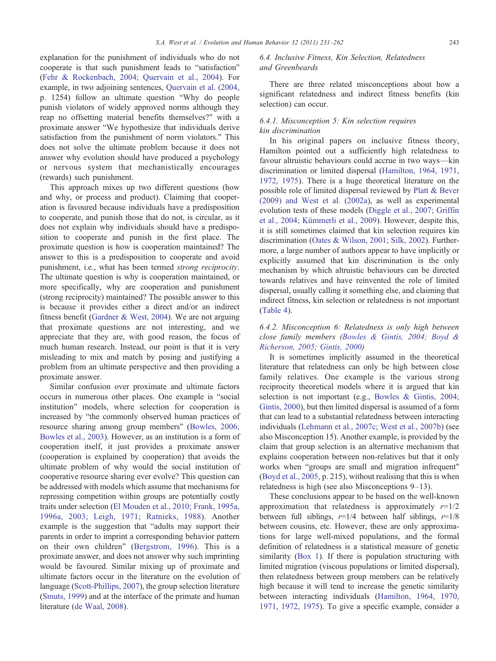explanation for the punishment of individuals who do not cooperate is that such punishment leads to "satisfaction" [\(Fehr & Rockenbach, 2004; Quervain et al., 2004](#page-26-0)). For example, in two adjoining sentences, [Quervain et al. \(2004](#page-29-0), p. 1254) follow an ultimate question "Why do people punish violators of widely approved norms although they reap no offsetting material benefits themselves?" with a proximate answer "We hypothesize that individuals derive satisfaction from the punishment of norm violators." This does not solve the ultimate problem because it does not answer why evolution should have produced a psychology or nervous system that mechanistically encourages (rewards) such punishment.

This approach mixes up two different questions (how and why, or process and product). Claiming that cooperation is favoured because individuals have a predisposition to cooperate, and punish those that do not, is circular, as it does not explain why individuals should have a predisposition to cooperate and punish in the first place. The proximate question is how is cooperation maintained? The answer to this is a predisposition to cooperate and avoid punishment, i.e., what has been termed strong reciprocity. The ultimate question is why is cooperation maintained, or more specifically, why are cooperation and punishment (strong reciprocity) maintained? The possible answer to this is because it provides either a direct and/or an indirect fitness benefit ([Gardner & West, 2004](#page-26-0)). We are not arguing that proximate questions are not interesting, and we appreciate that they are, with good reason, the focus of much human research. Instead, our point is that it is very misleading to mix and match by posing and justifying a problem from an ultimate perspective and then providing a proximate answer.

Similar confusion over proximate and ultimate factors occurs in numerous other places. One example is "social institution" models, where selection for cooperation is increased by "the commonly observed human practices of resource sharing among group members" [\(Bowles, 2006;](#page-25-0) [Bowles et al., 2003\)](#page-25-0). However, as an institution is a form of cooperation itself, it just provides a proximate answer (cooperation is explained by cooperation) that avoids the ultimate problem of why would the social institution of cooperative resource sharing ever evolve? This question can be addressed with models which assume that mechanisms for repressing competition within groups are potentially costly traits under selection ([El Mouden et al., 2010; Frank, 1995a,](#page-26-0) [1996a, 2003; Leigh, 1971; Ratnieks, 1988\)](#page-26-0). Another example is the suggestion that "adults may support their parents in order to imprint a corresponding behavior pattern on their own children" [\(Bergstrom, 1996\)](#page-25-0). This is a proximate answer, and does not answer why such imprinting would be favoured. Similar mixing up of proximate and ultimate factors occur in the literature on the evolution of language ([Scott-Phillips, 2007](#page-30-0)), the group selection literature [\(Smuts, 1999\)](#page-30-0) and at the interface of the primate and human literature [\(de Waal, 2008\)](#page-26-0).

6.4. Inclusive Fitness, Kin Selection, Relatedness and Greenbeards

There are three related misconceptions about how a significant relatedness and indirect fitness benefits (kin selection) can occur.

# 6.4.1. Misconception 5: Kin selection requires kin discrimination

In his original papers on inclusive fitness theory, Hamilton pointed out a sufficiently high relatedness to favour altruistic behaviours could accrue in two ways—kin discrimination or limited dispersal ([Hamilton, 1964, 1971,](#page-27-0) [1972, 1975\)](#page-27-0). There is a huge theoretical literature on the possible role of limited dispersal reviewed by [Platt & Bever](#page-29-0) [\(2009\) and West et al. \(2002a](#page-29-0)), as well as experimental evolution tests of these models ([Diggle et al., 2007; Griffin](#page-26-0) [et al., 2004; Kümmerli et al., 2009](#page-26-0)). However, despite this, it is still sometimes claimed that kin selection requires kin discrimination ([Oates & Wilson, 2001; Silk, 2002](#page-29-0)). Furthermore, a large number of authors appear to have implicitly or explicitly assumed that kin discrimination is the only mechanism by which altruistic behaviours can be directed towards relatives and have reinvented the role of limited dispersal, usually calling it something else, and claiming that indirect fitness, kin selection or relatedness is not important [\(Table 4\)](#page-13-0).

# 6.4.2. Misconception 6: Relatedness is only high between close family members [\(Bowles & Gintis, 2004; Boyd &](#page-25-0) [Richerson, 2005; Gintis, 2000](#page-25-0))

It is sometimes implicitly assumed in the theoretical literature that relatedness can only be high between close family relatives. One example is the various strong reciprocity theoretical models where it is argued that kin selection is not important (e.g., [Bowles & Gintis, 2004;](#page-25-0) [Gintis, 2000\)](#page-25-0), but then limited dispersal is assumed of a form that can lead to a substantial relatedness between interacting individuals ([Lehmann et al., 2007c; West et al., 2007b](#page-28-0)) (see also Misconception 15). Another example, is provided by the claim that group selection is an alternative mechanism that explains cooperation between non-relatives but that it only works when "groups are small and migration infrequent" [\(Boyd et al., 2005](#page-25-0), p. 215), without realising that this is when relatedness is high (see also Misconceptions 9–13).

These conclusions appear to be based on the well-known approximation that relatedness is approximately  $r=1/2$ between full siblings,  $r=1/4$  between half siblings,  $r=1/8$ between cousins, etc. However, these are only approximations for large well-mixed populations, and the formal definition of relatedness is a statistical measure of genetic similarity [\(Box 1](#page-6-0)). If there is population structuring with limited migration (viscous populations or limited dispersal), then relatedness between group members can be relatively high because it will tend to increase the genetic similarity between interacting individuals [\(Hamilton, 1964, 1970,](#page-27-0) [1971, 1972, 1975\)](#page-27-0). To give a specific example, consider a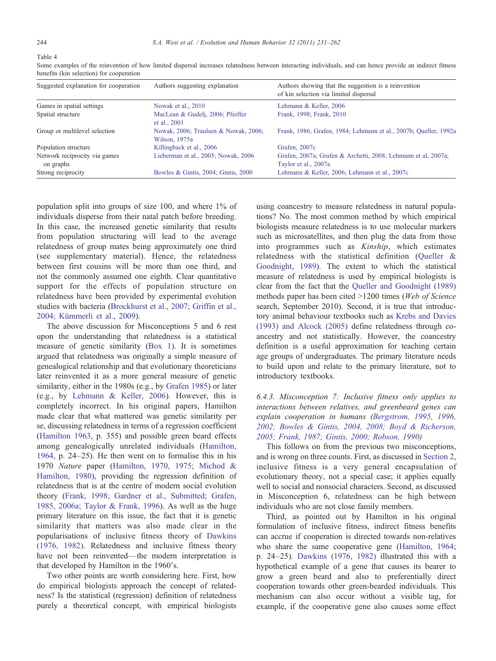Some examples of the reinvention of how limited dispersal increases relatedness between interacting individuals, and can hence provide an indirect fitness benefits (kin selection) for cooperation

| Suggested explanation for cooperation      | Authors suggesting explanation                        | Authors showing that the suggestion is a reinvention<br>of kin selection via limited dispersal |
|--------------------------------------------|-------------------------------------------------------|------------------------------------------------------------------------------------------------|
| Games in spatial settings                  | Nowak et al., 2010                                    | Lehmann & Keller, 2006                                                                         |
| Spatial structure                          | MacLean & Gudelj, 2006; Pfeiffer<br>et al., 2001      | Frank, 1998; Frank, 2010                                                                       |
| Group or multilevel selection              | Nowak, 2006; Traulsen & Nowak, 2006;<br>Wilson, 1975a | Frank, 1986; Grafen, 1984; Lehmann et al., 2007b; Queller, 1992a                               |
| Population structure                       | Killingback et al., 2006                              | Grafen, 2007c                                                                                  |
| Network reciprocity via games<br>on graphs | Lieberman et al., 2005; Nowak, 2006                   | Grafen, 2007a; Grafen & Archetti, 2008; Lehmann et al, 2007a;<br>Taylor et al., 2007a          |
| Strong reciprocity                         | Bowles & Gintis, 2004; Gintis, 2000                   | Lehmann & Keller, 2006; Lehmann et al., 2007c                                                  |

population split into groups of size 100, and where 1% of individuals disperse from their natal patch before breeding. In this case, the increased genetic similarity that results from population structuring will lead to the average relatedness of group mates being approximately one third (see supplementary material). Hence, the relatedness between first cousins will be more than one third, and not the commonly assumed one eighth. Clear quantitative support for the effects of population structure on relatedness have been provided by experimental evolution studies with bacteria ([Brockhurst et al., 2007; Griffin et al.,](#page-25-0) [2004; Kümmerli et al., 2009](#page-25-0)).

The above discussion for Misconceptions 5 and 6 rest upon the understanding that relatedness is a statistical measure of genetic similarity ([Box 1](#page-6-0)). It is sometimes argued that relatedness was originally a simple measure of genealogical relationship and that evolutionary theoreticians later reinvented it as a more general measure of genetic similarity, either in the 1980s (e.g., by [Grafen 1985\)](#page-27-0) or later (e.g., by [Lehmann & Keller, 2006\)](#page-28-0). However, this is completely incorrect. In his original papers, Hamilton made clear that what mattered was genetic similarity per se, discussing relatedness in terms of a regression coefficient [\(Hamilton 1963,](#page-27-0) p. 355) and possible green beard effects among genealogically unrelated individuals [\(Hamilton,](#page-27-0) [1964](#page-27-0), p. 24–25). He then went on to formalise this in his 1970 Nature paper [\(Hamilton, 1970, 1975; Michod &](#page-27-0) [Hamilton, 1980\)](#page-27-0), providing the regression definition of relatedness that is at the centre of modern social evolution theory ([Frank, 1998; Gardner et al., Submitted; Grafen,](#page-26-0) [1985, 2006a; Taylor & Frank, 1996\)](#page-26-0). As well as the huge primary literature on this issue, the fact that it is genetic similarity that matters was also made clear in the popularisations of inclusive fitness theory of [Dawkins](#page-26-0) [\(1976, 1982\).](#page-26-0) Relatedness and inclusive fitness theory have not been reinvented—the modern interpretation is that developed by Hamilton in the 1960's.

Two other points are worth considering here. First, how do empirical biologists approach the concept of relatedness? Is the statistical (regression) definition of relatedness purely a theoretical concept, with empirical biologists using coancestry to measure relatedness in natural populations? No. The most common method by which empirical biologists measure relatedness is to use molecular markers such as microsatellites, and then plug the data from those into programmes such as Kinship, which estimates relatedness with the statistical definition ([Queller &](#page-29-0) [Goodnight, 1989\)](#page-29-0). The extent to which the statistical measure of relatedness is used by empirical biologists is clear from the fact that the [Queller and Goodnight \(1989\)](#page-29-0) methods paper has been cited  $>1200$  times (Web of Science search, September 2010). Second, it is true that introductory animal behaviour textbooks such as [Krebs and Davies](#page-28-0) [\(1993\) and Alcock \(2005\)](#page-28-0) define relatedness through coancestry and not statistically. However, the coancestry definition is a useful approximation for teaching certain age groups of undergraduates. The primary literature needs to build upon and relate to the primary literature, not to introductory textbooks.

6.4.3. Misconception 7: Inclusive fitness only applies to interactions between relatives, and greenbeard genes can explain cooperation in humans ([Bergstrom, 1995, 1996,](#page-25-0) [2002; Bowles & Gintis, 2004, 2008; Boyd & Richerson,](#page-25-0) [2005; Frank, 1987; Gintis, 2000; Robson, 1990](#page-25-0))

This follows on from the previous two misconceptions, and is wrong on three counts. First, as discussed in [Section 2,](#page-1-0) inclusive fitness is a very general encapsulation of evolutionary theory, not a special case; it applies equally well to social and nonsocial characters. Second, as discussed in Misconception 6, relatedness can be high between individuals who are not close family members.

Third, as pointed out by Hamilton in his original formulation of inclusive fitness, indirect fitness benefits can accrue if cooperation is directed towards non-relatives who share the same cooperative gene [\(Hamilton, 1964](#page-27-0); p. 24–25). [Dawkins \(1976, 1982\)](#page-26-0) illustrated this with a hypothetical example of a gene that causes its bearer to grow a green beard and also to preferentially direct cooperation towards other green-bearded individuals. This mechanism can also occur without a visible tag, for example, if the cooperative gene also causes some effect

<span id="page-13-0"></span>Table 4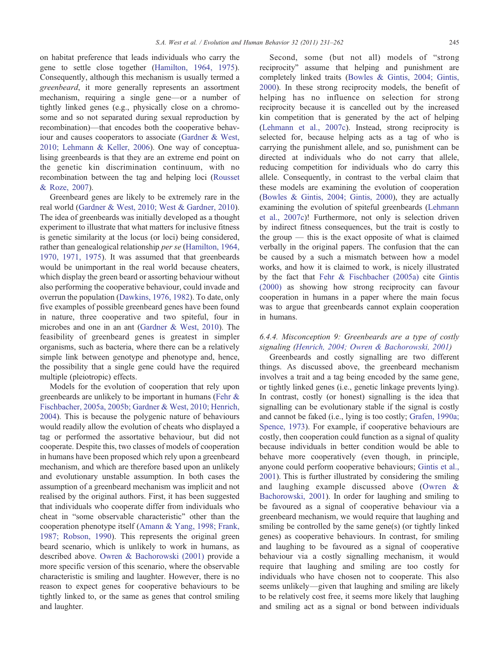S.A. West et al. / Evolution and Human Behavior 32 (2011) 231–262 245

on habitat preference that leads individuals who carry the gene to settle close together [\(Hamilton, 1964, 1975](#page-27-0)). Consequently, although this mechanism is usually termed a greenbeard, it more generally represents an assortment mechanism, requiring a single gene—or a number of tightly linked genes (e.g., physically close on a chromosome and so not separated during sexual reproduction by recombination)—that encodes both the cooperative behaviour and causes cooperators to associate [\(Gardner & West,](#page-27-0) [2010; Lehmann & Keller, 2006\)](#page-27-0). One way of conceptualising greenbeards is that they are an extreme end point on the genetic kin discrimination continuum, with no recombination between the tag and helping loci ([Rousset](#page-30-0) [& Roze, 2007](#page-30-0)).

Greenbeard genes are likely to be extremely rare in the real world [\(Gardner & West, 2010; West & Gardner, 2010](#page-27-0)). The idea of greenbeards was initially developed as a thought experiment to illustrate that what matters for inclusive fitness is genetic similarity at the locus (or loci) being considered, rather than genealogical relationship per se [\(Hamilton, 1964,](#page-27-0) [1970, 1971, 1975\)](#page-27-0). It was assumed that that greenbeards would be unimportant in the real world because cheaters, which display the green beard or assorting behaviour without also performing the cooperative behaviour, could invade and overrun the population ([Dawkins, 1976, 1982](#page-26-0)). To date, only five examples of possible greenbeard genes have been found in nature, three cooperative and two spiteful, four in microbes and one in an ant ([Gardner & West, 2010](#page-27-0)). The feasibility of greenbeard genes is greatest in simpler organisms, such as bacteria, where there can be a relatively simple link between genotype and phenotype and, hence, the possibility that a single gene could have the required multiple (pleiotropic) effects.

Models for the evolution of cooperation that rely upon greenbeards are unlikely to be important in humans [\(Fehr &](#page-26-0) [Fischbacher, 2005a, 2005b; Gardner & West, 2010; Henrich,](#page-26-0) [2004\)](#page-26-0). This is because the polygenic nature of behaviours would readily allow the evolution of cheats who displayed a tag or performed the assortative behaviour, but did not cooperate. Despite this, two classes of models of cooperation in humans have been proposed which rely upon a greenbeard mechanism, and which are therefore based upon an unlikely and evolutionary unstable assumption. In both cases the assumption of a greenbeard mechanism was implicit and not realised by the original authors. First, it has been suggested that individuals who cooperate differ from individuals who cheat in "some observable characteristic" other than the cooperation phenotype itself ([Amann & Yang, 1998; Frank,](#page-25-0) [1987; Robson, 1990\)](#page-25-0). This represents the original green beard scenario, which is unlikely to work in humans, as described above. [Owren & Bachorowski \(2001\)](#page-29-0) provide a more specific version of this scenario, where the observable characteristic is smiling and laughter. However, there is no reason to expect genes for cooperative behaviours to be tightly linked to, or the same as genes that control smiling and laughter.

Second, some (but not all) models of "strong reciprocity" assume that helping and punishment are completely linked traits ([Bowles & Gintis, 2004; Gintis,](#page-25-0) [2000\)](#page-25-0). In these strong reciprocity models, the benefit of helping has no influence on selection for strong reciprocity because it is cancelled out by the increased kin competition that is generated by the act of helping [\(Lehmann et al., 2007c\)](#page-28-0). Instead, strong reciprocity is selected for, because helping acts as a tag of who is carrying the punishment allele, and so, punishment can be directed at individuals who do not carry that allele, reducing competition for individuals who do carry this allele. Consequently, in contrast to the verbal claim that these models are examining the evolution of cooperation [\(Bowles & Gintis, 2004; Gintis, 2000](#page-25-0)), they are actually examining the evolution of spiteful greenbeards ([Lehmann](#page-28-0) [et al., 2007c](#page-28-0))! Furthermore, not only is selection driven by indirect fitness consequences, but the trait is costly to the group  $-$  this is the exact opposite of what is claimed verbally in the original papers. The confusion that the can be caused by a such a mismatch between how a model works, and how it is claimed to work, is nicely illustrated by the fact that [Fehr & Fischbacher \(2005a\)](#page-26-0) cite [Gintis](#page-27-0) [\(2000\)](#page-27-0) as showing how strong reciprocity can favour cooperation in humans in a paper where the main focus was to argue that greenbeards cannot explain cooperation in humans.

# 6.4.4. Misconception 9: Greenbeards are a type of costly signaling [\(Henrich, 2004; Owren & Bachorowski, 2001\)](#page-27-0)

Greenbeards and costly signalling are two different things. As discussed above, the greenbeard mechanism involves a trait and a tag being encoded by the same gene, or tightly linked genes (i.e., genetic linkage prevents lying). In contrast, costly (or honest) signalling is the idea that signalling can be evolutionary stable if the signal is costly and cannot be faked (i.e., lying is too costly; [Grafen, 1990a;](#page-27-0) [Spence, 1973](#page-27-0)). For example, if cooperative behaviours are costly, then cooperation could function as a signal of quality because individuals in better condition would be able to behave more cooperatively (even though, in principle, anyone could perform cooperative behaviours; [Gintis et al.,](#page-27-0) [2001\)](#page-27-0). This is further illustrated by considering the smiling and laughing example discussed above ([Owren &](#page-29-0) [Bachorowski, 2001\)](#page-29-0). In order for laughing and smiling to be favoured as a signal of cooperative behaviour via a greenbeard mechanism, we would require that laughing and smiling be controlled by the same gene(s) (or tightly linked genes) as cooperative behaviours. In contrast, for smiling and laughing to be favoured as a signal of cooperative behaviour via a costly signalling mechanism, it would require that laughing and smiling are too costly for individuals who have chosen not to cooperate. This also seems unlikely—given that laughing and smiling are likely to be relatively cost free, it seems more likely that laughing and smiling act as a signal or bond between individuals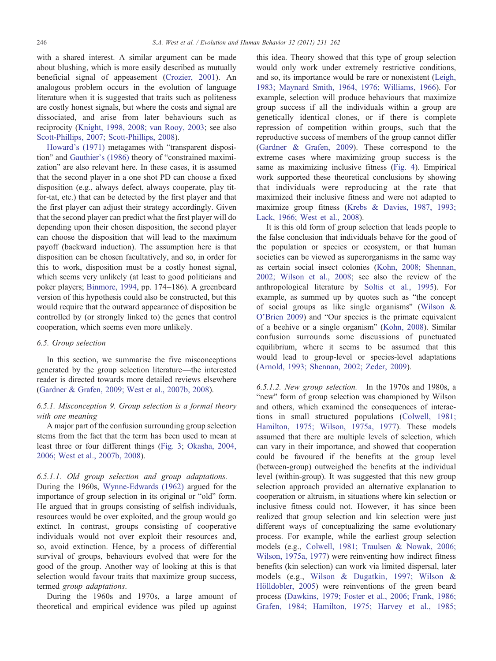with a shared interest. A similar argument can be made about blushing, which is more easily described as mutually beneficial signal of appeasement [\(Crozier, 2001](#page-26-0)). An analogous problem occurs in the evolution of language literature when it is suggested that traits such as politeness are costly honest signals, but where the costs and signal are dissociated, and arise from later behaviours such as reciprocity [\(Knight, 1998, 2008; van Rooy, 2003;](#page-28-0) see also [Scott-Phillips, 2007; Scott-Phillips, 2008](#page-30-0)).

[Howard's \(1971\)](#page-28-0) metagames with "transparent disposition" and [Gauthier's \(1986\)](#page-27-0) theory of "constrained maximization" are also relevant here. In these cases, it is assumed that the second player in a one shot PD can choose a fixed disposition (e.g., always defect, always cooperate, play titfor-tat, etc.) that can be detected by the first player and that the first player can adjust their strategy accordingly. Given that the second player can predict what the first player will do depending upon their chosen disposition, the second player can choose the disposition that will lead to the maximum payoff (backward induction). The assumption here is that disposition can be chosen facultatively, and so, in order for this to work, disposition must be a costly honest signal, which seems very unlikely (at least to good politicians and poker players; [Binmore, 1994,](#page-25-0) pp. 174–186). A greenbeard version of this hypothesis could also be constructed, but this would require that the outward appearance of disposition be controlled by (or strongly linked to) the genes that control cooperation, which seems even more unlikely.

## 6.5. Group selection

In this section, we summarise the five misconceptions generated by the group selection literature—the interested reader is directed towards more detailed reviews elsewhere [\(Gardner & Grafen, 2009; West et al., 2007b, 2008\)](#page-27-0).

## 6.5.1. Misconception 9. Group selection is a formal theory with one meaning

A major part of the confusion surrounding group selection stems from the fact that the term has been used to mean at least three or four different things ([Fig. 3](#page-16-0); [Okasha, 2004,](#page-29-0) [2006; West et al., 2007b, 2008](#page-29-0)).

## 6.5.1.1. Old group selection and group adaptations.

During the 1960s, [Wynne-Edwards \(1962\)](#page-31-0) argued for the importance of group selection in its original or "old" form. He argued that in groups consisting of selfish individuals, resources would be over exploited, and the group would go extinct. In contrast, groups consisting of cooperative individuals would not over exploit their resources and, so, avoid extinction. Hence, by a process of differential survival of groups, behaviours evolved that were for the good of the group. Another way of looking at this is that selection would favour traits that maximize group success, termed group adaptations.

During the 1960s and 1970s, a large amount of theoretical and empirical evidence was piled up against

this idea. Theory showed that this type of group selection would only work under extremely restrictive conditions, and so, its importance would be rare or nonexistent ([Leigh,](#page-28-0) [1983; Maynard Smith, 1964, 1976; Williams, 1966](#page-28-0)). For example, selection will produce behaviours that maximize group success if all the individuals within a group are genetically identical clones, or if there is complete repression of competition within groups, such that the reproductive success of members of the group cannot differ [\(Gardner & Grafen, 2009\)](#page-27-0). These correspond to the extreme cases where maximizing group success is the same as maximizing inclusive fitness [\(Fig. 4\)](#page-16-0). Empirical work supported these theoretical conclusions by showing that individuals were reproducing at the rate that maximized their inclusive fitness and were not adapted to maximize group fitness ([Krebs & Davies, 1987, 1993;](#page-28-0) [Lack, 1966; West et al., 2008](#page-28-0)).

It is this old form of group selection that leads people to the false conclusion that individuals behave for the good of the population or species or ecosystem, or that human societies can be viewed as superorganisms in the same way as certain social insect colonies [\(Kohn, 2008; Shennan,](#page-28-0) [2002; Wilson et al., 2008;](#page-28-0) see also the review of the anthropological literature by [Soltis et al., 1995\)](#page-30-0). For example, as summed up by quotes such as "the concept of social groups as like single organisms" ([Wilson &](#page-31-0) [O'Brien 2009](#page-31-0)) and "Our species is the primate equivalent of a beehive or a single organism" ([Kohn, 2008\)](#page-28-0). Similar confusion surrounds some discussions of punctuated equilibrium, where it seems to be assumed that this would lead to group-level or species-level adaptations [\(Arnold, 1993; Shennan, 2002; Zeder, 2009](#page-25-0)).

6.5.1.2. New group selection. In the 1970s and 1980s, a "new" form of group selection was championed by Wilson and others, which examined the consequences of interactions in small structured populations ([Colwell, 1981;](#page-26-0) [Hamilton, 1975; Wilson, 1975a, 1977\)](#page-26-0). These models assumed that there are multiple levels of selection, which can vary in their importance, and showed that cooperation could be favoured if the benefits at the group level (between-group) outweighed the benefits at the individual level (within-group). It was suggested that this new group selection approach provided an alternative explanation to cooperation or altruism, in situations where kin selection or inclusive fitness could not. However, it has since been realized that group selection and kin selection were just different ways of conceptualizing the same evolutionary process. For example, while the earliest group selection models (e.g., [Colwell, 1981; Traulsen & Nowak, 2006;](#page-26-0) [Wilson, 1975a, 1977\)](#page-26-0) were reinventing how indirect fitness benefits (kin selection) can work via limited dispersal, later models (e.g., [Wilson & Dugatkin, 1997; Wilson &](#page-31-0) [Hölldobler, 2005\)](#page-31-0) were reinventions of the green beard process ([Dawkins, 1979; Foster et al., 2006; Frank, 1986;](#page-26-0) [Grafen, 1984; Hamilton, 1975; Harvey et al., 1985;](#page-26-0)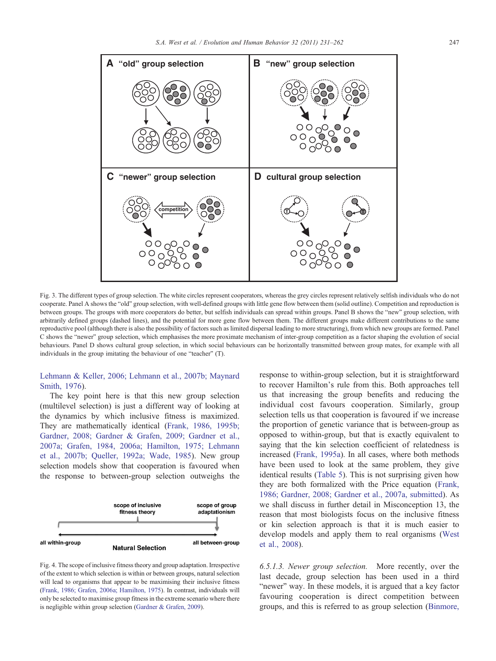<span id="page-16-0"></span>

Fig. 3. The different types of group selection. The white circles represent cooperators, whereas the grey circles represent relatively selfish individuals who do not cooperate. Panel A shows the "old" group selection, with well-defined groups with little gene flow between them (solid outline). Competition and reproduction is between groups. The groups with more cooperators do better, but selfish individuals can spread within groups. Panel B shows the "new" group selection, with arbitrarily defined groups (dashed lines), and the potential for more gene flow between them. The different groups make different contributions to the same reproductive pool (although there is also the possibility of factors such as limited dispersal leading to more structuring), from which new groups are formed. Panel C shows the "newer" group selection, which emphasises the more proximate mechanism of inter-group competition as a factor shaping the evolution of social behaviours. Panel D shows cultural group selection, in which social behaviours can be horizontally transmitted between group mates, for example with all individuals in the group imitating the behaviour of one "teacher" (T).

# [Lehmann & Keller, 2006; Lehmann et al., 2007b; Maynard](#page-26-0) [Smith, 1976\)](#page-26-0).

The key point here is that this new group selection (multilevel selection) is just a different way of looking at the dynamics by which inclusive fitness is maximized. They are mathematically identical [\(Frank, 1986, 1995b;](#page-26-0) [Gardner, 2008; Gardner & Grafen, 2009; Gardner et al.,](#page-26-0) [2007a; Grafen, 1984, 2006a; Hamilton, 1975; Lehmann](#page-26-0) [et al., 2007b; Queller, 1992a; Wade, 1985](#page-26-0)). New group selection models show that cooperation is favoured when the response to between-group selection outweighs the



Fig. 4. The scope of inclusive fitness theory and group adaptation. Irrespective of the extent to which selection is within or between groups, natural selection will lead to organisms that appear to be maximising their inclusive fitness [\(Frank, 1986; Grafen, 2006a; Hamilton, 1975\)](#page-26-0). In contrast, individuals will only be selected to maximise group fitness in the extreme scenario where there is negligible within group selection [\(Gardner & Grafen, 2009](#page-27-0)).

response to within-group selection, but it is straightforward to recover Hamilton's rule from this. Both approaches tell us that increasing the group benefits and reducing the individual cost favours cooperation. Similarly, group selection tells us that cooperation is favoured if we increase the proportion of genetic variance that is between-group as opposed to within-group, but that is exactly equivalent to saying that the kin selection coefficient of relatedness is increased ([Frank, 1995a\)](#page-26-0). In all cases, where both methods have been used to look at the same problem, they give identical results ([Table 5](#page-17-0)). This is not surprising given how they are both formalized with the Price equation [\(Frank,](#page-26-0) [1986; Gardner, 2008; Gardner et al., 2007a, submitted](#page-26-0)). As we shall discuss in further detail in Misconception 13, the reason that most biologists focus on the inclusive fitness or kin selection approach is that it is much easier to develop models and apply them to real organisms ([West](#page-30-0) [et al., 2008\)](#page-30-0).

6.5.1.3. Newer group selection. More recently, over the last decade, group selection has been used in a third "newer" way. In these models, it is argued that a key factor favouring cooperation is direct competition between groups, and this is referred to as group selection ([Binmore,](#page-25-0)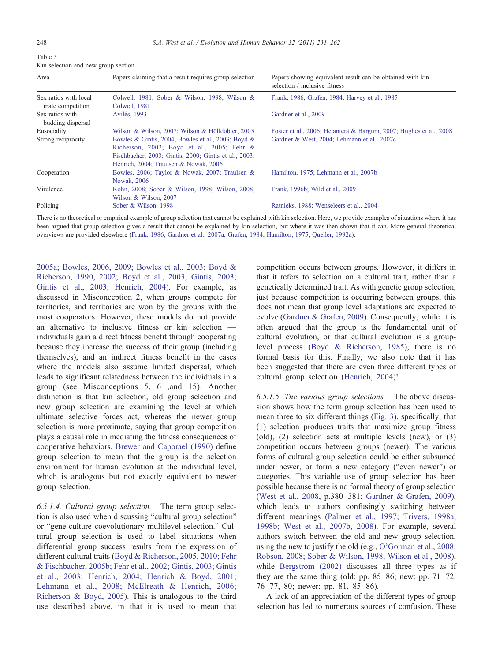<span id="page-17-0"></span>

| Table 5                             |  |  |
|-------------------------------------|--|--|
| Kin selection and new group section |  |  |

| Area                                      | Papers claiming that a result requires group selection                                                                                                                                             | Papers showing equivalent result can be obtained with kin<br>selection / inclusive fitness |
|-------------------------------------------|----------------------------------------------------------------------------------------------------------------------------------------------------------------------------------------------------|--------------------------------------------------------------------------------------------|
| Sex ratios with local<br>mate competition | Colwell, 1981; Sober & Wilson, 1998; Wilson &<br>Colwell, 1981                                                                                                                                     | Frank, 1986; Grafen, 1984; Harvey et al., 1985                                             |
| Sex ratios with<br>budding dispersal      | Avilés, 1993                                                                                                                                                                                       | Gardner et al., 2009                                                                       |
| Eusociality                               | Wilson & Wilson, 2007; Wilson & Hölldobler, 2005                                                                                                                                                   | Foster et al., 2006; Helanterä & Bargum, 2007; Hughes et al., 2008                         |
| Strong reciprocity                        | Bowles & Gintis, 2004; Bowles et al., 2003; Boyd &<br>Richerson, 2002; Boyd et al., 2005; Fehr &<br>Fischbacher, 2003; Gintis, 2000; Gintis et al., 2003;<br>Henrich, 2004; Traulsen & Nowak, 2006 | Gardner & West, 2004; Lehmann et al., 2007c                                                |
| Cooperation                               | Bowles, 2006; Taylor & Nowak, 2007; Traulsen &<br><b>Nowak, 2006</b>                                                                                                                               | Hamilton, 1975; Lehmann et al., 2007b                                                      |
| Virulence                                 | Kohn, 2008; Sober & Wilson, 1998; Wilson, 2008;<br>Wilson & Wilson, 2007                                                                                                                           | Frank, 1996b; Wild et al., 2009                                                            |
| Policing                                  | Sober & Wilson, 1998                                                                                                                                                                               | Ratnieks, 1988; Wenseleers et al., 2004                                                    |

There is no theoretical or empirical example of group selection that cannot be explained with kin selection. Here, we provide examples of situations where it has been argued that group selection gives a result that cannot be explained by kin selection, but where it was then shown that it can. More general theoretical overviews are provided elsewhere ([Frank, 1986; Gardner et al., 2007a; Grafen, 1984; Hamilton, 1975; Queller, 1992a](#page-26-0)).

[2005a; Bowles, 2006, 2009; Bowles et al., 2003; Boyd &](#page-25-0) [Richerson, 1990, 2002; Boyd et al., 2003; Gintis, 2003;](#page-25-0) [Gintis et al., 2003; Henrich, 2004\)](#page-25-0). For example, as discussed in Misconception 2, when groups compete for territories, and territories are won by the groups with the most cooperators. However, these models do not provide an alternative to inclusive fitness or kin selection individuals gain a direct fitness benefit through cooperating because they increase the success of their group (including themselves), and an indirect fitness benefit in the cases where the models also assume limited dispersal, which leads to significant relatedness between the individuals in a group (see Misconceptions 5, 6 ,and 15). Another distinction is that kin selection, old group selection and new group selection are examining the level at which ultimate selective forces act, whereas the newer group selection is more proximate, saying that group competition plays a causal role in mediating the fitness consequences of cooperative behaviors. [Brewer and Caporael \(1990\)](#page-25-0) define group selection to mean that the group is the selection environment for human evolution at the individual level, which is analogous but not exactly equivalent to newer group selection.

6.5.1.4. Cultural group selection. The term group selection is also used when discussing "cultural group selection" or "gene-culture coevolutionary multilevel selection." Cultural group selection is used to label situations when differential group success results from the expression of different cultural traits [\(Boyd & Richerson, 2005, 2010; Fehr](#page-25-0) [& Fischbacher, 2005b; Fehr et al., 2002; Gintis, 2003; Gintis](#page-25-0) [et al., 2003; Henrich, 2004; Henrich & Boyd, 2001;](#page-25-0) [Lehmann et al., 2008; McElreath & Henrich, 2006;](#page-25-0) [Richerson & Boyd, 2005\)](#page-25-0). This is analogous to the third use described above, in that it is used to mean that

competition occurs between groups. However, it differs in that it refers to selection on a cultural trait, rather than a genetically determined trait. As with genetic group selection, just because competition is occurring between groups, this does not mean that group level adaptations are expected to evolve [\(Gardner & Grafen, 2009\)](#page-27-0). Consequently, while it is often argued that the group is the fundamental unit of cultural evolution, or that cultural evolution is a grouplevel process [\(Boyd & Richerson, 1985](#page-25-0)), there is no formal basis for this. Finally, we also note that it has been suggested that there are even three different types of cultural group selection [\(Henrich, 2004\)](#page-27-0)!

6.5.1.5. The various group selections. The above discussion shows how the term group selection has been used to mean three to six different things ([Fig. 3\)](#page-16-0), specifically, that (1) selection produces traits that maximize group fitness (old), (2) selection acts at multiple levels (new), or (3) competition occurs between groups (newer). The various forms of cultural group selection could be either subsumed under newer, or form a new category ("even newer") or categories. This variable use of group selection has been possible because there is no formal theory of group selection [\(West et al., 2008,](#page-30-0) p.380–381; [Gardner & Grafen, 2009](#page-27-0)), which leads to authors confusingly switching between different meanings ([Palmer et al., 1997; Trivers, 1998a,](#page-29-0) [1998b; West et al., 2007b, 2008](#page-29-0)). For example, several authors switch between the old and new group selection, using the new to justify the old (e.g., [O'Gorman et al., 2008;](#page-29-0) [Robson, 2008; Sober & Wilson, 1998; Wilson et al., 2008](#page-29-0)), while [Bergstrom \(2002\)](#page-25-0) discusses all three types as if they are the same thing (old: pp. 85–86; new: pp. 71–72, 76–77, 80; newer: pp. 81, 85–86).

A lack of an appreciation of the different types of group selection has led to numerous sources of confusion. These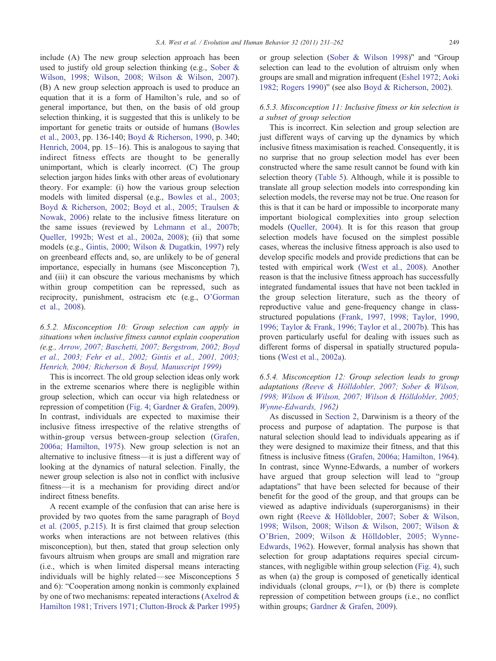include (A) The new group selection approach has been used to justify old group selection thinking (e.g., [Sober &](#page-30-0) [Wilson, 1998; Wilson, 2008; Wilson & Wilson, 2007](#page-30-0)). (B) A new group selection approach is used to produce an equation that it is a form of Hamilton's rule, and so of general importance, but then, on the basis of old group selection thinking, it is suggested that this is unlikely to be important for genetic traits or outside of humans [\(Bowles](#page-25-0) [et al., 2003,](#page-25-0) pp. 136-140; [Boyd & Richerson, 1990,](#page-25-0) p. 340; [Henrich, 2004,](#page-27-0) pp. 15–16). This is analogous to saying that indirect fitness effects are thought to be generally unimportant, which is clearly incorrect. (C) The group selection jargon hides links with other areas of evolutionary theory. For example: (i) how the various group selection models with limited dispersal (e.g., [Bowles et al., 2003;](#page-25-0) [Boyd & Richerson, 2002; Boyd et al., 2005; Traulsen &](#page-25-0) [Nowak, 2006\)](#page-25-0) relate to the inclusive fitness literature on the same issues (reviewed by [Lehmann et al., 2007b;](#page-28-0) [Queller, 1992b; West et al., 2002a, 2008](#page-28-0)); (ii) that some models (e.g., [Gintis, 2000; Wilson & Dugatkin, 1997](#page-27-0)) rely on greenbeard effects and, so, are unlikely to be of general importance, especially in humans (see Misconception 7), and (iii) it can obscure the various mechanisms by which within group competition can be repressed, such as reciprocity, punishment, ostracism etc (e.g., [O'Gorman](#page-29-0) [et al., 2008\)](#page-29-0).

# 6.5.2. Misconception 10: Group selection can apply in situations when inclusive fitness cannot explain cooperation (e.g., [Arrow, 2007; Baschetti, 2007; Bergstrom, 2002; Boyd](#page-25-0) [et al., 2003; Fehr et al., 2002; Gintis et al., 2001, 2003;](#page-25-0) [Henrich, 2004; Richerson & Boyd, Manuscript 1999](#page-25-0))

This is incorrect. The old group selection ideas only work in the extreme scenarios where there is negligible within group selection, which can occur via high relatedness or repression of competition ([Fig. 4](#page-16-0); [Gardner & Grafen, 2009](#page-27-0)). In contrast, individuals are expected to maximise their inclusive fitness irrespective of the relative strengths of within-group versus between-group selection ([Grafen,](#page-27-0) [2006a; Hamilton, 1975\)](#page-27-0). New group selection is not an alternative to inclusive fitness—it is just a different way of looking at the dynamics of natural selection. Finally, the newer group selection is also not in conflict with inclusive fitness—it is a mechanism for providing direct and/or indirect fitness benefits.

A recent example of the confusion that can arise here is provided by two quotes from the same paragraph of [Boyd](#page-25-0) [et al. \(2005, p.215\).](#page-25-0) It is first claimed that group selection works when interactions are not between relatives (this misconception), but then, stated that group selection only favours altruism when groups are small and migration rare (i.e., which is when limited dispersal means interacting individuals will be highly related—see Misconceptions 5 and 6): "Cooperation among nonkin is commonly explained by one of two mechanisms: repeated interactions ([Axelrod &](#page-25-0) [Hamilton 1981; Trivers 1971; Clutton-Brock & Parker 1995\)](#page-25-0) or group selection [\(Sober & Wilson 1998\)](#page-30-0)" and "Group selection can lead to the evolution of altruism only when groups are small and migration infrequent [\(Eshel 1972; Aoki](#page-26-0) [1982; Rogers 1990](#page-26-0))" (see also [Boyd & Richerson, 2002](#page-25-0)).

# 6.5.3. Misconception 11: Inclusive fitness or kin selection is a subset of group selection

This is incorrect. Kin selection and group selection are just different ways of carving up the dynamics by which inclusive fitness maximisation is reached. Consequently, it is no surprise that no group selection model has ever been constructed where the same result cannot be found with kin selection theory ([Table 5](#page-17-0)). Although, while it is possible to translate all group selection models into corresponding kin selection models, the reverse may not be true. One reason for this is that it can be hard or impossible to incorporate many important biological complexities into group selection models ([Queller, 2004](#page-29-0)). It is for this reason that group selection models have focused on the simplest possible cases, whereas the inclusive fitness approach is also used to develop specific models and provide predictions that can be tested with empirical work [\(West et al., 2008\)](#page-30-0). Another reason is that the inclusive fitness approach has successfully integrated fundamental issues that have not been tackled in the group selection literature, such as the theory of reproductive value and gene-frequency change in classstructured populations [\(Frank, 1997, 1998; Taylor, 1990,](#page-26-0) [1996; Taylor & Frank, 1996; Taylor et al., 2007b\)](#page-26-0). This has proven particularly useful for dealing with issues such as different forms of dispersal in spatially structured populations [\(West et al., 2002a\)](#page-30-0).

# 6.5.4. Misconception 12: Group selection leads to group adaptations ([Reeve & Hölldobler, 2007; Sober & Wilson,](#page-29-0) [1998; Wilson & Wilson, 2007; Wilson & Hölldobler, 2005;](#page-29-0) [Wynne-Edwards, 1962](#page-29-0))

As discussed in [Section 2](#page-1-0), Darwinism is a theory of the process and purpose of adaptation. The purpose is that natural selection should lead to individuals appearing as if they were designed to maximize their fitness, and that this fitness is inclusive fitness ([Grafen, 2006a; Hamilton, 1964](#page-27-0)). In contrast, since Wynne-Edwards, a number of workers have argued that group selection will lead to "group adaptations" that have been selected for because of their benefit for the good of the group, and that groups can be viewed as adaptive individuals (superorganisms) in their own right [\(Reeve & Hölldobler, 2007; Sober & Wilson,](#page-29-0) [1998; Wilson, 2008; Wilson & Wilson, 2007; Wilson &](#page-29-0) [O'Brien, 2009; Wilson & Hölldobler, 2005; Wynne-](#page-29-0)[Edwards, 1962\)](#page-29-0). However, formal analysis has shown that selection for group adaptations requires special circumstances, with negligible within group selection [\(Fig. 4\)](#page-16-0), such as when (a) the group is composed of genetically identical individuals (clonal groups,  $r=1$ ), or (b) there is complete repression of competition between groups (i.e., no conflict within groups; [Gardner & Grafen, 2009\)](#page-27-0).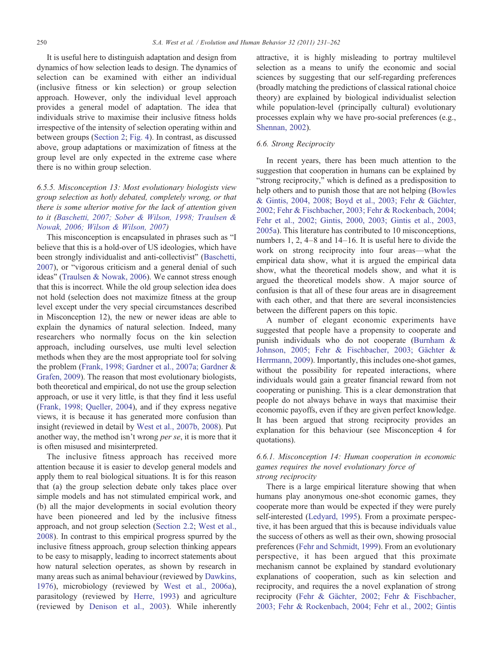It is useful here to distinguish adaptation and design from dynamics of how selection leads to design. The dynamics of selection can be examined with either an individual (inclusive fitness or kin selection) or group selection approach. However, only the individual level approach provides a general model of adaptation. The idea that individuals strive to maximise their inclusive fitness holds irrespective of the intensity of selection operating within and between groups ([Section 2;](#page-1-0) [Fig. 4\)](#page-16-0). In contrast, as discussed above, group adaptations or maximization of fitness at the group level are only expected in the extreme case where there is no within group selection.

# 6.5.5. Misconception 13: Most evolutionary biologists view group selection as hotly debated, completely wrong, or that there is some ulterior motive for the lack of attention given to it ([Baschetti, 2007; Sober & Wilson, 1998; Traulsen &](#page-25-0) [Nowak, 2006; Wilson & Wilson, 2007](#page-25-0))

This misconception is encapsulated in phrases such as "I believe that this is a hold-over of US ideologies, which have been strongly individualist and anti-collectivist" ([Baschetti,](#page-25-0) [2007](#page-25-0)), or "vigorous criticism and a general denial of such ideas" [\(Traulsen & Nowak, 2006\)](#page-30-0). We cannot stress enough that this is incorrect. While the old group selection idea does not hold (selection does not maximize fitness at the group level except under the very special circumstances described in Misconception 12), the new or newer ideas are able to explain the dynamics of natural selection. Indeed, many researchers who normally focus on the kin selection approach, including ourselves, use multi level selection methods when they are the most appropriate tool for solving the problem ([Frank, 1998; Gardner et al., 2007a; Gardner &](#page-26-0) [Grafen, 2009](#page-26-0)). The reason that most evolutionary biologists, both theoretical and empirical, do not use the group selection approach, or use it very little, is that they find it less useful [\(Frank, 1998; Queller, 2004\)](#page-26-0), and if they express negative views, it is because it has generated more confusion than insight (reviewed in detail by [West et al., 2007b, 2008](#page-30-0)). Put another way, the method isn't wrong per se, it is more that it is often misused and misinterpreted.

The inclusive fitness approach has received more attention because it is easier to develop general models and apply them to real biological situations. It is for this reason that (a) the group selection debate only takes place over simple models and has not stimulated empirical work, and (b) all the major developments in social evolution theory have been pioneered and led by the inclusive fitness approach, and not group selection ([Section 2.2;](#page-2-0) [West et al.,](#page-30-0) [2008](#page-30-0)). In contrast to this empirical progress spurred by the inclusive fitness approach, group selection thinking appears to be easy to misapply, leading to incorrect statements about how natural selection operates, as shown by research in many areas such as animal behaviour (reviewed by [Dawkins,](#page-26-0) [1976](#page-26-0)), microbiology (reviewed by [West et al., 2006a](#page-30-0)), parasitology (reviewed by [Herre, 1993](#page-28-0)) and agriculture (reviewed by [Denison et al., 2003](#page-26-0)). While inherently

attractive, it is highly misleading to portray multilevel selection as a means to unify the economic and social sciences by suggesting that our self-regarding preferences (broadly matching the predictions of classical rational choice theory) are explained by biological individualist selection while population-level (principally cultural) evolutionary processes explain why we have pro-social preferences (e.g., [Shennan, 2002\)](#page-30-0).

## 6.6. Strong Reciprocity

In recent years, there has been much attention to the suggestion that cooperation in humans can be explained by "strong reciprocity," which is defined as a predisposition to help others and to punish those that are not helping [\(Bowles](#page-25-0) [& Gintis, 2004, 2008; Boyd et al., 2003; Fehr & Gächter,](#page-25-0) [2002; Fehr & Fischbacher, 2003; Fehr & Rockenbach, 2004;](#page-25-0) [Fehr et al., 2002; Gintis, 2000, 2003; Gintis et al., 2003,](#page-25-0) [2005a](#page-25-0)). This literature has contributed to 10 misconceptions, numbers 1, 2, 4–8 and 14–16. It is useful here to divide the work on strong reciprocity into four areas—what the empirical data show, what it is argued the empirical data show, what the theoretical models show, and what it is argued the theoretical models show. A major source of confusion is that all of these four areas are in disagreement with each other, and that there are several inconsistencies between the different papers on this topic.

A number of elegant economic experiments have suggested that people have a propensity to cooperate and punish individuals who do not cooperate [\(Burnham &](#page-25-0) [Johnson, 2005; Fehr & Fischbacher, 2003; Gächter &](#page-25-0) [Herrmann, 2009\)](#page-25-0). Importantly, this includes one-shot games, without the possibility for repeated interactions, where individuals would gain a greater financial reward from not cooperating or punishing. This is a clear demonstration that people do not always behave in ways that maximise their economic payoffs, even if they are given perfect knowledge. It has been argued that strong reciprocity provides an explanation for this behaviour (see Misconception 4 for quotations).

# 6.6.1. Misconception 14: Human cooperation in economic games requires the novel evolutionary force of strong reciprocity

There is a large empirical literature showing that when humans play anonymous one-shot economic games, they cooperate more than would be expected if they were purely self-interested [\(Ledyard, 1995\)](#page-28-0). From a proximate perspective, it has been argued that this is because individuals value the success of others as well as their own, showing prosocial preferences ([Fehr and Schmidt, 1999\)](#page-26-0). From an evolutionary perspective, it has been argued that this proximate mechanism cannot be explained by standard evolutionary explanations of cooperation, such as kin selection and reciprocity, and requires the a novel explanation of strong reciprocity ([Fehr & Gächter, 2002; Fehr & Fischbacher,](#page-26-0) [2003; Fehr & Rockenbach, 2004; Fehr et al., 2002; Gintis](#page-26-0)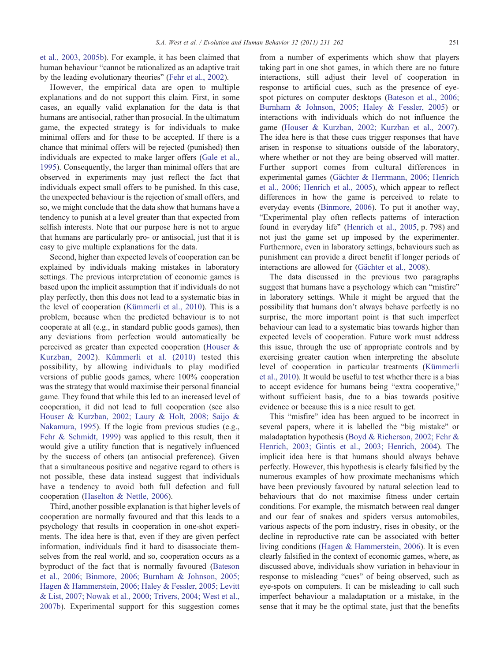[et al., 2003, 2005b](#page-26-0)). For example, it has been claimed that human behaviour "cannot be rationalized as an adaptive trait by the leading evolutionary theories" [\(Fehr et al., 2002\)](#page-26-0).

However, the empirical data are open to multiple explanations and do not support this claim. First, in some cases, an equally valid explanation for the data is that humans are antisocial, rather than prosocial. In the ultimatum game, the expected strategy is for individuals to make minimal offers and for these to be accepted. If there is a chance that minimal offers will be rejected (punished) then individuals are expected to make larger offers ([Gale et al.,](#page-26-0) [1995\)](#page-26-0). Consequently, the larger than minimal offers that are observed in experiments may just reflect the fact that individuals expect small offers to be punished. In this case, the unexpected behaviour is the rejection of small offers, and so, we might conclude that the data show that humans have a tendency to punish at a level greater than that expected from selfish interests. Note that our purpose here is not to argue that humans are particularly pro- or antisocial, just that it is easy to give multiple explanations for the data.

Second, higher than expected levels of cooperation can be explained by individuals making mistakes in laboratory settings. The previous interpretation of economic games is based upon the implicit assumption that if individuals do not play perfectly, then this does not lead to a systematic bias in the level of cooperation [\(Kümmerli et al., 2010\)](#page-28-0). This is a problem, because when the predicted behaviour is to not cooperate at all (e.g., in standard public goods games), then any deviations from perfection would automatically be perceived as greater than expected cooperation ([Houser &](#page-28-0) [Kurzban, 2002\)](#page-28-0). [Kümmerli et al. \(2010\)](#page-28-0) tested this possibility, by allowing individuals to play modified versions of public goods games, where 100% cooperation was the strategy that would maximise their personal financial game. They found that while this led to an increased level of cooperation, it did not lead to full cooperation (see also [Houser & Kurzban, 2002; Laury & Holt, 2008; Saijo &](#page-28-0) [Nakamura, 1995](#page-28-0)). If the logic from previous studies (e.g., [Fehr & Schmidt, 1999](#page-26-0)) was applied to this result, then it would give a utility function that is negatively influenced by the success of others (an antisocial preference). Given that a simultaneous positive and negative regard to others is not possible, these data instead suggest that individuals have a tendency to avoid both full defection and full cooperation [\(Haselton & Nettle, 2006](#page-27-0)).

Third, another possible explanation is that higher levels of cooperation are normally favoured and that this leads to a psychology that results in cooperation in one-shot experiments. The idea here is that, even if they are given perfect information, individuals find it hard to disassociate themselves from the real world, and so, cooperation occurs as a byproduct of the fact that is normally favoured ([Bateson](#page-25-0) [et al., 2006; Binmore, 2006; Burnham & Johnson, 2005;](#page-25-0) [Hagen & Hammerstein, 2006; Haley & Fessler, 2005; Levitt](#page-25-0) [& List, 2007; Nowak et al., 2000; Trivers, 2004; West et al.,](#page-25-0) [2007b\)](#page-25-0). Experimental support for this suggestion comes

from a number of experiments which show that players taking part in one shot games, in which there are no future interactions, still adjust their level of cooperation in response to artificial cues, such as the presence of eyespot pictures on computer desktops [\(Bateson et al., 2006;](#page-25-0) [Burnham & Johnson, 2005; Haley & Fessler, 2005](#page-25-0)) or interactions with individuals which do not influence the game [\(Houser & Kurzban, 2002; Kurzban et al., 2007](#page-28-0)). The idea here is that these cues trigger responses that have arisen in response to situations outside of the laboratory, where whether or not they are being observed will matter. Further support comes from cultural differences in experimental games ([Gächter & Herrmann, 2006; Henrich](http://www.ideas.repec.org/p/cdx/dpaper/2007-11.html) [et al., 2006; Henrich et al., 2005](http://www.ideas.repec.org/p/cdx/dpaper/2007-11.html)), which appear to reflect differences in how the game is perceived to relate to everyday events [\(Binmore, 2006](#page-25-0)). To put it another way, "Experimental play often reflects patterns of interaction found in everyday life" [\(Henrich et al., 2005](#page-28-0), p. 798) and not just the game set up imposed by the experimenter. Furthermore, even in laboratory settings, behaviours such as punishment can provide a direct benefit if longer periods of interactions are allowed for ([Gächter et al., 2008](#page-26-0)).

The data discussed in the previous two paragraphs suggest that humans have a psychology which can "misfire" in laboratory settings. While it might be argued that the possibility that humans don't always behave perfectly is no surprise, the more important point is that such imperfect behaviour can lead to a systematic bias towards higher than expected levels of cooperation. Future work must address this issue, through the use of appropriate controls and by exercising greater caution when interpreting the absolute level of cooperation in particular treatments [\(Kümmerli](#page-28-0) [et al., 2010\)](#page-28-0). It would be useful to test whether there is a bias to accept evidence for humans being "extra cooperative," without sufficient basis, due to a bias towards positive evidence or because this is a nice result to get.

This "misfire" idea has been argued to be incorrect in several papers, where it is labelled the "big mistake" or maladaptation hypothesis [\(Boyd & Richerson, 2002; Fehr &](#page-25-0) [Henrich, 2003; Gintis et al., 2003; Henrich, 2004\)](#page-25-0). The implicit idea here is that humans should always behave perfectly. However, this hypothesis is clearly falsified by the numerous examples of how proximate mechanisms which have been previously favoured by natural selection lead to behaviours that do not maximise fitness under certain conditions. For example, the mismatch between real danger and our fear of snakes and spiders versus automobiles, various aspects of the porn industry, rises in obesity, or the decline in reproductive rate can be associated with better living conditions ([Hagen & Hammerstein, 2006](#page-27-0)). It is even clearly falsified in the context of economic games, where, as discussed above, individuals show variation in behaviour in response to misleading "cues" of being observed, such as eye-spots on computers. It can be misleading to call such imperfect behaviour a maladaptation or a mistake, in the sense that it may be the optimal state, just that the benefits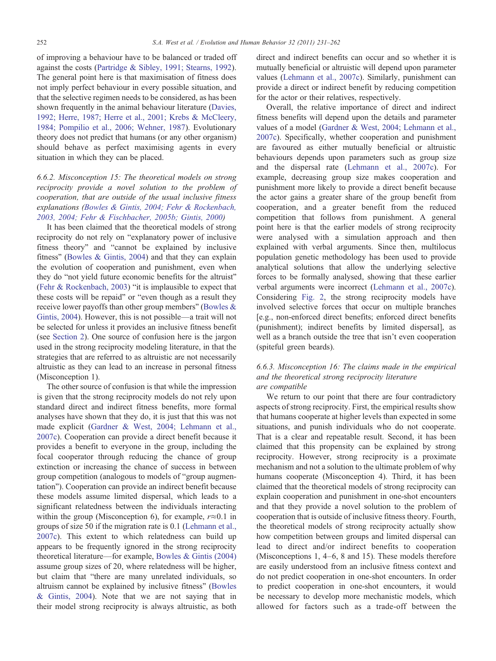of improving a behaviour have to be balanced or traded off against the costs [\(Partridge & Sibley, 1991; Stearns, 1992](#page-29-0)). The general point here is that maximisation of fitness does not imply perfect behaviour in every possible situation, and that the selective regimen needs to be considered, as has been shown frequently in the animal behaviour literature [\(Davies,](#page-26-0) [1992; Herre, 1987; Herre et al., 2001; Krebs & McCleery,](#page-26-0) [1984; Pompilio et al., 2006; Wehner, 1987\)](#page-26-0). Evolutionary theory does not predict that humans (or any other organism) should behave as perfect maximising agents in every situation in which they can be placed.

# 6.6.2. Misconception 15: The theoretical models on strong reciprocity provide a novel solution to the problem of cooperation, that are outside of the usual inclusive fitness explanations ([Bowles & Gintis, 2004; Fehr & Rockenbach,](#page-25-0) [2003, 2004; Fehr & Fischbacher, 2005b; Gintis, 2000\)](#page-25-0)

It has been claimed that the theoretical models of strong reciprocity do not rely on "explanatory power of inclusive fitness theory" and "cannot be explained by inclusive fitness" [\(Bowles & Gintis, 2004](#page-25-0)) and that they can explain the evolution of cooperation and punishment, even when they do "not yield future economic benefits for the altruist" [\(Fehr & Rockenbach, 2003\)](#page-26-0) "it is implausible to expect that these costs will be repaid" or "even though as a result they receive lower payoffs than other group members" ([Bowles &](#page-25-0) [Gintis, 2004](#page-25-0)). However, this is not possible—a trait will not be selected for unless it provides an inclusive fitness benefit (see [Section 2\)](#page-1-0). One source of confusion here is the jargon used in the strong reciprocity modeling literature, in that the strategies that are referred to as altruistic are not necessarily altruistic as they can lead to an increase in personal fitness (Misconception 1).

The other source of confusion is that while the impression is given that the strong reciprocity models do not rely upon standard direct and indirect fitness benefits, more formal analyses have shown that they do, it is just that this was not made explicit ([Gardner & West, 2004; Lehmann et al.,](#page-26-0) [2007c](#page-26-0)). Cooperation can provide a direct benefit because it provides a benefit to everyone in the group, including the focal cooperator through reducing the chance of group extinction or increasing the chance of success in between group competition (analogous to models of "group augmentation"). Cooperation can provide an indirect benefit because these models assume limited dispersal, which leads to a significant relatedness between the individuals interacting within the group (Misconception 6), for example,  $r \approx 0.1$  in groups of size 50 if the migration rate is 0.1 ([Lehmann et al.,](#page-28-0) [2007c](#page-28-0)). This extent to which relatedness can build up appears to be frequently ignored in the strong reciprocity theoretical literature—for example, [Bowles & Gintis \(2004\)](#page-25-0) assume group sizes of 20, where relatedness will be higher, but claim that "there are many unrelated individuals, so altruism cannot be explained by inclusive fitness" [\(Bowles](#page-25-0) [& Gintis, 2004](#page-25-0)). Note that we are not saying that in their model strong reciprocity is always altruistic, as both

direct and indirect benefits can occur and so whether it is mutually beneficial or altruistic will depend upon parameter values [\(Lehmann et al., 2007c\)](#page-28-0). Similarly, punishment can provide a direct or indirect benefit by reducing competition for the actor or their relatives, respectively.

Overall, the relative importance of direct and indirect fitness benefits will depend upon the details and parameter values of a model [\(Gardner & West, 2004; Lehmann et al.,](#page-26-0) [2007c](#page-26-0)). Specifically, whether cooperation and punishment are favoured as either mutually beneficial or altruistic behaviours depends upon parameters such as group size and the dispersal rate ([Lehmann et al., 2007c](#page-28-0)). For example, decreasing group size makes cooperation and punishment more likely to provide a direct benefit because the actor gains a greater share of the group benefit from cooperation, and a greater benefit from the reduced competition that follows from punishment. A general point here is that the earlier models of strong reciprocity were analysed with a simulation approach and then explained with verbal arguments. Since then, multilocus population genetic methodology has been used to provide analytical solutions that allow the underlying selective forces to be formally analysed, showing that these earlier verbal arguments were incorrect ([Lehmann et al., 2007c](#page-28-0)). Considering [Fig. 2,](#page-5-0) the strong reciprocity models have involved selective forces that occur on multiple branches [e.g., non-enforced direct benefits; enforced direct benefits (punishment); indirect benefits by limited dispersal], as well as a branch outside the tree that isn't even cooperation (spiteful green beards).

# 6.6.3. Misconception 16: The claims made in the empirical and the theoretical strong reciprocity literature are compatible

We return to our point that there are four contradictory aspects of strong reciprocity. First, the empirical results show that humans cooperate at higher levels than expected in some situations, and punish individuals who do not cooperate. That is a clear and repeatable result. Second, it has been claimed that this propensity can be explained by strong reciprocity. However, strong reciprocity is a proximate mechanism and not a solution to the ultimate problem of why humans cooperate (Misconception 4). Third, it has been claimed that the theoretical models of strong reciprocity can explain cooperation and punishment in one-shot encounters and that they provide a novel solution to the problem of cooperation that is outside of inclusive fitness theory. Fourth, the theoretical models of strong reciprocity actually show how competition between groups and limited dispersal can lead to direct and/or indirect benefits to cooperation (Misconceptions 1, 4–6, 8 and 15). These models therefore are easily understood from an inclusive fitness context and do not predict cooperation in one-shot encounters. In order to predict cooperation in one-shot encounters, it would be necessary to develop more mechanistic models, which allowed for factors such as a trade-off between the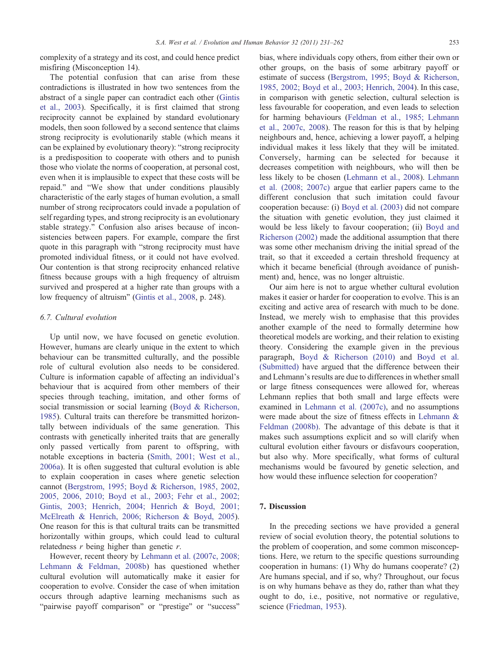<span id="page-22-0"></span>complexity of a strategy and its cost, and could hence predict misfiring (Misconception 14).

The potential confusion that can arise from these contradictions is illustrated in how two sentences from the abstract of a single paper can contradict each other ([Gintis](#page-27-0) [et al., 2003](#page-27-0)). Specifically, it is first claimed that strong reciprocity cannot be explained by standard evolutionary models, then soon followed by a second sentence that claims strong reciprocity is evolutionarily stable (which means it can be explained by evolutionary theory): "strong reciprocity is a predisposition to cooperate with others and to punish those who violate the norms of cooperation, at personal cost, even when it is implausible to expect that these costs will be repaid." and "We show that under conditions plausibly characteristic of the early stages of human evolution, a small number of strong reciprocators could invade a population of self regarding types, and strong reciprocity is an evolutionary stable strategy." Confusion also arises because of inconsistencies between papers. For example, compare the first quote in this paragraph with "strong reciprocity must have promoted individual fitness, or it could not have evolved. Our contention is that strong reciprocity enhanced relative fitness because groups with a high frequency of altruism survived and prospered at a higher rate than groups with a low frequency of altruism" ([Gintis et al., 2008](#page-27-0), p. 248).

## 6.7. Cultural evolution

Up until now, we have focused on genetic evolution. However, humans are clearly unique in the extent to which behaviour can be transmitted culturally, and the possible role of cultural evolution also needs to be considered. Culture is information capable of affecting an individual's behaviour that is acquired from other members of their species through teaching, imitation, and other forms of social transmission or social learning [\(Boyd & Richerson,](#page-25-0) [1985\)](#page-25-0). Cultural traits can therefore be transmitted horizontally between individuals of the same generation. This contrasts with genetically inherited traits that are generally only passed vertically from parent to offspring, with notable exceptions in bacteria ([Smith, 2001; West et al.,](#page-30-0) [2006a](#page-30-0)). It is often suggested that cultural evolution is able to explain cooperation in cases where genetic selection cannot [\(Bergstrom, 1995; Boyd & Richerson, 1985, 2002,](#page-25-0) [2005, 2006, 2010; Boyd et al., 2003; Fehr et al., 2002;](#page-25-0) [Gintis, 2003; Henrich, 2004; Henrich & Boyd, 2001;](#page-25-0) [McElreath & Henrich, 2006; Richerson & Boyd, 2005](#page-25-0)). One reason for this is that cultural traits can be transmitted horizontally within groups, which could lead to cultural relatedness  $r$  being higher than genetic  $r$ .

However, recent theory by [Lehmann et al. \(2007c, 2008;](#page-28-0) [Lehmann & Feldman, 2008b](#page-28-0)) has questioned whether cultural evolution will automatically make it easier for cooperation to evolve. Consider the case of when imitation occurs through adaptive learning mechanisms such as "pairwise payoff comparison" or "prestige" or "success" bias, where individuals copy others, from either their own or other groups, on the basis of some arbitrary payoff or estimate of success ([Bergstrom, 1995; Boyd & Richerson,](#page-25-0) [1985, 2002; Boyd et al., 2003; Henrich, 2004\)](#page-25-0). In this case, in comparison with genetic selection, cultural selection is less favourable for cooperation, and even leads to selection for harming behaviours ([Feldman et al., 1985; Lehmann](#page-26-0) [et al., 2007c, 2008\)](#page-26-0). The reason for this is that by helping neighbours and, hence, achieving a lower payoff, a helping individual makes it less likely that they will be imitated. Conversely, harming can be selected for because it decreases competition with neighbours, who will then be less likely to be chosen ([Lehmann et al., 2008\)](#page-28-0). [Lehmann](#page-28-0) [et al. \(2008; 2007c\)](#page-28-0) argue that earlier papers came to the different conclusion that such imitation could favour cooperation because: (i) [Boyd et al. \(2003\)](#page-25-0) did not compare the situation with genetic evolution, they just claimed it would be less likely to favour cooperation; (ii) [Boyd and](#page-25-0) [Richerson \(2002\)](#page-25-0) made the additional assumption that there was some other mechanism driving the initial spread of the trait, so that it exceeded a certain threshold frequency at which it became beneficial (through avoidance of punishment) and, hence, was no longer altruistic.

Our aim here is not to argue whether cultural evolution makes it easier or harder for cooperation to evolve. This is an exciting and active area of research with much to be done. Instead, we merely wish to emphasise that this provides another example of the need to formally determine how theoretical models are working, and their relation to existing theory. Considering the example given in the previous paragraph, [Boyd & Richerson \(2010\)](#page-25-0) and [Boyd et al.](#page-25-0) [\(Submitted\)](#page-25-0) have argued that the difference between their and Lehmann's results are due to differences in whether small or large fitness consequences were allowed for, whereas Lehmann replies that both small and large effects were examined in [Lehmann et al. \(2007c\)](#page-28-0), and no assumptions were made about the size of fitness effects in [Lehmann &](#page-28-0) [Feldman \(2008b\)](#page-28-0). The advantage of this debate is that it makes such assumptions explicit and so will clarify when cultural evolution either favours or disfavours cooperation, but also why. More specifically, what forms of cultural mechanisms would be favoured by genetic selection, and how would these influence selection for cooperation?

# 7. Discussion

In the preceding sections we have provided a general review of social evolution theory, the potential solutions to the problem of cooperation, and some common misconceptions. Here, we return to the specific questions surrounding cooperation in humans: (1) Why do humans cooperate? (2) Are humans special, and if so, why? Throughout, our focus is on why humans behave as they do, rather than what they ought to do, i.e., positive, not normative or regulative, science [\(Friedman, 1953](#page-26-0)).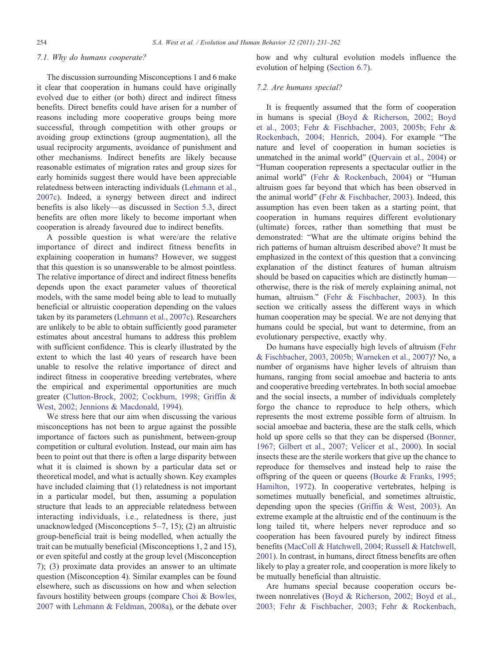#### <span id="page-23-0"></span>7.1. Why do humans cooperate?

The discussion surrounding Misconceptions 1 and 6 make it clear that cooperation in humans could have originally evolved due to either (or both) direct and indirect fitness benefits. Direct benefits could have arisen for a number of reasons including more cooperative groups being more successful, through competition with other groups or avoiding group extinctions (group augmentation), all the usual reciprocity arguments, avoidance of punishment and other mechanisms. Indirect benefits are likely because reasonable estimates of migration rates and group sizes for early hominids suggest there would have been appreciable relatedness between interacting individuals [\(Lehmann et al.,](#page-28-0) [2007c](#page-28-0)). Indeed, a synergy between direct and indirect benefits is also likely—as discussed in [Section 5.3](#page-8-0), direct benefits are often more likely to become important when cooperation is already favoured due to indirect benefits.

A possible question is what were/are the relative importance of direct and indirect fitness benefits in explaining cooperation in humans? However, we suggest that this question is so unanswerable to be almost pointless. The relative importance of direct and indirect fitness benefits depends upon the exact parameter values of theoretical models, with the same model being able to lead to mutually beneficial or altruistic cooperation depending on the values taken by its parameters [\(Lehmann et al., 2007c\)](#page-28-0). Researchers are unlikely to be able to obtain sufficiently good parameter estimates about ancestral humans to address this problem with sufficient confidence. This is clearly illustrated by the extent to which the last 40 years of research have been unable to resolve the relative importance of direct and indirect fitness in cooperative breeding vertebrates, where the empirical and experimental opportunities are much greater [\(Clutton-Brock, 2002; Cockburn, 1998; Griffin &](#page-26-0) [West, 2002; Jennions & Macdonald, 1994\)](#page-26-0).

We stress here that our aim when discussing the various misconceptions has not been to argue against the possible importance of factors such as punishment, between-group competition or cultural evolution. Instead, our main aim has been to point out that there is often a large disparity between what it is claimed is shown by a particular data set or theoretical model, and what is actually shown. Key examples have included claiming that (1) relatedness is not important in a particular model, but then, assuming a population structure that leads to an appreciable relatedness between interacting individuals, i.e., relatedness is there, just unacknowledged (Misconceptions 5–7, 15); (2) an altruistic group-beneficial trait is being modelled, when actually the trait can be mutually beneficial (Misconceptions 1, 2 and 15), or even spiteful and costly at the group level (Misconception 7); (3) proximate data provides an answer to an ultimate question (Misconception 4). Similar examples can be found elsewhere, such as discussions on how and when selection favours hostility between groups (compare [Choi & Bowles,](#page-26-0) [2007](#page-26-0) with [Lehmann & Feldman, 2008a](#page-28-0)), or the debate over

how and why cultural evolution models influence the evolution of helping ([Section 6.7\)](#page-22-0).

#### 7.2. Are humans special?

It is frequently assumed that the form of cooperation in humans is special [\(Boyd & Richerson, 2002; Boyd](#page-25-0) [et al., 2003; Fehr & Fischbacher, 2003, 2005b; Fehr &](#page-25-0) [Rockenbach, 2004; Henrich, 2004\)](#page-25-0). For example "The nature and level of cooperation in human societies is unmatched in the animal world" ([Quervain et al., 2004](#page-29-0)) or "Human cooperation represents a spectacular outlier in the animal world" ([Fehr & Rockenbach, 2004\)](#page-26-0) or "Human altruism goes far beyond that which has been observed in the animal world" ([Fehr & Fischbacher, 2003\)](#page-26-0). Indeed, this assumption has even been taken as a starting point, that cooperation in humans requires different evolutionary (ultimate) forces, rather than something that must be demonstrated: "What are the ultimate origins behind the rich patterns of human altruism described above? It must be emphasized in the context of this question that a convincing explanation of the distinct features of human altruism should be based on capacities which are distinctly human otherwise, there is the risk of merely explaining animal, not human, altruism." ([Fehr & Fischbacher, 2003\)](#page-26-0). In this section we critically assess the different ways in which human cooperation may be special. We are not denying that humans could be special, but want to determine, from an evolutionary perspective, exactly why.

Do humans have especially high levels of altruism [\(Fehr](#page-26-0) [& Fischbacher, 2003, 2005b; Warneken et al., 2007](#page-26-0))? No, a number of organisms have higher levels of altruism than humans, ranging from social amoebae and bacteria to ants and cooperative breeding vertebrates. In both social amoebae and the social insects, a number of individuals completely forgo the chance to reproduce to help others, which represents the most extreme possible form of altruism. In social amoebae and bacteria, these are the stalk cells, which hold up spore cells so that they can be dispersed [\(Bonner,](#page-25-0) [1967; Gilbert et al., 2007; Velicer et al., 2000\)](#page-25-0). In social insects these are the sterile workers that give up the chance to reproduce for themselves and instead help to raise the offspring of the queen or queens ([Bourke & Franks, 1995;](#page-25-0) [Hamilton, 1972](#page-25-0)). In cooperative vertebrates, helping is sometimes mutually beneficial, and sometimes altruistic, depending upon the species [\(Griffin & West, 2003\)](#page-27-0). An extreme example at the altruistic end of the continuum is the long tailed tit, where helpers never reproduce and so cooperation has been favoured purely by indirect fitness benefits ([MacColl & Hatchwell, 2004; Russell & Hatchwell,](#page-28-0) [2001](#page-28-0)). In contrast, in humans, direct fitness benefits are often likely to play a greater role, and cooperation is more likely to be mutually beneficial than altruistic.

Are humans special because cooperation occurs between nonrelatives [\(Boyd & Richerson, 2002; Boyd et al.,](#page-25-0) [2003; Fehr & Fischbacher, 2003; Fehr & Rockenbach,](#page-25-0)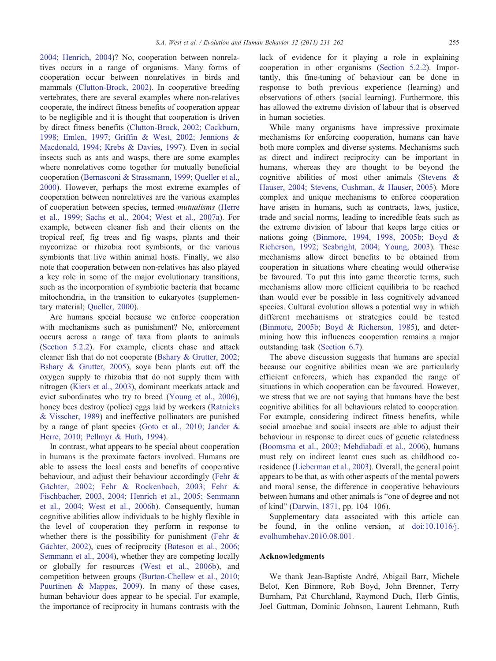[2004; Henrich, 2004\)](#page-25-0)? No, cooperation between nonrelatives occurs in a range of organisms. Many forms of cooperation occur between nonrelatives in birds and mammals [\(Clutton-Brock, 2002](#page-26-0)). In cooperative breeding vertebrates, there are several examples where non-relatives cooperate, the indirect fitness benefits of cooperation appear to be negligible and it is thought that cooperation is driven by direct fitness benefits [\(Clutton-Brock, 2002; Cockburn,](#page-26-0) [1998; Emlen, 1997; Griffin & West, 2002; Jennions &](#page-26-0) [Macdonald, 1994; Krebs & Davies, 1997](#page-26-0)). Even in social insects such as ants and wasps, there are some examples where nonrelatives come together for mutually beneficial cooperation [\(Bernasconi & Strassmann, 1999; Queller et al.,](#page-25-0) [2000\)](#page-25-0). However, perhaps the most extreme examples of cooperation between nonrelatives are the various examples of cooperation between species, termed mutualisms ([Herre](#page-28-0) [et al., 1999; Sachs et al., 2004; West et al., 2007a\)](#page-28-0). For example, between cleaner fish and their clients on the tropical reef, fig trees and fig wasps, plants and their mycorrizae or rhizobia root symbionts, or the various symbionts that live within animal hosts. Finally, we also note that cooperation between non-relatives has also played a key role in some of the major evolutionary transitions, such as the incorporation of symbiotic bacteria that became mitochondria, in the transition to eukaryotes (supplementary material; [Queller, 2000](#page-29-0)).

Are humans special because we enforce cooperation with mechanisms such as punishment? No, enforcement occurs across a range of taxa from plants to animals [\(Section 5.2.2](#page-7-0)). For example, clients chase and attack cleaner fish that do not cooperate [\(Bshary & Grutter, 2002;](#page-25-0) [Bshary & Grutter, 2005](#page-25-0)), soya bean plants cut off the oxygen supply to rhizobia that do not supply them with nitrogen [\(Kiers et al., 2003](#page-28-0)), dominant meerkats attack and evict subordinates who try to breed ([Young et al., 2006](#page-31-0)), honey bees destroy (police) eggs laid by workers [\(Ratnieks](#page-29-0) [& Visscher, 1989\)](#page-29-0) and ineffective pollinators are punished by a range of plant species ([Goto et al., 2010; Jander &](#page-27-0) [Herre, 2010; Pellmyr & Huth, 1994](#page-27-0)).

In contrast, what appears to be special about cooperation in humans is the proximate factors involved. Humans are able to assess the local costs and benefits of cooperative behaviour, and adjust their behaviour accordingly [\(Fehr &](#page-26-0) [Gächter, 2002; Fehr & Rockenbach, 2003; Fehr &](#page-26-0) [Fischbacher, 2003, 2004; Henrich et al., 2005; Semmann](#page-26-0) [et al., 2004; West et al., 2006b](#page-26-0)). Consequently, human cognitive abilities allow individuals to be highly flexible in the level of cooperation they perform in response to whether there is the possibility for punishment (Fehr  $\&$ [Gächter, 2002\)](#page-26-0), cues of reciprocity [\(Bateson et al., 2006;](#page-25-0) [Semmann et al., 2004](#page-25-0)), whether they are competing locally or globally for resources ([West et al., 2006b](#page-30-0)), and competition between groups ([Burton-Chellew et al., 2010;](#page-26-0) [Puurtinen & Mappes, 2009](#page-26-0)). In many of these cases, human behaviour does appear to be special. For example, the importance of reciprocity in humans contrasts with the lack of evidence for it playing a role in explaining cooperation in other organisms ([Section 5.2.2\)](#page-7-0). Importantly, this fine-tuning of behaviour can be done in response to both previous experience (learning) and observations of others (social learning). Furthermore, this has allowed the extreme division of labour that is observed in human societies.

While many organisms have impressive proximate mechanisms for enforcing cooperation, humans can have both more complex and diverse systems. Mechanisms such as direct and indirect reciprocity can be important in humans, whereas they are thought to be beyond the cognitive abilities of most other animals [\(Stevens &](#page-30-0) [Hauser, 2004; Stevens, Cushman, & Hauser, 2005\)](#page-30-0). More complex and unique mechanisms to enforce cooperation have arisen in humans, such as contracts, laws, justice, trade and social norms, leading to incredible feats such as the extreme division of labour that keeps large cities or nations going [\(Binmore, 1994, 1998, 2005b; Boyd &](#page-25-0) [Richerson, 1992; Seabright, 2004; Young, 2003](#page-25-0)). These mechanisms allow direct benefits to be obtained from cooperation in situations where cheating would otherwise be favoured. To put this into game theoretic terms, such mechanisms allow more efficient equilibria to be reached than would ever be possible in less cognitively advanced species. Cultural evolution allows a potential way in which different mechanisms or strategies could be tested [\(Binmore, 2005b; Boyd & Richerson, 1985\)](#page-25-0), and determining how this influences cooperation remains a major outstanding task [\(Section 6.7](#page-22-0)).

The above discussion suggests that humans are special because our cognitive abilities mean we are particularly efficient enforcers, which has expanded the range of situations in which cooperation can be favoured. However, we stress that we are not saying that humans have the best cognitive abilities for all behaviours related to cooperation. For example, considering indirect fitness benefits, while social amoebae and social insects are able to adjust their behaviour in response to direct cues of genetic relatedness [\(Boomsma et al., 2003; Mehdiabadi et al., 2006](#page-25-0)), humans must rely on indirect learnt cues such as childhood coresidence [\(Lieberman et al., 2003\)](#page-28-0). Overall, the general point appears to be that, as with other aspects of the mental powers and moral sense, the difference in cooperative behaviours between humans and other animals is "one of degree and not of kind" ([Darwin, 1871](#page-26-0), pp. 104–106).

Supplementary data associated with this article can be found, in the online version, at [doi:10.1016/j.](http://dx.doi.org/10.1016/j.evolhumbehav.2010.08.001) [evolhumbehav.2010.08.001.](http://dx.doi.org/10.1016/j.evolhumbehav.2010.08.001)

#### Acknowledgments

We thank Jean-Baptiste André, Abigail Barr, Michele Belot, Ken Binmore, Rob Boyd, John Brenner, Terry Burnham, Pat Churchland, Raymond Duch, Herb Gintis, Joel Guttman, Dominic Johnson, Laurent Lehmann, Ruth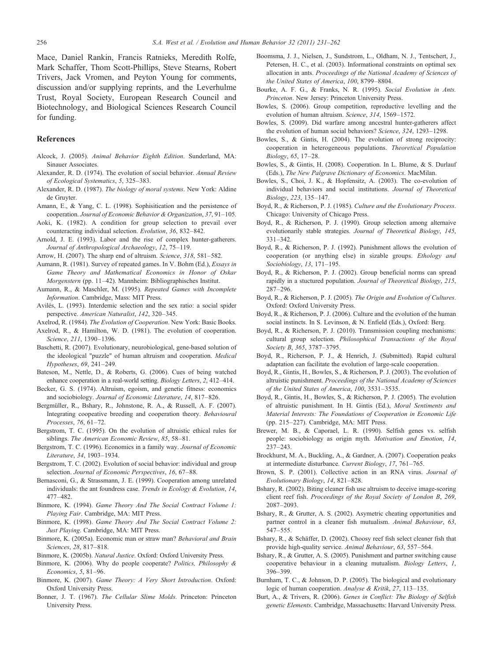<span id="page-25-0"></span>Mace, Daniel Rankin, Francis Ratnieks, Meredith Rolfe, Mark Schaffer, Thom Scott-Phillips, Steve Stearns, Robert Trivers, Jack Vromen, and Peyton Young for comments, discussion and/or supplying reprints, and the Leverhulme Trust, Royal Society, European Research Council and Biotechnology, and Biological Sciences Research Council for funding.

#### References

- Alcock, J. (2005). Animal Behavior Eighth Edition. Sunderland, MA: Sinauer Associates.
- Alexander, R. D. (1974). The evolution of social behavior. Annual Review of Ecological Systematics, 5, 325–383.
- Alexander, R. D. (1987). The biology of moral systems. New York: Aldine de Gruyter.
- Amann, E., & Yang, C. L. (1998). Sophisitication and the persistence of cooperation. Journal of Economic Behavior & Organization, 37, 91–105.
- Aoki, K. (1982). A condition for group selection to prevail over counteracting individual selection. Evolution, 36, 832–842.
- Arnold, J. E. (1993). Labor and the rise of complex hunter-gatherers. Journal of Anthropological Archaeology, 12, 75–119.
- Arrow, H. (2007). The sharp end of altruism. Science, 318, 581–582.
- Aumann, R. (1981). Survey of repeated games. In V. Bohm (Ed.), Essays in Game Theory and Mathematical Economics in Honor of Oskar Morgenstern (pp. 11–42). Mannheim: Bibliographisches Institut.
- Aumann, R., & Maschler, M. (1995). Repeated Games with Incomplete Information. Cambridge, Mass: MIT Press.
- Avilés, L. (1993). Interdemic selection and the sex ratio: a social spider perspective. American Naturalist, 142, 320–345.
- Axelrod, R. (1984). The Evolution of Cooperation. New York: Basic Books. Axelrod, R., & Hamilton, W. D. (1981). The evolution of cooperation.
- Science, 211, 1390–1396. Baschetti, R. (2007). Evolutionary, neurobiological, gene-based solution of the ideological "puzzle" of human altruism and cooperation. Medical
- Bateson, M., Nettle, D., & Roberts, G. (2006). Cues of being watched enhance cooperation in a real-world setting. Biology Letters, 2, 412–414.

Hypotheses, 69, 241–249.

- Becker, G. S. (1974). Altruism, egoism, and genetic fitness: economics and sociobiology. Journal of Economic Literature, 14, 817–826.
- Bergmüller, R., Bshary, R., Johnstone, R. A., & Russell, A. F. (2007). Integrating coopeative breeding and cooperation theory. Behavioural Processes, 76, 61–72.
- Bergstrom, T. C. (1995). On the evolution of altruistic ethical rules for siblings. The American Economic Review, 85, 58–81.
- Bergstrom, T. C. (1996). Economics in a family way. Journal of Economic Literature, 34, 1903–1934.
- Bergstrom, T. C. (2002). Evolution of social behavior: individual and group selection. Journal of Economic Perspectives, 16, 67-88.
- Bernasconi, G., & Strassmann, J. E. (1999). Cooperation among unrelated individuals: the ant foundress case. Trends in Ecology & Evolution, 14, 477–482.
- Binmore, K. (1994). Game Theory And The Social Contract Volume 1: Playing Fair. Cambridge, MA: MIT Press.
- Binmore, K. (1998). Game Theory And The Social Contract Volume 2: Just Playing. Cambridge, MA: MIT Press.
- Binmore, K. (2005a). Economic man or straw man? Behavioral and Brain Sciences, 28, 817–818.
- Binmore, K. (2005b). Natural Justice. Oxford: Oxford University Press.
- Binmore, K. (2006). Why do people cooperate? Politics, Philosophy & Economics, 5, 81–96.
- Binmore, K. (2007). Game Theory: A Very Short Introduction. Oxford: Oxford University Press.
- Bonner, J. T. (1967). The Cellular Slime Molds. Princeton: Princeton University Press.
- Boomsma, J. J., Nielsen, J., Sundstrom, L., Oldham, N. J., Tentschert, J., Petersen, H. C., et al. (2003). Informational constraints on optimal sex allocation in ants. Proceedings of the National Academy of Sciences of the United States of America, 100, 8799–8804.
- Bourke, A. F. G., & Franks, N. R. (1995). Social Evolution in Ants. Princeton. New Jersey: Princeton University Press.
- Bowles, S. (2006). Group competition, reproductive levelling and the evolution of human altruism. Science, 314, 1569–1572.
- Bowles, S. (2009). Did warfare among ancestral hunter-gatherers affect the evolution of human social behaviors? Science, 324, 1293–1298.
- Bowles, S., & Gintis, H. (2004). The evolution of strong reciprocity: cooperation in heterogeneous populations. Theoretical Population Biology, 65, 17–28.
- Bowles, S., & Gintis, H. (2008). Cooperation. In L. Blume, & S. Durlauf (Eds.), The New Palgrave Dictionary of Economics. MacMilan.
- Bowles, S., Choi, J. K., & Hopfensitz, A. (2003). The co-evolution of individual behaviors and social institutions. Journal of Theoretical Biology, 223, 135–147.
- Boyd, R., & Richerson, P. J. (1985). Culture and the Evolutionary Process. Chicago: University of Chicago Press.
- Boyd, R., & Richerson, P. J. (1990). Group selection among alternaive evolutionarily stable strategies. Journal of Theoretical Biology, 145, 331–342.
- Boyd, R., & Richerson, P. J. (1992). Punishment allows the evolution of cooperation (or anything else) in sizable groups. Ethology and Sociobiology, 13, 171–195.
- Boyd, R., & Richerson, P. J. (2002). Group beneficial norms can spread rapidly in a stuctured population. Journal of Theoretical Biology, 215, 287–296.
- Boyd, R., & Richerson, P. J. (2005). The Origin and Evolution of Cultures. Oxford: Oxford University Press.
- Boyd, R., & Richerson, P. J. (2006). Culture and the evolution of the human social instincts. In S. Levinson, & N. Enfield (Eds.), Oxford: Berg.
- Boyd, R., & Richerson, P. J. (2010). Transmission coupling mechanisms: cultural group selection. Philosophical Transactions of the Royal Society B, 365, 3787–3795.
- Boyd, R., Richerson, P. J., & Henrich, J. (Submitted). Rapid cultural adaptation can facilitate the evolution of large-scale cooperation.
- Boyd, R., Gintis, H., Bowles, S., & Richerson, P. J. (2003). The evolution of altruistic punishment. Proceedings of the National Academy of Sciences of the United States of America, 100, 3531–3535.
- Boyd, R., Gintis, H., Bowles, S., & Richerson, P. J. (2005). The evolution of altruistic punishment. In H. Gintis (Ed.), Moral Sentiments and Material Interests: The Foundations of Cooperation in Economic Life (pp. 215–227). Cambridge, MA: MIT Press.
- Brewer, M. B., & Caporael, L. R. (1990). Selfish genes vs. selfish people: sociobiology as origin myth. Motivation and Emotion, 14, 237–243.
- Brockhurst, M. A., Buckling, A., & Gardner, A. (2007). Cooperation peaks at intermediate disturbance. Current Biology, 17, 761–765.
- Brown, S. P. (2001). Collective action in an RNA virus. Journal of Evolutionary Biology, 14, 821–828.
- Bshary, R. (2002). Biting cleaner fish use altruism to deceive image-scoring client reef fish. Proceedings of the Royal Society of London B, 269, 2087–2093.
- Bshary, R., & Grutter, A. S. (2002). Asymetric cheating opportunities and partner control in a cleaner fish mutualism. Animal Behaviour, 63, 547–555.
- Bshary, R., & Schäffer, D. (2002). Choosy reef fish select cleaner fish that provide high-quality service. Animal Behaviour, 63, 557–564.
- Bshary, R., & Grutter, A. S. (2005). Punishment and partner switching cause cooperative behaviour in a cleaning mutualism. Biology Letters, 1, 396–399.
- Burnham, T. C., & Johnson, D. P. (2005). The biological and evolutionary logic of human cooperation. Analyse & Kritik, 27, 113–135.
- Burt, A., & Trivers, R. (2006). Genes in Conflict: The Biology of Selfish genetic Elements. Cambridge, Massachusetts: Harvard University Press.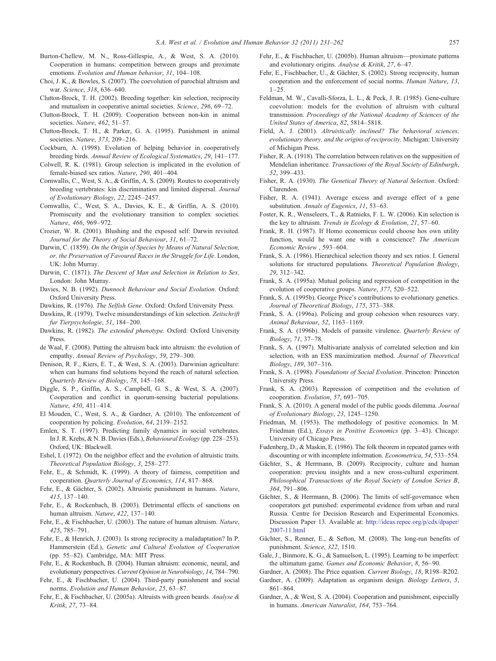- <span id="page-26-0"></span>Burton-Chellew, M. N., Ross-Gillespie, A., & West, S. A. (2010). Cooperation in humans: competition between groups and proximate emotions. Evolution and Human behavior, 31, 104–108.
- Choi, J. K., & Bowles, S. (2007). The coevolution of parochial altruism and war. Science, 318, 636–640.
- Clutton-Brock, T. H. (2002). Breeding together: kin selection, reciprocity and mutualism in cooperative animal societies. Science, 296, 69–72.
- Clutton-Brock, T. H. (2009). Cooperation between non-kin in animal societies. Nature, 462, 51-57.
- Clutton-Brock, T. H., & Parker, G. A. (1995). Punishment in animal societies. Nature, 373, 209–216.
- Cockburn, A. (1998). Evolution of helping behavior in cooperatively breeding birds. Annual Review of Ecological Systematics, 29, 141–177.
- Colwell, R. K. (1981). Group selection is implicated in the evolution of female-biased sex ratios. Nature, 290, 401–404.
- Cornwallis, C., West, S. A., & Griffin, A. S. (2009). Routes to cooperatively breeding vertebrates: kin discrimination and limited dispersal. Journal of Evolutionary Biology, 22, 2245–2457.
- Cornwallis, C., West, S. A., Davies, K. E., & Griffin, A. S. (2010). Promiscuity and the evolutionary transition to complex societies. Nature, 466, 969–972.
- Crozier, W. R. (2001). Blushing and the exposed self: Darwin revisited. Journal for the Theory of Social Behaviour, 31, 61–72.
- Darwin, C. (1859). On the Origin of Species by Means of Natural Selection, or, the Preservation of Favoured Races in the Struggle for Life. London, UK: John Murray.
- Darwin, C. (1871). The Descent of Man and Selection in Relation to Sex. London: John Murray.
- Davies, N. B. (1992). Dunnock Behaviour and Social Evolution. Oxford: Oxford University Press.
- Dawkins, R. (1976). The Selfish Gene. Oxford: Oxford University Press.
- Dawkins, R. (1979). Twelve misunderstandings of kin selection. Zeitschrift fur Tierpsychologie, 51, 184–200.
- Dawkins, R. (1982). The extended phenotype. Oxford: Oxford University Press.
- de Waal, F. (2008). Putting the altruism back into altruism: the evolution of empathy. Annual Review of Psychology, 59, 279–300.
- Denison, R. F., Kiers, E. T., & West, S. A. (2003). Darwinian agriculture: when can humans find solutions beyond the reach of natural selection. Quarterly Review of Biology, 78, 145–168.
- Diggle, S. P., Griffin, A. S., Campbell, G. S., & West, S. A. (2007). Cooperation and conflict in quorum-sensing bacterial populations. Nature, 450, 411–414.
- El Mouden, C., West, S. A., & Gardner, A. (2010). The enforcement of cooperation by policing. Evolution, 64, 2139–2152.
- Emlen, S. T. (1997). Predicting family dynamics in social vertebrates. In J. R. Krebs, & N. B. Davies (Eds.), Behavioural Ecology (pp. 228–253). Oxford, UK: Blackwell.
- Eshel, I. (1972). On the neighbor effect and the evolution of altruistic traits. Theoretical Population Biology, 3, 258–277.
- Fehr, E., & Schmidt, K. (1999). A theory of fairness, competition and cooperation. Quarterly Journal of Economics, 114, 817–868.
- Fehr, E., & Gächter, S. (2002). Altruistic punishment in humans. Nature, 415, 137–140.
- Fehr, E., & Rockenbach, B. (2003). Detrimental effects of sanctions on human altruism. Nature, 422, 137–140.
- Fehr, E., & Fischbacher, U. (2003). The nature of human altruism. Nature, 425, 785–791.
- Fehr, E., & Henrich, J. (2003). Is strong reciprocity a maladaptation? In P. Hammerstein (Ed.), Genetic and Cultural Evolution of Cooperation (pp. 55–82). Cambridge, MA: MIT Press.
- Fehr, E., & Rockenbach, B. (2004). Human altruism: economic, neural, and evolutionary perspectives. Current Opinion in Neurobiology, 14, 784–790.
- Fehr, E., & Fischbacher, U. (2004). Third-party punishment and social norms. Evolution and Human Behavior, 25, 63–87.
- Fehr, E., & Fischbacher, U. (2005a). Altruists with green beards. Analyse & Kritik, 27, 73–84.
- Fehr, E., & Fischbacher, U. (2005b). Human altruism—proximate patterns and evolutionary origins. Analyse & Kritik, 27, 6–47.
- Fehr, E., Fischbacher, U., & Gächter, S. (2002). Strong reciprocity, human cooperation and the enforcement of social norms. Human Nature, 13,  $1 - 25$ .
- Feldman, M. W., Cavalli-Sforza, L. L., & Peck, J. R. (1985). Gene-culture coevolution: models for the evolution of altruism with cultural transmission. Proceedings of the National Academy of Sciences of the United States of America, 82, 5814–5818.
- Field, A. J. (2001). Altruistically inclined? The behavioral sciences, evolutionary theory, and the origins of reciprocity. Michigan: University of Michigan Press.
- Fisher, R. A. (1918). The correlation between relatives on the supposition of Mendelian inheritance. Transactions of the Royal Society of Edinburgh, 52, 399–433.
- Fisher, R. A. (1930). The Genetical Theory of Natural Selection. Oxford: Clarendon.
- Fisher, R. A. (1941). Average excess and average effect of a gene substitution. Annals of Eugenics, 11, 53-63.
- Foster, K. R., Wenseleers, T., & Ratnieks, F. L. W. (2006). Kin selection is the key to altruism. Trends in Ecology & Evolution, 21, 57–60.
- Frank, R. H. (1987). If Homo economicus could choose hos own utility function, would he want one with a conscience? The American Economic Review , 593–604.
- Frank, S. A. (1986). Hierarchical selection theory and sex ratios. I. General solutions for structured populations. Theoretical Population Biology, 29, 312–342.
- Frank, S. A. (1995a). Mutual policing and repression of competition in the evolution of cooperative groups. Nature, 377, 520–522.
- Frank, S. A. (1995b). George Price's contributions to evolutionary genetics. Journal of Theoretical Biology, 175, 373–388.
- Frank, S. A. (1996a). Policing and group cohesion when resources vary. Animal Behaviour, 52, 1163–1169.
- Frank, S. A. (1996b). Models of parasite virulence. Quarterly Review of Biology, 71, 37–78.
- Frank, S. A. (1997). Multivariate analysis of correlated selection and kin selection, with an ESS maximization method. Journal of Theoretical Biology, 189, 307–316.
- Frank, S. A. (1998). Foundations of Social Evolution. Princeton: Princeton University Press.
- Frank, S. A. (2003). Repression of competition and the evolution of cooperation. Evolution, 57, 693–705.
- Frank, S. A. (2010). A general model of the public goods dilemma. Journal of Evolutionary Biology, 23, 1245–1250.
- Friedman, M. (1953). The methodology of positive economics. In M. Friedman (Ed.), Essays in Positive Economics (pp. 3–43). Chicago: University of Chicago Press.
- Fudenberg, D., & Maskin, E. (1986). The folk theorem in repeated games with discounting or with incomplete information. Econometrica, 54, 533–554.
- Gächter, S., & Herrmann, B. (2009). Reciprocity, culture and human cooperation: previou insights and a new cross-cultural experiment. Philosophical Transactions of the Royal Society of London Series B, 364, 791–806.
- Gächter, S., & Herrmann, B. (2006). The limits of self-governance when cooperators get punished: experimental evidence from urban and rural Russia. Centre for Decision Research and Experimental Economics. Discussion Paper 13. Available at: http://ideas.repec.org/p/cdx/dpaper/ 2007-11.html
- Gächter, S., Renner, E., & Sefton, M. (2008). The long-run benefits of punishment. Science, 322, 1510.
- Gale, J., Binmore, K. G., & Samuelson, L. (1995). Learning to be imperfect: the ultimatum game. Games and Economic Behavior, 8, 56–90.
- Gardner, A. (2008). The Price equation. Current Biology, 18, R198–R202. Gardner, A. (2009). Adaptation as organism design. Biology Letters, 5,

861–864.

Gardner, A., & West, S. A. (2004). Cooperation and punishment, especially in humans. American Naturalist, 164, 753–764.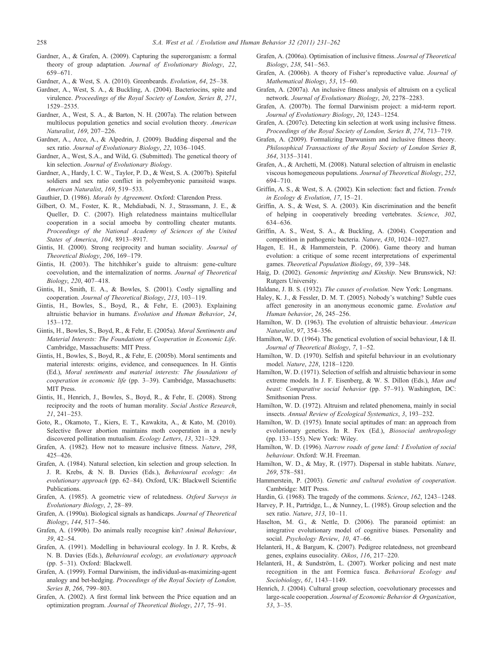- <span id="page-27-0"></span>Gardner, A., & Grafen, A. (2009). Capturing the superorganism: a formal theory of group adaptation. Journal of Evolutionary Biology, 22, 659–671.
- Gardner, A., & West, S. A. (2010). Greenbeards. Evolution, 64, 25–38.
- Gardner, A., West, S. A., & Buckling, A. (2004). Bacteriocins, spite and virulence. Proceedings of the Royal Society of London, Series B, 271, 1529–2535.
- Gardner, A., West, S. A., & Barton, N. H. (2007a). The relation between multilocus population genetics and social evolution theory. American Naturalist, 169, 207–226.
- Gardner, A., Arce, A., & Alpedrin, J. (2009). Budding dispersal and the sex ratio. Journal of Evolutionary Biology, 22, 1036-1045.
- Gardner, A., West, S.A., and Wild, G. (Submitted). The genetical theory of kin selection. Journal of Evolutionary Biology.
- Gardner, A., Hardy, I. C. W., Taylor, P. D., & West, S. A. (2007b). Spiteful soldiers and sex ratio conflict in polyembryonic parasitoid wasps. American Naturalist, 169, 519–533.
- Gauthier, D. (1986). Morals by Agreement. Oxford: Clarendon Press.
- Gilbert, O. M., Foster, K. R., Mehdiabadi, N. J., Strassmann, J. E., & Queller, D. C. (2007). High relatedness maintains multicellular cooperation in a social amoeba by controlling cheater mutants. Proceedings of the National Academy of Sciences of the United States of America, 104, 8913–8917.
- Gintis, H. (2000). Strong reciprocity and human sociality. Journal of Theoretical Biology, 206, 169–179.
- Gintis, H. (2003). The hitchhiker's guide to altruism: gene-culture coevolution, and the internalization of norms. Journal of Theoretical Biology, 220, 407–418.
- Gintis, H., Smith, E. A., & Bowles, S. (2001). Costly signalling and cooperation. Journal of Theoretical Biology, 213, 103–119.
- Gintis, H., Bowles, S., Boyd, R., & Fehr, E. (2003). Explaining altruistic behavior in humans. Evolution and Human Behavior, 24, 153–172.
- Gintis, H., Bowles, S., Boyd, R., & Fehr, E. (2005a). Moral Sentiments and Material Interests: The Foundations of Cooperation in Economic Life. Cambridge, Massachusetts: MIT Press.
- Gintis, H., Bowles, S., Boyd, R., & Fehr, E. (2005b). Moral sentiments and material interests: origins, evidence, and consequences. In H. Gintis (Ed.), Moral sentiments and material interests: The foundations of cooperation in economic life (pp. 3–39). Cambridge, Massachusetts: MIT Press.
- Gintis, H., Henrich, J., Bowles, S., Boyd, R., & Fehr, E. (2008). Strong reciprocity and the roots of human morality. Social Justice Research, 21, 241–253.
- Goto, R., Okamoto, T., Kiers, E. T., Kawakita, A., & Kato, M. (2010). Selective flower abortion maintains moth cooperation in a newly discovered pollination mutualism. Ecology Letters, 13, 321–329.
- Grafen, A. (1982). How not to measure inclusive fitness. Nature, 298, 425–426.
- Grafen, A. (1984). Natural selection, kin selection and group selection. In J. R. Krebs, & N. B. Davies (Eds.), Behavioural ecology: An evolutionary approach (pp. 62–84). Oxford, UK: Blackwell Scientific Publications.
- Grafen, A. (1985). A geometric view of relatedness. Oxford Surveys in Evolutionary Biology, 2, 28–89.
- Grafen, A. (1990a). Biological signals as handicaps. Journal of Theoretical Biology, 144, 517–546.
- Grafen, A. (1990b). Do animals really recognise kin? Animal Behaviour, 39, 42–54.
- Grafen, A. (1991). Modelling in behavioural ecology. In J. R. Krebs, & N. B. Davies (Eds.), Behavioural ecology, an evolutionary approach (pp. 5–31). Oxford: Blackwell.
- Grafen, A. (1999). Formal Darwinism, the individual-as-maximizing-agent analogy and bet-hedging. Proceedings of the Royal Society of London, Series B, 266, 799–803.
- Grafen, A. (2002). A first formal link between the Price equation and an optimization program. Journal of Theoretical Biology, 217, 75–91.
- Grafen, A. (2006a). Optimisation of inclusive fitness. Journal of Theoretical Biology, 238, 541–563.
- Grafen, A. (2006b). A theory of Fisher's reproductive value. Journal of Mathematical Biology, 53, 15–60.
- Grafen, A. (2007a). An inclusive fitness analysis of altruism on a cyclical network. Journal of Evolutionary Biology, 20, 2278–2283.
- Grafen, A. (2007b). The formal Darwinism project: a mid-term report. Journal of Evolutionary Biology, 20, 1243–1254.
- Grafen, A. (2007c). Detecting kin selection at work using inclusive fitness. Proceedings of the Royal Society of London, Series B, 274, 713–719.
- Grafen, A. (2009). Formalizing Darwunism and inclusive fitness theory. Philosophical Transactions of the Royal Society of London Series B, 364, 3135–3141.
- Grafen, A., & Archetti, M. (2008). Natural selection of altruism in enelastic viscous homogeneous populations. Journal of Theoretical Biology, 252, 694–710.
- Griffin, A. S., & West, S. A. (2002). Kin selection: fact and fiction. Trends in Ecology & Evolution, 17, 15–21.
- Griffin, A. S., & West, S. A. (2003). Kin discrimination and the benefit of helping in cooperatively breeding vertebrates. Science, 302, 634–636.
- Griffin, A. S., West, S. A., & Buckling, A. (2004). Cooperation and competition in pathogenic bacteria. Nature, 430, 1024–1027.
- Hagen, E. H., & Hammerstein, P. (2006). Game theory and human evolution: a critique of some recent interpretations of experimental games. Theoretical Population Biology, 69, 339–348.
- Haig, D. (2002). Genomic Imprinting and Kinship. New Brunswick, NJ: Rutgers University.
- Haldane, J. B. S. (1932). The causes of evolution. New York: Longmans.
- Haley, K. J., & Fessler, D. M. T. (2005). Nobody's watching? Subtle cues affect generosity in an anonymous economic game. Evolution and Human behavior, 26, 245–256.
- Hamilton, W. D. (1963). The evolution of altruistic behaviour. American Naturalist, 97, 354–356.
- Hamilton, W. D. (1964). The genetical evolution of social behaviour, I & II. Journal of Theoretical Biology, 7, 1–52.
- Hamilton, W. D. (1970). Selfish and spiteful behaviour in an evolutionary model. Nature, 228, 1218–1220.
- Hamilton, W. D. (1971). Selection of selfish and altruistic behaviour in some extreme models. In J. F. Eisenberg, & W. S. Dillon (Eds.), Man and beast: Comparative social behavior (pp. 57–91). Washington, DC: Smithsonian Press.
- Hamilton, W. D. (1972). Altruism and related phenomena, mainly in social insects. Annual Review of Ecological Systematics, 3, 193–232.
- Hamilton, W. D. (1975). Innate social aptitudes of man: an approach from evolutionary genetics. In R. Fox (Ed.), Biosocial anthropology (pp. 133–155). New York: Wiley.
- Hamilton, W. D. (1996). Narrow roads of gene land: I Evolution of social behaviour. Oxford: W.H. Freeman.
- Hamilton, W. D., & May, R. (1977). Dispersal in stable habitats. Nature, 269, 578–581.
- Hammerstein, P. (2003). Genetic and cultural evolution of cooperation. Cambridge: MIT Press.
- Hardin, G. (1968). The tragedy of the commons. Science, 162, 1243–1248.
- Harvey, P. H., Partridge, L., & Nunney, L. (1985). Group selection and the sex ratio. Nature, 313, 10–11.
- Haselton, M. G., & Nettle, D. (2006). The paranoid optimist: an integrative evolutionary model of cognitive biases. Personality and social. Psychology Review, 10, 47–66.
- Helanterä, H., & Bargum, K. (2007). Pedigree relatedness, not greenbeard genes, explains eusociality. Oikos, 116, 217–220.
- Helanterä, H., & Sundström, L. (2007). Worker policing and nest mate recognition in the ant Formica fusca. Behavioral Ecology and Sociobiology, 61, 1143–1149.
- Henrich, J. (2004). Cultural group selection, coevolutionary processes and large-scale cooperation. Journal of Economic Behavior & Organization, 53, 3–35.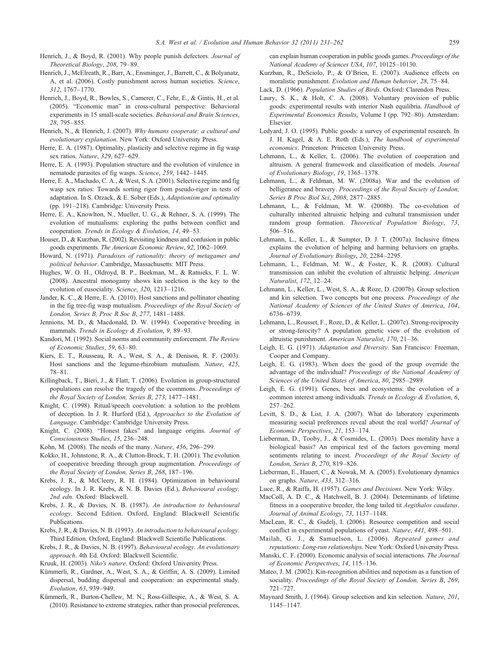- <span id="page-28-0"></span>Henrich, J., & Boyd, R. (2001). Why people punish defectors. Journal of Theoretical Biology, 208, 79–89.
- Henrich, J., McElreath, R., Barr, A., Ensminger, J., Barrett, C., & Bolyanatz, A, et al. (2006). Costly punishment across human societies. Science, 312, 1767–1770.
- Henrich, J., Boyd, R., Bowles, S., Camerer, C., Fehr, E., & Gintis, H., et al. (2005). "Economic man" in cross-cultural perspective: Behavioral experiments in 15 small-scale societies. Behavioral and Brain Sciences, 28, 795–855.
- Henrich, N., & Henrich, J. (2007). Why humans cooperate: a cultural and evolutionary explanation. New York: Oxford University Press.
- Herre, E. A. (1987). Optimality, plasticity and selective regime in fig wasp sex ratios. Nature, 329, 627–629.
- Herre, E. A. (1993). Population structure and the evolution of virulence in nematode parasites of fig wasps. Science, 259, 1442–1445.
- Herre, E. A., Machado, C. A., & West, S. A. (2001). Selective regime and fig wasp sex ratios: Towards sorting rigor from pseudo-rigor in tests of adaptation. In S. Orzack, & E. Sober (Eds.), Adaptionism and optimality (pp. 191–218). Cambridge: University Press.
- Herre, E. A., Knowlton, N., Mueller, U. G., & Rehner, S. A. (1999). The evolution of mutualisms: exploring the paths between conflict and cooperation. Trends in Ecology & Evolution, 14, 49–53.
- Houser, D., & Kurzban, R. (2002). Revisiting kindness and confusion in public goods experiments. The American Economic Review, 92, 1062–1069.
- Howard, N. (1971). Paradoxes of rationality: theory of metagames and political behavior. Cambridge, Massachusetts: MIT Press.
- Hughes, W. O. H., Oldroyd, B. P., Beekman, M., & Ratnieks, F. L. W. (2008). Ancestral monogamy shows kin seelction is the key to the evolution of eusociality. Science, 320, 1213–1216.
- Jander, K. C., & Herre, E. A. (2010). Host sanctions and pollinator cheating in the fig tree-fig wasp mutualism. Proceedings of the Royal Society of London, Series B, Proc R Soc B, 277, 1481–1488.
- Jennions, M. D., & Macdonald, D. W. (1994). Cooperative breeding in mammals. Trends in Ecology & Evolution, 9, 89–93.
- Kandori, M. (1992). Social norms and community enforcement. The Review of Economic Studies, 59, 63–80.
- Kiers, E. T., Rousseau, R. A., West, S. A., & Denison, R. F. (2003). Host sanctions and the legume-rhizobium mutualism. Nature, 425, 78–81.
- Killingback, T., Bieri, J., & Flatt, T. (2006). Evolution in group-structured populations can resolve the tragedy of the ccommons. Proceedings of the Royal Society of London, Series B, 273, 1477–1481.
- Knight, C. (1998). Ritual/speech coevolution: a solution to the problem of deception. In J. R. Hurford (Ed.), Approaches to the Evolution of Language. Cambridge: Cambridge University Press.
- Knight, C. (2008). "Honest fakes" and language origins. Journal of Consciousness Studies, 15, 236–248.
- Kohn, M. (2008). The needs of the many. Nature, 456, 296–299.
- Kokko, H., Johnstone, R. A., & Clutton-Brock, T. H. (2001). The evolution of cooperative breeding through group augmentation. Proceedings of the Royal Society of London, Series B, 268, 187–196.
- Krebs, J. R., & McCleery, R. H. (1984). Optimization in behavioural ecology. In J. R. Krebs, & N. B. Davies (Ed.), Behavioural ecology, 2nd edn. Oxford: Blackwell.
- Krebs, J. R., & Davies, N. B. (1987). An introduction to behavioural ecology. Second Edition. Oxford, England: Blackwell Scientific Publications.
- Krebs, J. R., & Davies, N. B. (1993). An introduction to behavioural ecology. Third Edition. Oxford, England: Blackwell Scientific Publications.
- Krebs, J. R., & Davies, N. B. (1997). Behavioural ecology. An evolutionary approach. 4th Ed. Oxford: Blackwell Scientific.
- Kruuk, H. (2003). Niko's nature. Oxford: Oxford University Press.
- Kümmerli, R., Gardner, A., West, S. A., & Griffin, A. S. (2009). Limited dispersal, budding dispersal and cooperation: an experimental study. Evolution, 63, 939–949.
- Kümmerli, R., Burton-Chellew, M. N., Ross-Gillespie, A., & West, S. A. (2010). Resistance to extreme strategies, rather than prosocial preferences,

can explain human cooperation in public goods games. Proceedings of the National Academy of Sciences USA, 107, 10125–10130.

- Kurzban, R., DeSciolo, P., & O'Brien, E. (2007). Audience effects on moralistic punishment. Evolution and Human behavior, 28, 75–84.
- Lack, D. (1966). Population Studies of Birds. Oxford: Clarendon Press.
- Laury, S. K., & Holt, C. A. (2008). Voluntary provision of public goods: experimental results with interior Nash equilibria. Handbook of Experimental Economics Results, Volume I (pp. 792–80). Amsterdam: Elsevier.
- Ledyard, J. O. (1995). Public goods: a survey of experimental research. In J. H. Kagel, & A. E. Roth (Eds.), The handbook of experimental economics. Princeton: Princeton University Press.
- Lehmann, L., & Keller, L. (2006). The evolution of cooperation and altruism. A general framework and classification of models. Journal of Evolutionary Biology, 19, 1365–1378.
- Lehmann, L., & Feldman, M. W. (2008a). War and the evolution of belligerance and bravery. Proceedings of the Royal Society of London, Series B Proc Biol Sci, 2008, 2877–2885.
- Lehmann, L., & Feldman, M. W. (2008b). The co-evolution of culturally inherited altruistic helping and cultural transmission under random group formation. Theoretical Population Biology, 73, 506–516.
- Lehmann, L., Keller, L., & Sumpter, D. J. T. (2007a). Inclusive fitness explains the evolution of helping and harming behaviors on graphs. Journal of Evolutionary Biology, 20, 2284–2295.
- Lehmann, L., Feldman, M. W., & Foster, K. R. (2008). Cultural transmission can inhibit the evolution of altruistic helping. American Naturalist, 172, 12–24.
- Lehmann, L., Keller, L., West, S. A., & Roze, D. (2007b). Group selection and kin selection. Two concepts but one process. Proceedings of the National Academy of Sciences of the United States of America, 104, 6736–6739.
- Lehmann, L., Rousset, F., Roze, D., & Keller, L. (2007c). Strong-reciprocity or strong-ferocity? A population genetic view of the evolution of altruistic punishment. American Naturalist, 170, 21–36.
- Leigh, E. G. (1971). Adaptation and Diversity. San Francisco: Freeman, Cooper and Company.
- Leigh, E. G. (1983). When does the good of the group override the advantage of the individual? Proceedings of the National Academy of Sciences of the United States of America, 80, 2985–2989.
- Leigh, E. G. (1991). Genes, bees and ecosystems: the evolution of a common interest among individuals. Trends in Ecology & Evolution, 6, 257–262.
- Levitt, S. D., & List, J. A. (2007). What do laboratory experiments measuring social preferences reveal about the real world? Journal of Economic Perspectives, 21, 153–174.
- Lieberman, D., Tooby, J., & Cosmides, L. (2003). Does morality have a biological basis? An empirical test of the factors governing moral sentiments relating to incest. Proceedings of the Royal Society of London, Series B, 270, 819–826.
- Lieberman, E., Hauert, C., & Nowak, M. A. (2005). Evolutionary dynamics on graphs. Nature, 433, 312–316.
- Luce, R., & Raiffa, H. (1957). Games and Decisions. New York: Wiley.
- MacColl, A. D. C., & Hatchwell, B. J. (2004). Determinants of lifetime fitness in a cooperative breeder, the long tailed tit Aegithalos caudatus. Journal of Animal Ecology, 73, 1137–1148.
- MacLean, R. C., & Gudelj, I. (2006). Resource competition and social conflict in experimental populations of yeast. Nature, 441, 498–501.
- Mailah, G. J., & Samuelson, L. (2006). Repeated games and reputations: Long-run relationships. New York: Oxford University Press.
- Manski, C. F. (2000). Economic analysis of social interactions. The Journal of Economic Perspectives, 14, 115–136.
- Mateo, J. M. (2002). Kin-recognition abilities and nepotism as a function of sociality. Proceedings of the Royal Society of London, Series B, 269, 721–727.
- Maynard Smith, J. (1964). Group selection and kin selection. Nature, 201, 1145–1147.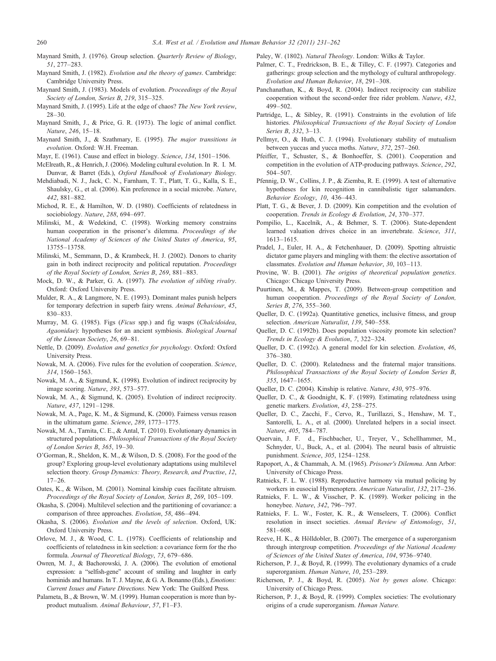<span id="page-29-0"></span>Maynard Smith, J. (1976). Group selection. Quarterly Review of Biology, 51, 277–283.

- Maynard Smith, J. (1982). Evolution and the theory of games. Cambridge: Cambridge University Press.
- Maynard Smith, J. (1983). Models of evolution. Proceedings of the Royal Society of London, Series B, 219, 315–325.
- Maynard Smith, J. (1995). Life at the edge of chaos? The New York review, 28–30.
- Maynard Smith, J., & Price, G. R. (1973). The logic of animal conflict. Nature, 246, 15–18.
- Maynard Smith, J., & Szathmary, E. (1995). The major transitions in evolution. Oxford: W.H. Freeman.
- Mayr, E. (1961). Cause and effect in biology. Science, 134, 1501–1506.
- McElreath, R., & Henrich, J. (2006). Modeling cultural evolution. In R. I. M. Dunvar, & Barret (Eds.), Oxford Handbook of Evolutionary Biology.
- Mehdiabadi, N. J., Jack, C. N., Farnham, T. T., Platt, T. G., Kalla, S. E., Shaulsky, G., et al. (2006). Kin preference in a social microbe. Nature, 442, 881–882.
- Michod, R. E., & Hamilton, W. D. (1980). Coefficients of relatedness in sociobiology. Nature, 288, 694–697.
- Milinski, M., & Wedekind, C. (1998). Working memory constrains human cooperation in the prisoner's dilemma. Proceedings of the National Academy of Sciences of the United States of America, 95, 13755–13758.
- Milinski, M., Semmann, D., & Krambeck, H. J. (2002). Donors to charity gain in both indirect reciprocity and political reputation. Proceedings of the Royal Society of London, Series B, 269, 881–883.
- Mock, D. W., & Parker, G. A. (1997). The evolution of sibling rivalry. Oxford: Oxford University Press.
- Mulder, R. A., & Langmore, N. E. (1993). Dominant males punish helpers for temporary defectrion in superb fairy wrens. Animal Behaviour, 45, 830–833.
- Murray, M. G. (1985). Figs (Ficus spp.) and fig wasps (Chalcidoidea, Agaonidae): hypotheses for an ancient symbiosis. Biological Journal of the Linnean Society, 26, 69–81.
- Nettle, D. (2009). Evolution and genetics for psychology. Oxford: Oxford University Press.
- Nowak, M. A. (2006). Five rules for the evolution of cooperation. Science, 314, 1560–1563.
- Nowak, M. A., & Sigmund, K. (1998). Evolution of indirect reciprocity by image scoring. Nature, 393, 573–577.
- Nowak, M. A., & Sigmund, K. (2005). Evolution of indirect reciprocity. Nature, 437, 1291–1298.
- Nowak, M. A., Page, K. M., & Sigmund, K. (2000). Fairness versus reason in the ultimatum game. Science, 289, 1773–1775.
- Nowak, M. A., Tarnita, C. E., & Antal, T. (2010). Evolutionary dynamics in structured populations. Philosophical Transactions of the Royal Society of London Series B, 365, 19–30.
- O'Gorman, R., Sheldon, K. M., & Wilson, D. S. (2008). For the good of the group? Exploring group-level evolutionary adaptations using multilevel selection theory. Group Dynamics: Theory, Research, and Practise, 12, 17–26.
- Oates, K., & Wilson, M. (2001). Nominal kinship cues facilitate altruism. Proceedings of the Royal Society of London, Series B, 269, 105–109.
- Okasha, S. (2004). Multilevel selection and the partitioning of covariance: a comparison of three approaches. Evolution, 58, 486–494.
- Okasha, S. (2006). Evolution and the levels of selection. Oxford, UK: Oxford University Press.
- Orlove, M. J., & Wood, C. L. (1978). Coefficients of relationship and coefficients of relatedness in kin seelction: a covariance form for the rho formula. Journal of Theoretical Biology, 73, 679–686.
- Owren, M. J., & Bachorowski, J. A. (2006). The evolution of emotional expression: a "selfish-gene" account of smiling and laughter in early hominids and humans. In T. J. Mayne, & G. A. Bonanno (Eds.), *Emotions:* Current Issues and Future Directions. New York: The Guilford Press.
- Palameta, B., & Brown, W. M. (1999). Human cooperation is more than byproduct mutualism. Animal Behaviour, 57, F1–F3.

Paley, W. (1802). Natural Theology. London: Wilks & Taylor.

- Palmer, C. T., Fredrickson, B. E., & Tilley, C. F. (1997). Categories and gatherings: group selection and the mythology of cultural anthropology. Evolution and Human Behavior, 18, 291–308.
- Panchanathan, K., & Boyd, R. (2004). Indirect reciprocity can stabilize cooperation without the second-order free rider problem. Nature, 432, 499–502.
- Partridge, L., & Sibley, R. (1991). Constraints in the evolution of life histories. Philosophical Transactions of the Royal Society of London Series B, 332, 3–13.
- Pellmyr, O., & Huth, C. J. (1994). Evolutionary stability of mutualism between yuccas and yucca moths. Nature, 372, 257–260.
- Pfeiffer, T., Schuster, S., & Bonhoeffer, S. (2001). Cooperation and competition in the evolution of ATP-producing pathways. Science, 292, 504–507.
- Pfennig, D. W., Collins, J. P., & Ziemba, R. E. (1999). A test of alternative hypotheses for kin recognition in cannibalistic tiger salamanders. Behavior Ecology, 10, 436–443.
- Platt, T. G., & Bever, J. D. (2009). Kin competition and the evolution of cooperation. Trends in Ecology & Evolution, 24, 370–377.
- Pompilio, L., Kacelnik, A., & Behmer, S. T. (2006). State-dependent learned valuation drives choice in an invertebrate. Science, 311, 1613–1615.
- Pradel, J., Euler, H. A., & Fetchenhauer, D. (2009). Spotting altruistic dictator game players and mingling with them: the elective assortation of classmates. Evolution and Human behavior, 30, 103–113.
- Provine, W. B. (2001). The origins of theoretical population genetics. Chicago: Chicago University Press.
- Puurtinen, M., & Mappes, T. (2009). Between-group competition and human cooperation. Proceedings of the Royal Society of London, Series B, 276, 355–360.
- Queller, D. C. (1992a). Quantitative genetics, inclusive fitness, and group selection. American Naturalist, 139, 540–558.
- Queller, D. C. (1992b). Does population viscosity promote kin selection? Trends in Ecology & Evolution, 7, 322–324.
- Queller, D. C. (1992c). A general model for kin selection. Evolution, 46, 376–380.
- Queller, D. C. (2000). Relatedness and the fraternal major transitions. Philosophical Transactions of the Royal Society of London Series B, 355, 1647–1655.
- Queller, D. C. (2004). Kinship is relative. Nature, 430, 975–976.
- Queller, D. C., & Goodnight, K. F. (1989). Estimating relatedness using genetic markers. Evolution, 43, 258–275.
- Queller, D. C., Zacchi, F., Cervo, R., Turillazzi, S., Henshaw, M. T., Santorelli, L. A., et al. (2000). Unrelated helpers in a social insect. Nature, 405, 784–787.
- Quervain, J. F. d., Fischbacher, U., Treyer, V., Schellhammer, M., Schnyder, U., Buck, A., et al. (2004). The neural basis of altruistic punishment. Science, 305, 1254–1258.
- Rapoport, A., & Chammah, A. M. (1965). Prisoner's Dilemma. Ann Arbor: University of Chicago Press.
- Ratnieks, F. L. W. (1988). Reproductive harmony via mutual policing by workers in eusocial Hymenoptera. American Naturalist, 132, 217–236.
- Ratnieks, F. L. W., & Visscher, P. K. (1989). Worker policing in the honeybee. Nature, 342, 796–797.
- Ratnieks, F. L. W., Foster, K. R., & Wenseleers, T. (2006). Conflict resolution in insect societies. Annual Review of Entomology, 51, 581–608.
- Reeve, H. K., & Hölldobler, B. (2007). The emergence of a superorganism through intergroup competition. Proceedings of the National Academy of Sciences of the United States of America, 104, 9736–9740.
- Richerson, P. J., & Boyd, R. (1999). The evolutionary dynamics of a crude superorganism. Human Nature, 10, 253–289.
- Richerson, P. J., & Boyd, R. (2005). Not by genes alone. Chicago: University of Chicago Press.
- Richerson, P. J., & Boyd, R. (1999). Complex societies: The evolutionary origins of a crude superorganism. Human Nature.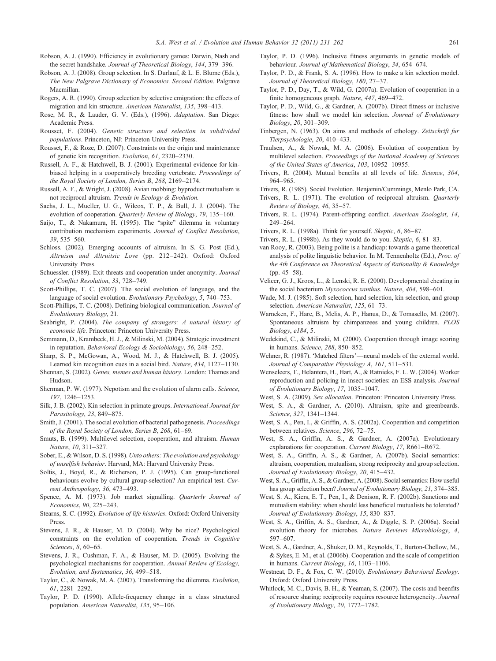- <span id="page-30-0"></span>Robson, A. J. (1990). Efficiency in evolutionary games: Darwin, Nash and the secret handshake. Journal of Theoretical Biology, 144, 379–396.
- Robson, A. J. (2008). Group selection. In S. Durlauf, & L. E. Blume (Eds.), The New Palgrave Dictionary of Economics. Second Edition. Palgrave Macmillan.
- Rogers, A. R. (1990). Group selection by selective emigration: the effects of migration and kin structure. American Naturalist, 135, 398–413.
- Rose, M. R., & Lauder, G. V. (Eds.), (1996). Adaptation. San Diego: Academic Press.
- Rousset, F. (2004). Genetic structure and selection in subdivided populations. Princeton, NJ: Princeton University Press.
- Rousset, F., & Roze, D. (2007). Constraints on the origin and maintenance of genetic kin recognition. Evolution, 61, 2320–2330.
- Russell, A. F., & Hatchwell, B. J. (2001). Experimental evidence for kinbiased helping in a cooperatively breeding vertebrate. Proceedings of the Royal Society of London, Series B, 268, 2169–2174.
- Russell, A. F., & Wright, J. (2008). Avian mobbing: byproduct mutualism is not reciprocal altruism. Trends in Ecology & Evolution.
- Sachs, J. L., Mueller, U. G., Wilcox, T. P., & Bull, J. J. (2004). The evolution of cooperation. Quarterly Review of Biology, 79, 135–160.
- Saijo, T., & Nakamura, H. (1995). The "spite" dilemma in voluntary contribution mechanism experiments. Journal of Conflict Resolution, 39, 535–560.
- Schloss. (2002). Emerging accounts of altruism. In S. G. Post (Ed.), Altruism and Altruitsic Love (pp. 212–242). Oxford: Oxford University Press.
- Schuessler. (1989). Exit threats and cooperation under anonymity. Journal of Conflict Resolution, 33, 728–749.
- Scott-Phillips, T. C. (2007). The social evolution of language, and the language of social evolution. Evolutionary Psychology, 5, 740–753.
- Scott-Phillips, T. C. (2008). Defining biological communication. Journal of Evolutionary Biology, 21.
- Seabright, P. (2004). The company of strangers: A natural history of economic life. Princeton: Princeton University Press.
- Semmann, D., Krambeck, H. J., & Milinski, M. (2004). Strategic investment in reputation. Behavioral Ecology & Sociobiology, 56, 248–252.
- Sharp, S. P., McGowan, A., Wood, M. J., & Hatchwell, B. J. (2005). Learned kin recognition cues in a social bird. Nature, 434, 1127–1130.
- Shennan, S. (2002). Genes, memes and human history. London: Thames and Hudson.
- Sherman, P. W. (1977). Nepotism and the evolution of alarm calls. Science, 197, 1246–1253.
- Silk, J. B. (2002). Kin selection in primate groups. International Journal for Parasitology, 23, 849–875.
- Smith, J. (2001). The social evolution of bacterial pathogenesis. Proceedings of the Royal Society of London, Series B, 268, 61–69.
- Smuts, B. (1999). Multilevel selection, cooperation, and altruism. Human Nature, 10, 311–327.
- Sober, E., & Wilson, D. S. (1998). Unto others: The evolution and psychology of unselfish behavior. Harvard, MA: Harvard University Press.
- Soltis, J., Boyd, R., & Richerson, P. J. (1995). Can group-functional behaviours evolve by cultural group-selection? An empirical test. Current Anthropology, 36, 473–493.
- Spence, A. M. (1973). Job market signalling. Quarterly Journal of Economics, 90, 225–243.
- Stearns, S. C. (1992). Evolution of life histories. Oxford: Oxford University Press.
- Stevens, J. R., & Hauser, M. D. (2004). Why be nice? Psychological constraints on the evolution of cooperation. Trends in Cognitive Sciences, 8, 60–65.
- Stevens, J. R., Cushman, F. A., & Hauser, M. D. (2005). Evolving the psychological mechanisms for cooperation. Annual Review of Ecology, Evolution, and Systematics, 36, 499–518.
- Taylor, C., & Nowak, M. A. (2007). Transforming the dilemma. Evolution, 61, 2281–2292.
- Taylor, P. D. (1990). Allele-frequency change in a class structured population. American Naturalist, 135, 95–106.
- Taylor, P. D. (1996). Inclusive fitness arguments in genetic models of behaviour. Journal of Mathematical Biology, 34, 654–674.
- Taylor, P. D., & Frank, S. A. (1996). How to make a kin selection model. Journal of Theoretical Biology, 180, 27–37.
- Taylor, P. D., Day, T., & Wild, G. (2007a). Evolution of cooperation in a finite homogeneous graph. Nature, 447, 469–472.
- Taylor, P. D., Wild, G., & Gardner, A. (2007b). Direct fitness or inclusive fitness: how shall we model kin selection. Journal of Evolutionary Biology, 20, 301–309.
- Tinbergen, N. (1963). On aims and methods of ethology. Zeitschrift fur Tierpsychologie, 20, 410–433.
- Traulsen, A., & Nowak, M. A. (2006). Evolution of cooperation by multilevel selection. Proceedings of the National Academy of Sciences of the United States of America, 103, 10952–10955.
- Trivers, R. (2004). Mutual benefits at all levels of life. Science, 304, 964–965.
- Trivers, R. (1985). Social Evolution. Benjamin/Cummings, Menlo Park, CA.
- Trivers, R. L. (1971). The evolution of reciprocal altruism. Quarterly Review of Biology, 46, 35–57.
- Trivers, R. L. (1974). Parent-offspring conflict. American Zoologist, 14, 249–264.
- Trivers, R. L. (1998a). Think for yourself. Skeptic, 6, 86–87.
- Trivers, R. L. (1998b). As they would do to you. Skeptic, 6, 81–83.
- van Rooy, R. (2003). Being polite is a handicap: towards a game theoretical analysis of polite linguistic behavior. In M. Tennenholtz (Ed.), Proc. of the 4th Conference on Theoretical Aspects of Rationality & Knowledge (pp. 45–58).
- Velicer, G. J., Kroos, L., & Lenski, R. E. (2000). Developmental cheating in the social bacterium Myxococcus xanthus. Nature, 404, 598–601.
- Wade, M. J. (1985). Soft selection, hard selection, kin selection, and group selection. American Naturalist, 125, 61-73.
- Warneken, F., Hare, B., Melis, A. P., Hanus, D., & Tomasello, M. (2007). Spontaneous altruism by chimpanzees and young children. PLOS Biology, e184, 5.
- Wedekind, C., & Milinski, M. (2000). Cooperation through image scoring in humans. Science, 288, 850–852.
- Wehner, R. (1987). 'Matched filters'—neural models of the external world. Journal of Comparative Physiology A, 161, 511–531.
- Wenseleers, T., Helantera, H., Hart, A., & Ratnieks, F. L. W. (2004). Worker reproduction and policing in insect societies: an ESS analysis. Journal of Evolutionary Biology, 17, 1035–1047.
- West, S. A. (2009). Sex allocation. Princeton: Princeton University Press.
- West, S. A., & Gardner, A. (2010). Altruism, spite and greenbeards. Science, 327, 1341–1344.
- West, S. A., Pen, I., & Griffin, A. S. (2002a). Cooperation and competition between relatives. Science, 296, 72–75.
- West, S. A., Griffin, A. S., & Gardner, A. (2007a). Evolutionary explanations for cooperation. Current Biology, 17, R661–R672.
- West, S. A., Griffin, A. S., & Gardner, A. (2007b). Social semantics: altruism, cooperation, mutualism, strong reciprocity and group selection. Journal of Evolutionary Biology, 20, 415–432.
- West, S. A., Griffin, A. S., & Gardner, A. (2008). Social semantics: How useful has group selection been? Journal of Evolutionary Biology, 21, 374–385.
- West, S. A., Kiers, E. T., Pen, I., & Denison, R. F. (2002b). Sanctions and mutualism stability: when should less beneficial mutualists be tolerated? Journal of Evolutionary Biology, 15, 830–837.
- West, S. A., Griffin, A. S., Gardner, A., & Diggle, S. P. (2006a). Social evolution theory for microbes. Nature Reviews Microbiology, 4, 597–607.
- West, S. A., Gardner, A., Shuker, D. M., Reynolds, T., Burton-Chellow, M., & Sykes, E. M., et al. (2006b). Cooperation and the scale of competition in humans. Current Biology, 16, 1103–1106.
- Westneat, D. F., & Fox, C. W. (2010). Evolutionary Behavioral Ecology. Oxford: Oxford University Press.
- Whitlock, M. C., Davis, B. H., & Yeaman, S. (2007). The costs and beenfits of resource sharing: reciprocity requires resource heterogeneity. Journal of Evolutionary Biology, 20, 1772–1782.